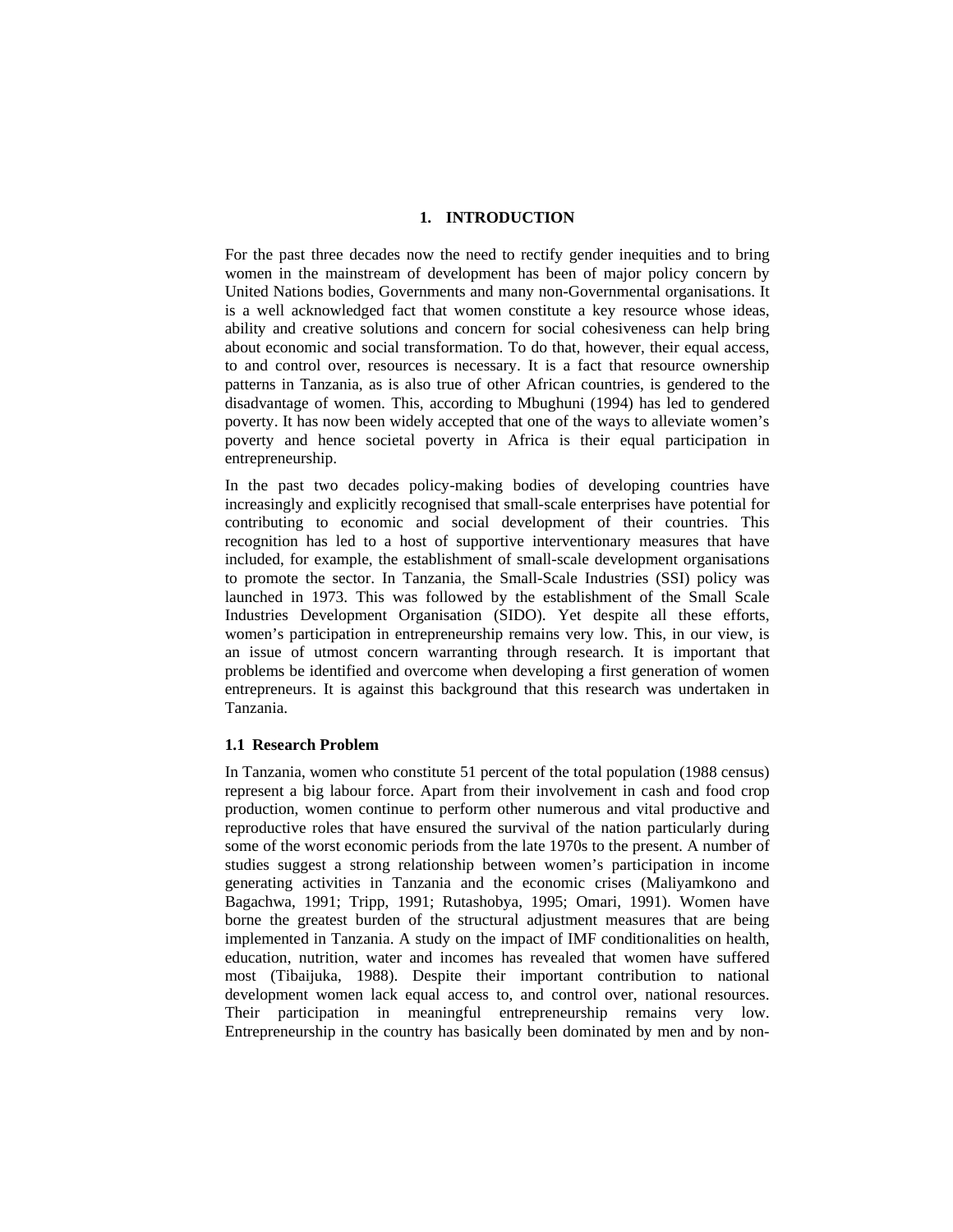### **1. INTRODUCTION**

For the past three decades now the need to rectify gender inequities and to bring women in the mainstream of development has been of major policy concern by United Nations bodies, Governments and many non-Governmental organisations. It is a well acknowledged fact that women constitute a key resource whose ideas, ability and creative solutions and concern for social cohesiveness can help bring about economic and social transformation. To do that, however, their equal access, to and control over, resources is necessary. It is a fact that resource ownership patterns in Tanzania, as is also true of other African countries, is gendered to the disadvantage of women. This, according to Mbughuni (1994) has led to gendered poverty. It has now been widely accepted that one of the ways to alleviate women's poverty and hence societal poverty in Africa is their equal participation in entrepreneurship.

In the past two decades policy-making bodies of developing countries have increasingly and explicitly recognised that small-scale enterprises have potential for contributing to economic and social development of their countries. This recognition has led to a host of supportive interventionary measures that have included, for example, the establishment of small-scale development organisations to promote the sector. In Tanzania, the Small-Scale Industries (SSI) policy was launched in 1973. This was followed by the establishment of the Small Scale Industries Development Organisation (SIDO). Yet despite all these efforts, women's participation in entrepreneurship remains very low. This, in our view, is an issue of utmost concern warranting through research. It is important that problems be identified and overcome when developing a first generation of women entrepreneurs. It is against this background that this research was undertaken in Tanzania.

### **1.1 Research Problem**

In Tanzania, women who constitute 51 percent of the total population (1988 census) represent a big labour force. Apart from their involvement in cash and food crop production, women continue to perform other numerous and vital productive and reproductive roles that have ensured the survival of the nation particularly during some of the worst economic periods from the late 1970s to the present. A number of studies suggest a strong relationship between women's participation in income generating activities in Tanzania and the economic crises (Maliyamkono and Bagachwa, 1991; Tripp, 1991; Rutashobya, 1995; Omari, 1991). Women have borne the greatest burden of the structural adjustment measures that are being implemented in Tanzania. A study on the impact of IMF conditionalities on health, education, nutrition, water and incomes has revealed that women have suffered most (Tibaijuka, 1988). Despite their important contribution to national development women lack equal access to, and control over, national resources. Their participation in meaningful entrepreneurship remains very low. Entrepreneurship in the country has basically been dominated by men and by non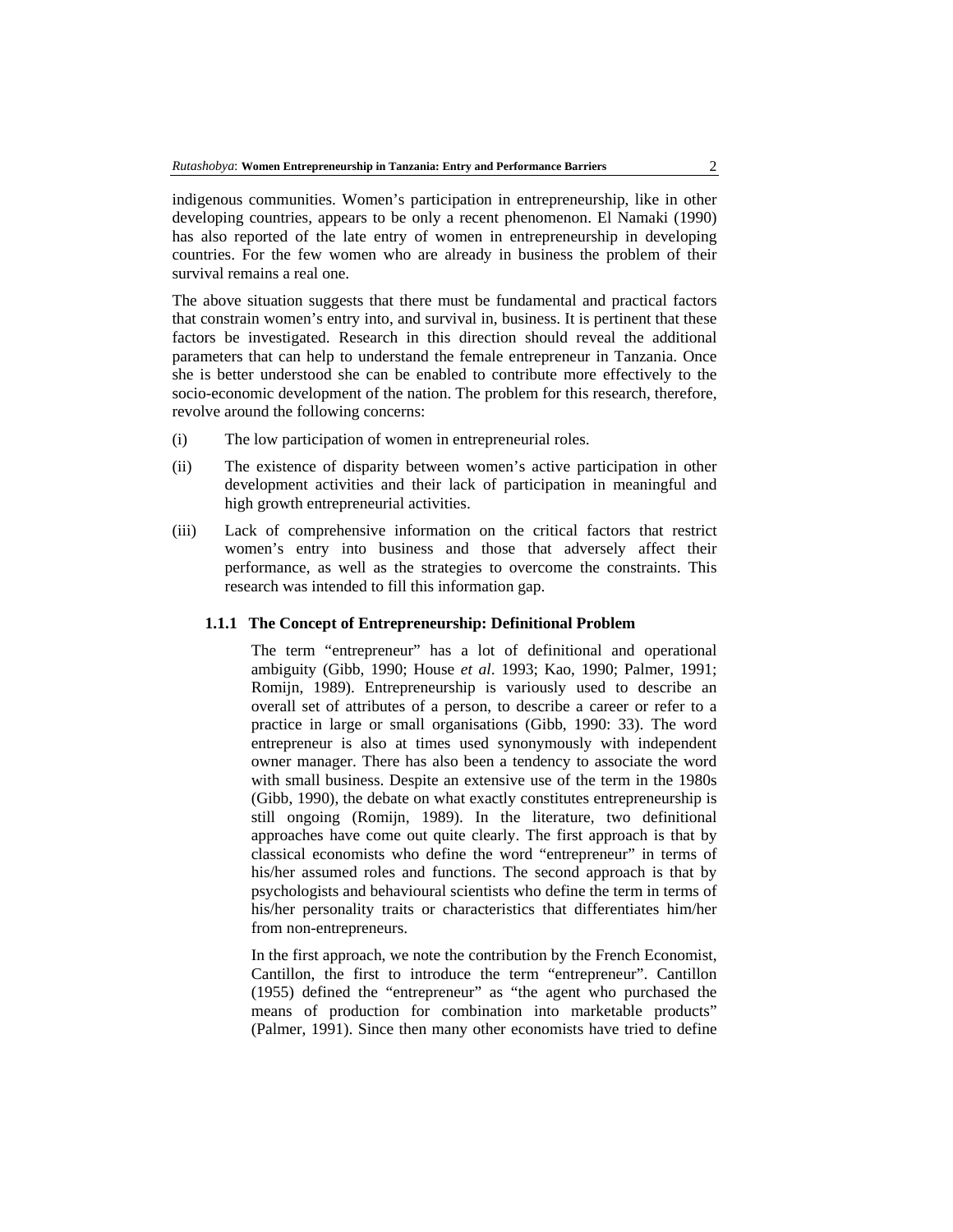indigenous communities. Women's participation in entrepreneurship, like in other developing countries, appears to be only a recent phenomenon. El Namaki (1990) has also reported of the late entry of women in entrepreneurship in developing countries. For the few women who are already in business the problem of their survival remains a real one.

The above situation suggests that there must be fundamental and practical factors that constrain women's entry into, and survival in, business. It is pertinent that these factors be investigated. Research in this direction should reveal the additional parameters that can help to understand the female entrepreneur in Tanzania. Once she is better understood she can be enabled to contribute more effectively to the socio-economic development of the nation. The problem for this research, therefore, revolve around the following concerns:

- (i) The low participation of women in entrepreneurial roles.
- (ii) The existence of disparity between women's active participation in other development activities and their lack of participation in meaningful and high growth entrepreneurial activities.
- (iii) Lack of comprehensive information on the critical factors that restrict women's entry into business and those that adversely affect their performance, as well as the strategies to overcome the constraints. This research was intended to fill this information gap.

### **1.1.1 The Concept of Entrepreneurship: Definitional Problem**

The term "entrepreneur" has a lot of definitional and operational ambiguity (Gibb, 1990; House *et al*. 1993; Kao, 1990; Palmer, 1991; Romijn, 1989). Entrepreneurship is variously used to describe an overall set of attributes of a person, to describe a career or refer to a practice in large or small organisations (Gibb, 1990: 33). The word entrepreneur is also at times used synonymously with independent owner manager. There has also been a tendency to associate the word with small business. Despite an extensive use of the term in the 1980s (Gibb, 1990), the debate on what exactly constitutes entrepreneurship is still ongoing (Romijn, 1989). In the literature, two definitional approaches have come out quite clearly. The first approach is that by classical economists who define the word "entrepreneur" in terms of his/her assumed roles and functions. The second approach is that by psychologists and behavioural scientists who define the term in terms of his/her personality traits or characteristics that differentiates him/her from non-entrepreneurs.

In the first approach, we note the contribution by the French Economist, Cantillon, the first to introduce the term "entrepreneur". Cantillon (1955) defined the "entrepreneur" as "the agent who purchased the means of production for combination into marketable products" (Palmer, 1991). Since then many other economists have tried to define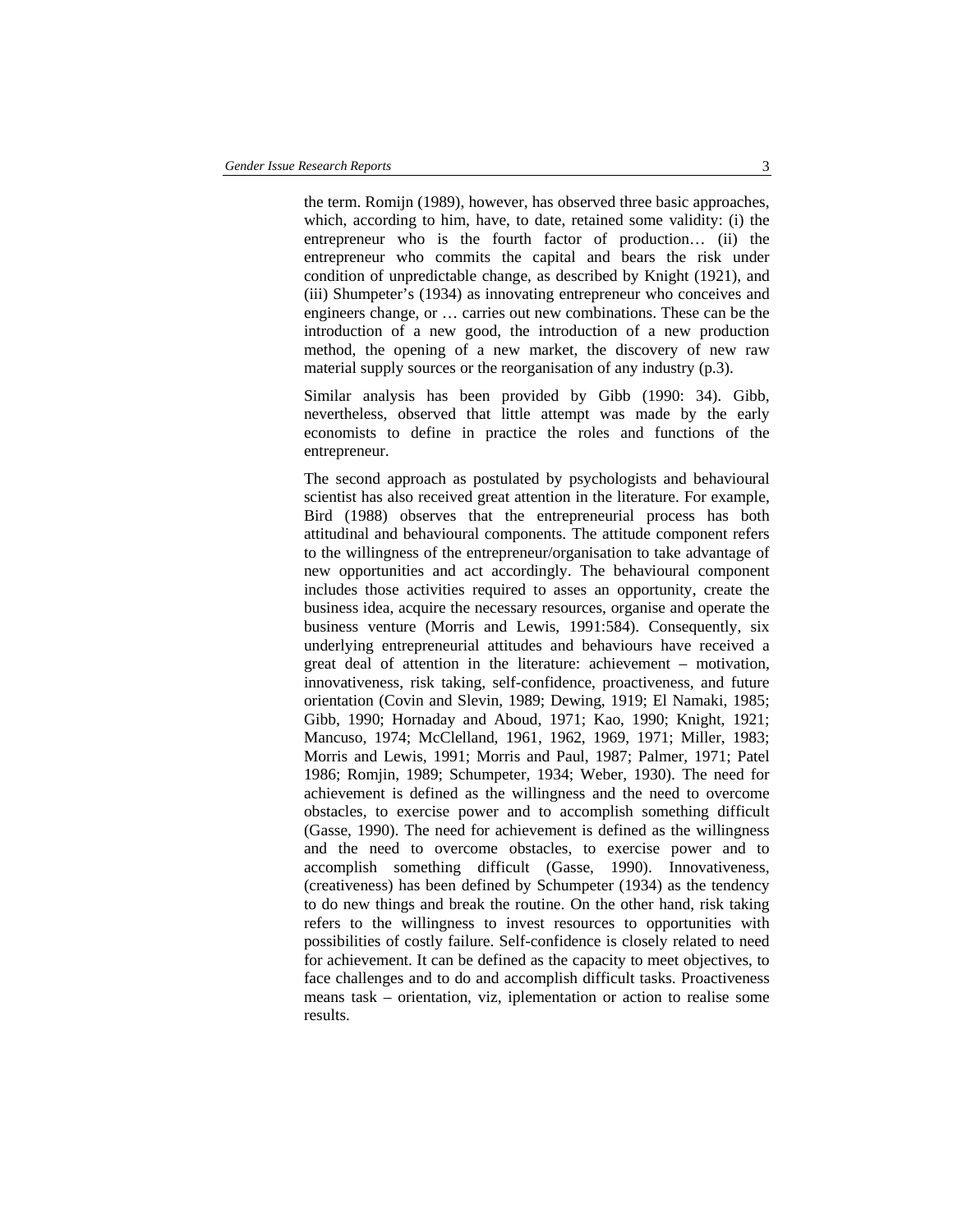the term. Romijn (1989), however, has observed three basic approaches, which, according to him, have, to date, retained some validity: (i) the entrepreneur who is the fourth factor of production… (ii) the entrepreneur who commits the capital and bears the risk under condition of unpredictable change, as described by Knight (1921), and (iii) Shumpeter's (1934) as innovating entrepreneur who conceives and engineers change, or … carries out new combinations. These can be the introduction of a new good, the introduction of a new production method, the opening of a new market, the discovery of new raw material supply sources or the reorganisation of any industry (p.3).

Similar analysis has been provided by Gibb (1990: 34). Gibb, nevertheless, observed that little attempt was made by the early economists to define in practice the roles and functions of the entrepreneur.

The second approach as postulated by psychologists and behavioural scientist has also received great attention in the literature. For example, Bird (1988) observes that the entrepreneurial process has both attitudinal and behavioural components. The attitude component refers to the willingness of the entrepreneur/organisation to take advantage of new opportunities and act accordingly. The behavioural component includes those activities required to asses an opportunity, create the business idea, acquire the necessary resources, organise and operate the business venture (Morris and Lewis, 1991:584). Consequently, six underlying entrepreneurial attitudes and behaviours have received a great deal of attention in the literature: achievement – motivation, innovativeness, risk taking, self-confidence, proactiveness, and future orientation (Covin and Slevin, 1989; Dewing, 1919; El Namaki, 1985; Gibb, 1990; Hornaday and Aboud, 1971; Kao, 1990; Knight, 1921; Mancuso, 1974; McClelland, 1961, 1962, 1969, 1971; Miller, 1983; Morris and Lewis, 1991; Morris and Paul, 1987; Palmer, 1971; Patel 1986; Romjin, 1989; Schumpeter, 1934; Weber, 1930). The need for achievement is defined as the willingness and the need to overcome obstacles, to exercise power and to accomplish something difficult (Gasse, 1990). The need for achievement is defined as the willingness and the need to overcome obstacles, to exercise power and to accomplish something difficult (Gasse, 1990). Innovativeness, (creativeness) has been defined by Schumpeter (1934) as the tendency to do new things and break the routine. On the other hand, risk taking refers to the willingness to invest resources to opportunities with possibilities of costly failure. Self-confidence is closely related to need for achievement. It can be defined as the capacity to meet objectives, to face challenges and to do and accomplish difficult tasks. Proactiveness means task – orientation, viz, iplementation or action to realise some results.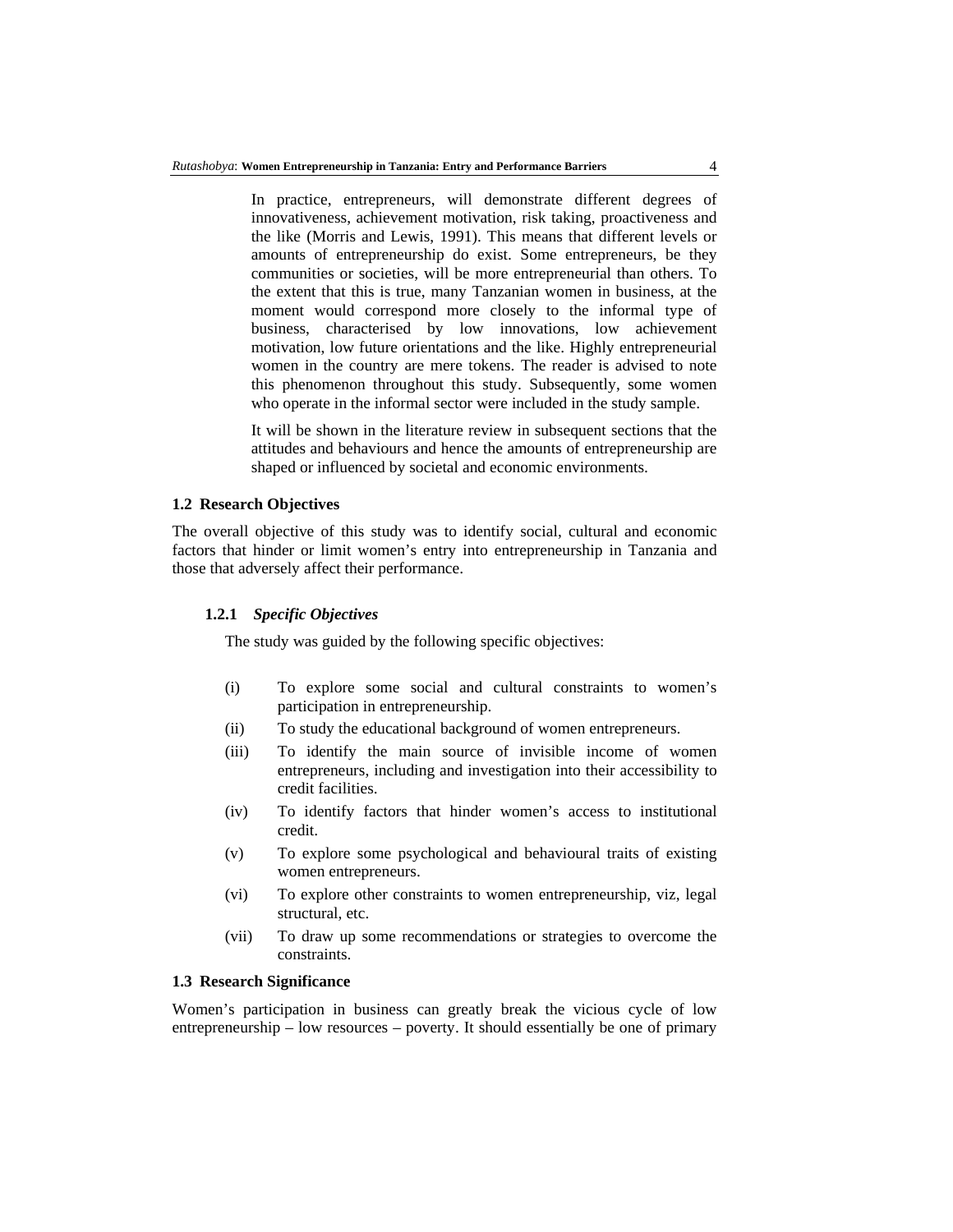In practice, entrepreneurs, will demonstrate different degrees of innovativeness, achievement motivation, risk taking, proactiveness and the like (Morris and Lewis, 1991). This means that different levels or amounts of entrepreneurship do exist. Some entrepreneurs, be they communities or societies, will be more entrepreneurial than others. To the extent that this is true, many Tanzanian women in business, at the moment would correspond more closely to the informal type of business, characterised by low innovations, low achievement motivation, low future orientations and the like. Highly entrepreneurial women in the country are mere tokens. The reader is advised to note this phenomenon throughout this study. Subsequently, some women who operate in the informal sector were included in the study sample.

It will be shown in the literature review in subsequent sections that the attitudes and behaviours and hence the amounts of entrepreneurship are shaped or influenced by societal and economic environments.

### **1.2 Research Objectives**

The overall objective of this study was to identify social, cultural and economic factors that hinder or limit women's entry into entrepreneurship in Tanzania and those that adversely affect their performance.

## **1.2.1** *Specific Objectives*

The study was guided by the following specific objectives:

- (i) To explore some social and cultural constraints to women's participation in entrepreneurship.
- (ii) To study the educational background of women entrepreneurs.
- (iii) To identify the main source of invisible income of women entrepreneurs, including and investigation into their accessibility to credit facilities.
- (iv) To identify factors that hinder women's access to institutional credit.
- (v) To explore some psychological and behavioural traits of existing women entrepreneurs.
- (vi) To explore other constraints to women entrepreneurship, viz, legal structural, etc.
- (vii) To draw up some recommendations or strategies to overcome the constraints.

#### **1.3 Research Significance**

Women's participation in business can greatly break the vicious cycle of low entrepreneurship – low resources – poverty. It should essentially be one of primary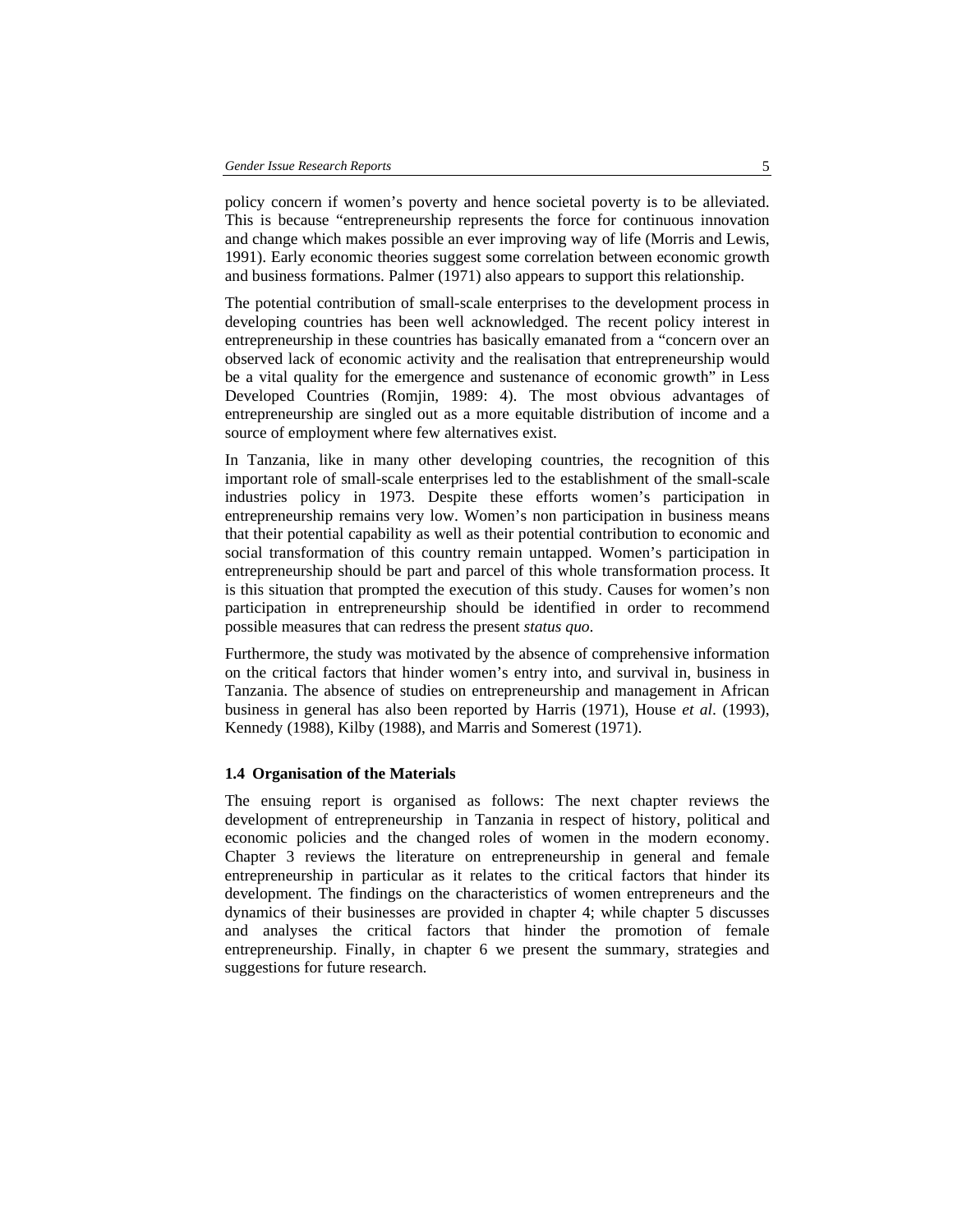policy concern if women's poverty and hence societal poverty is to be alleviated. This is because "entrepreneurship represents the force for continuous innovation and change which makes possible an ever improving way of life (Morris and Lewis, 1991). Early economic theories suggest some correlation between economic growth and business formations. Palmer (1971) also appears to support this relationship.

The potential contribution of small-scale enterprises to the development process in developing countries has been well acknowledged. The recent policy interest in entrepreneurship in these countries has basically emanated from a "concern over an observed lack of economic activity and the realisation that entrepreneurship would be a vital quality for the emergence and sustenance of economic growth" in Less Developed Countries (Romjin, 1989: 4). The most obvious advantages of entrepreneurship are singled out as a more equitable distribution of income and a source of employment where few alternatives exist.

In Tanzania, like in many other developing countries, the recognition of this important role of small-scale enterprises led to the establishment of the small-scale industries policy in 1973. Despite these efforts women's participation in entrepreneurship remains very low. Women's non participation in business means that their potential capability as well as their potential contribution to economic and social transformation of this country remain untapped. Women's participation in entrepreneurship should be part and parcel of this whole transformation process. It is this situation that prompted the execution of this study. Causes for women's non participation in entrepreneurship should be identified in order to recommend possible measures that can redress the present *status quo*.

Furthermore, the study was motivated by the absence of comprehensive information on the critical factors that hinder women's entry into, and survival in, business in Tanzania. The absence of studies on entrepreneurship and management in African business in general has also been reported by Harris (1971), House *et al*. (1993), Kennedy (1988), Kilby (1988), and Marris and Somerest (1971).

#### **1.4 Organisation of the Materials**

The ensuing report is organised as follows: The next chapter reviews the development of entrepreneurship in Tanzania in respect of history, political and economic policies and the changed roles of women in the modern economy. Chapter 3 reviews the literature on entrepreneurship in general and female entrepreneurship in particular as it relates to the critical factors that hinder its development. The findings on the characteristics of women entrepreneurs and the dynamics of their businesses are provided in chapter 4; while chapter 5 discusses and analyses the critical factors that hinder the promotion of female entrepreneurship. Finally, in chapter 6 we present the summary, strategies and suggestions for future research.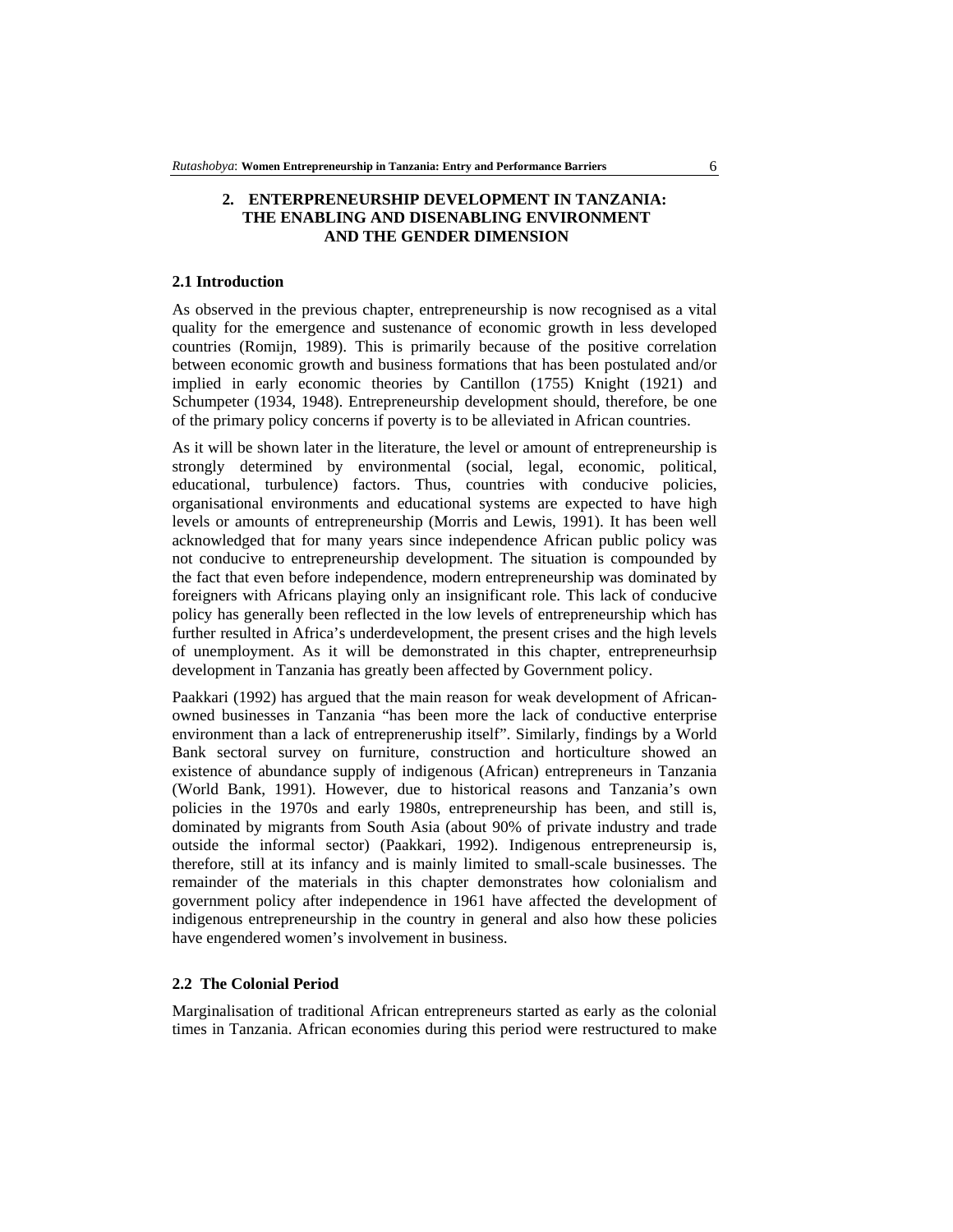## **2. ENTERPRENEURSHIP DEVELOPMENT IN TANZANIA: THE ENABLING AND DISENABLING ENVIRONMENT AND THE GENDER DIMENSION**

### **2.1 Introduction**

As observed in the previous chapter, entrepreneurship is now recognised as a vital quality for the emergence and sustenance of economic growth in less developed countries (Romijn, 1989). This is primarily because of the positive correlation between economic growth and business formations that has been postulated and/or implied in early economic theories by Cantillon (1755) Knight (1921) and Schumpeter (1934, 1948). Entrepreneurship development should, therefore, be one of the primary policy concerns if poverty is to be alleviated in African countries.

As it will be shown later in the literature, the level or amount of entrepreneurship is strongly determined by environmental (social, legal, economic, political, educational, turbulence) factors. Thus, countries with conducive policies, organisational environments and educational systems are expected to have high levels or amounts of entrepreneurship (Morris and Lewis, 1991). It has been well acknowledged that for many years since independence African public policy was not conducive to entrepreneurship development. The situation is compounded by the fact that even before independence, modern entrepreneurship was dominated by foreigners with Africans playing only an insignificant role. This lack of conducive policy has generally been reflected in the low levels of entrepreneurship which has further resulted in Africa's underdevelopment, the present crises and the high levels of unemployment. As it will be demonstrated in this chapter, entrepreneurhsip development in Tanzania has greatly been affected by Government policy.

Paakkari (1992) has argued that the main reason for weak development of Africanowned businesses in Tanzania "has been more the lack of conductive enterprise environment than a lack of entrepreneruship itself". Similarly, findings by a World Bank sectoral survey on furniture, construction and horticulture showed an existence of abundance supply of indigenous (African) entrepreneurs in Tanzania (World Bank, 1991). However, due to historical reasons and Tanzania's own policies in the 1970s and early 1980s, entrepreneurship has been, and still is, dominated by migrants from South Asia (about 90% of private industry and trade outside the informal sector) (Paakkari, 1992). Indigenous entrepreneursip is, therefore, still at its infancy and is mainly limited to small-scale businesses. The remainder of the materials in this chapter demonstrates how colonialism and government policy after independence in 1961 have affected the development of indigenous entrepreneurship in the country in general and also how these policies have engendered women's involvement in business.

### **2.2 The Colonial Period**

Marginalisation of traditional African entrepreneurs started as early as the colonial times in Tanzania. African economies during this period were restructured to make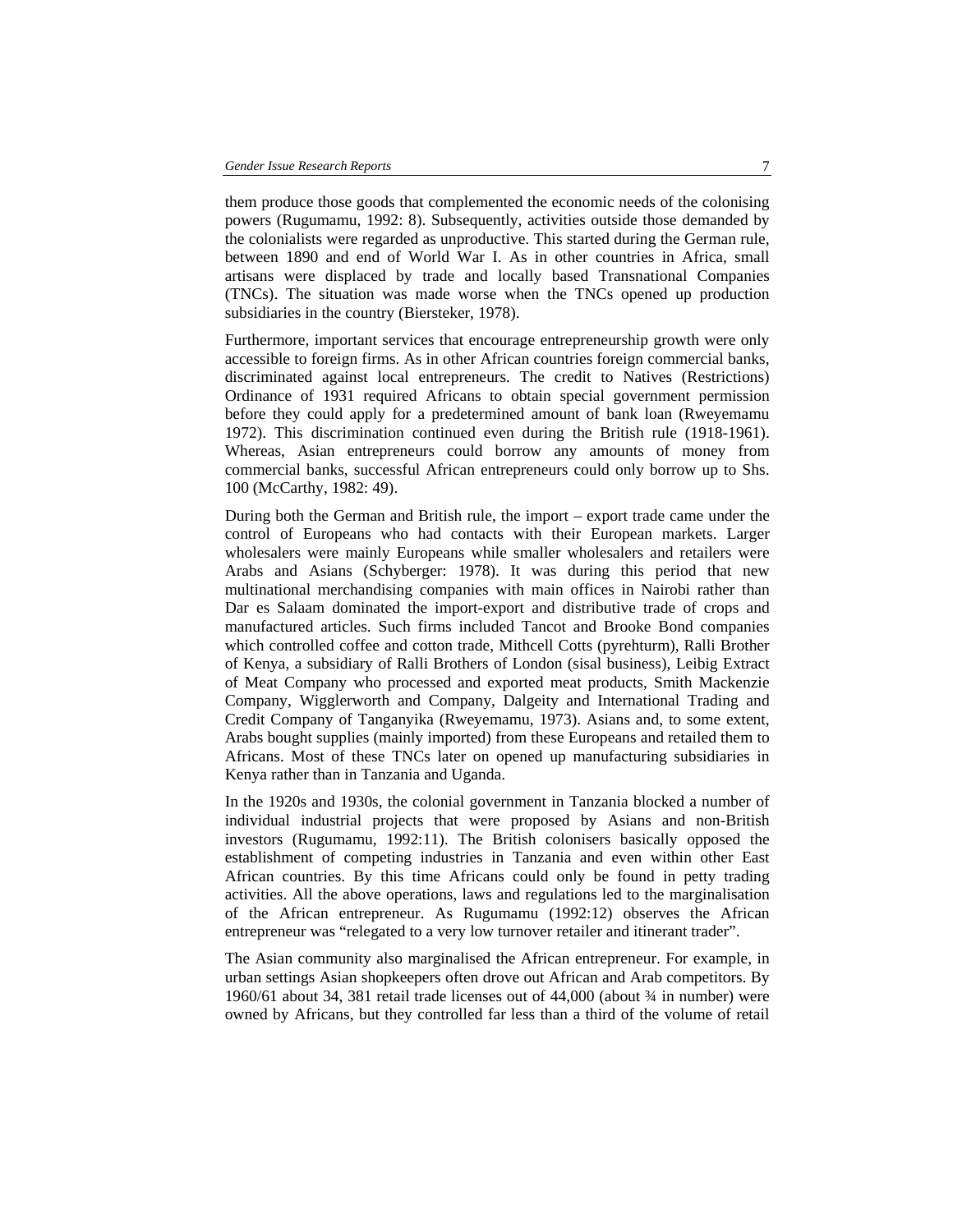them produce those goods that complemented the economic needs of the colonising powers (Rugumamu, 1992: 8). Subsequently, activities outside those demanded by the colonialists were regarded as unproductive. This started during the German rule, between 1890 and end of World War I. As in other countries in Africa, small artisans were displaced by trade and locally based Transnational Companies (TNCs). The situation was made worse when the TNCs opened up production subsidiaries in the country (Biersteker, 1978).

Furthermore, important services that encourage entrepreneurship growth were only accessible to foreign firms. As in other African countries foreign commercial banks, discriminated against local entrepreneurs. The credit to Natives (Restrictions) Ordinance of 1931 required Africans to obtain special government permission before they could apply for a predetermined amount of bank loan (Rweyemamu 1972). This discrimination continued even during the British rule (1918-1961). Whereas, Asian entrepreneurs could borrow any amounts of money from commercial banks, successful African entrepreneurs could only borrow up to Shs. 100 (McCarthy, 1982: 49).

During both the German and British rule, the import – export trade came under the control of Europeans who had contacts with their European markets. Larger wholesalers were mainly Europeans while smaller wholesalers and retailers were Arabs and Asians (Schyberger: 1978). It was during this period that new multinational merchandising companies with main offices in Nairobi rather than Dar es Salaam dominated the import-export and distributive trade of crops and manufactured articles. Such firms included Tancot and Brooke Bond companies which controlled coffee and cotton trade, Mithcell Cotts (pyrehturm), Ralli Brother of Kenya, a subsidiary of Ralli Brothers of London (sisal business), Leibig Extract of Meat Company who processed and exported meat products, Smith Mackenzie Company, Wigglerworth and Company, Dalgeity and International Trading and Credit Company of Tanganyika (Rweyemamu, 1973). Asians and, to some extent, Arabs bought supplies (mainly imported) from these Europeans and retailed them to Africans. Most of these TNCs later on opened up manufacturing subsidiaries in Kenya rather than in Tanzania and Uganda.

In the 1920s and 1930s, the colonial government in Tanzania blocked a number of individual industrial projects that were proposed by Asians and non-British investors (Rugumamu, 1992:11). The British colonisers basically opposed the establishment of competing industries in Tanzania and even within other East African countries. By this time Africans could only be found in petty trading activities. All the above operations, laws and regulations led to the marginalisation of the African entrepreneur. As Rugumamu (1992:12) observes the African entrepreneur was "relegated to a very low turnover retailer and itinerant trader".

The Asian community also marginalised the African entrepreneur. For example, in urban settings Asian shopkeepers often drove out African and Arab competitors. By 1960/61 about 34, 381 retail trade licenses out of 44,000 (about ¾ in number) were owned by Africans, but they controlled far less than a third of the volume of retail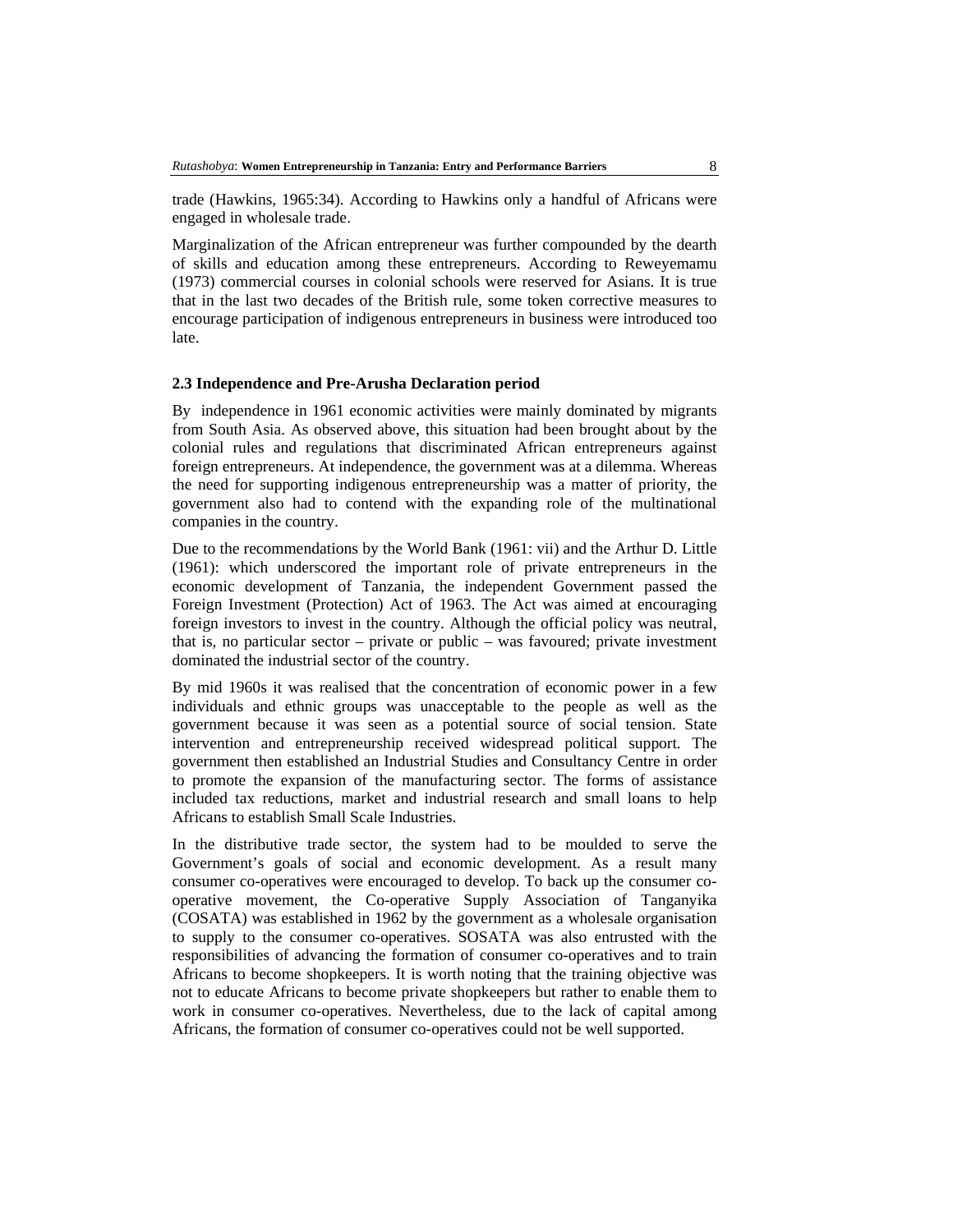trade (Hawkins, 1965:34). According to Hawkins only a handful of Africans were engaged in wholesale trade.

Marginalization of the African entrepreneur was further compounded by the dearth of skills and education among these entrepreneurs. According to Reweyemamu (1973) commercial courses in colonial schools were reserved for Asians. It is true that in the last two decades of the British rule, some token corrective measures to encourage participation of indigenous entrepreneurs in business were introduced too late.

### **2.3 Independence and Pre-Arusha Declaration period**

By independence in 1961 economic activities were mainly dominated by migrants from South Asia. As observed above, this situation had been brought about by the colonial rules and regulations that discriminated African entrepreneurs against foreign entrepreneurs. At independence, the government was at a dilemma. Whereas the need for supporting indigenous entrepreneurship was a matter of priority, the government also had to contend with the expanding role of the multinational companies in the country.

Due to the recommendations by the World Bank (1961: vii) and the Arthur D. Little (1961): which underscored the important role of private entrepreneurs in the economic development of Tanzania, the independent Government passed the Foreign Investment (Protection) Act of 1963. The Act was aimed at encouraging foreign investors to invest in the country. Although the official policy was neutral, that is, no particular sector – private or public – was favoured; private investment dominated the industrial sector of the country.

By mid 1960s it was realised that the concentration of economic power in a few individuals and ethnic groups was unacceptable to the people as well as the government because it was seen as a potential source of social tension. State intervention and entrepreneurship received widespread political support. The government then established an Industrial Studies and Consultancy Centre in order to promote the expansion of the manufacturing sector. The forms of assistance included tax reductions, market and industrial research and small loans to help Africans to establish Small Scale Industries.

In the distributive trade sector, the system had to be moulded to serve the Government's goals of social and economic development. As a result many consumer co-operatives were encouraged to develop. To back up the consumer cooperative movement, the Co-operative Supply Association of Tanganyika (COSATA) was established in 1962 by the government as a wholesale organisation to supply to the consumer co-operatives. SOSATA was also entrusted with the responsibilities of advancing the formation of consumer co-operatives and to train Africans to become shopkeepers. It is worth noting that the training objective was not to educate Africans to become private shopkeepers but rather to enable them to work in consumer co-operatives. Nevertheless, due to the lack of capital among Africans, the formation of consumer co-operatives could not be well supported.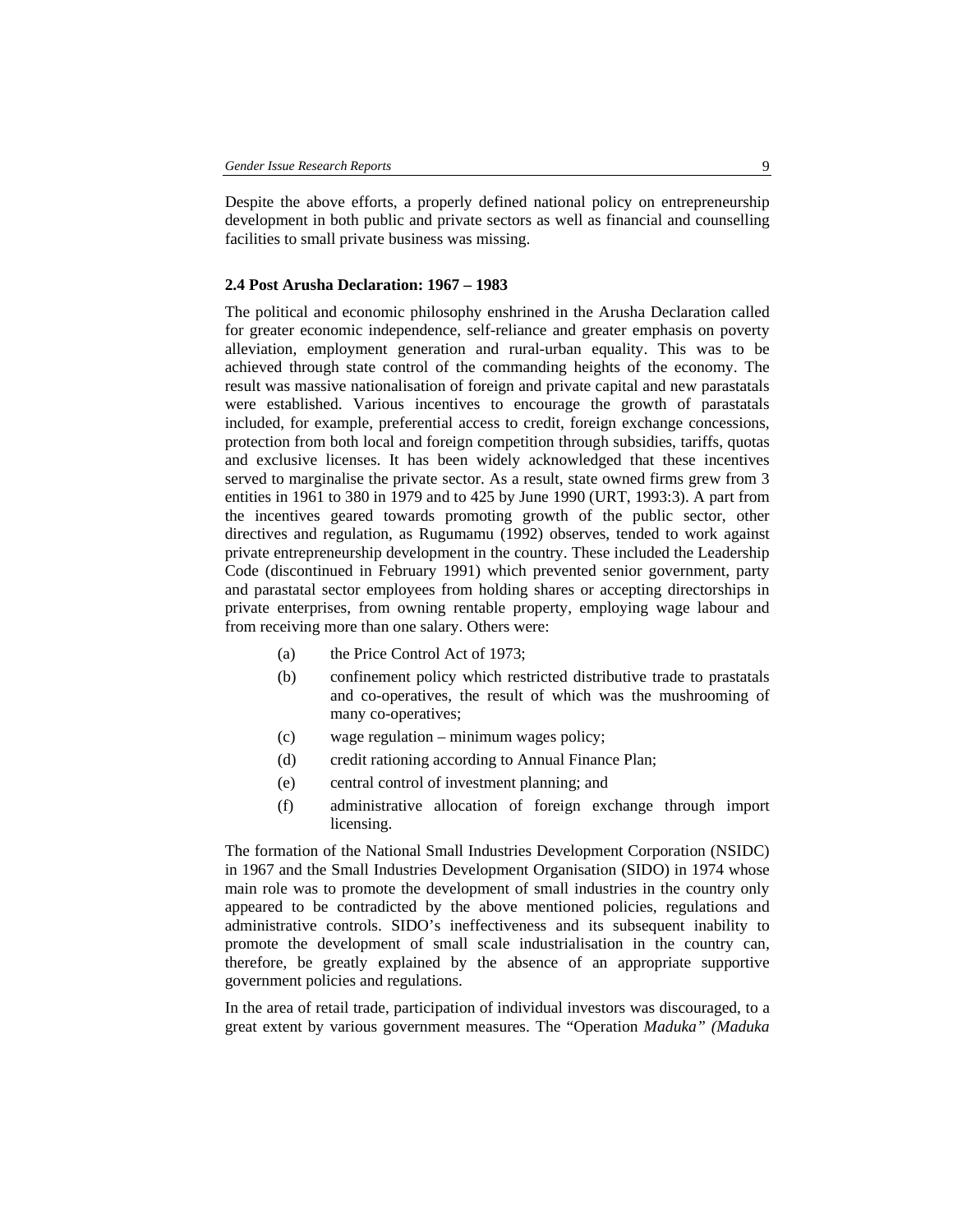Despite the above efforts, a properly defined national policy on entrepreneurship development in both public and private sectors as well as financial and counselling facilities to small private business was missing.

### **2.4 Post Arusha Declaration: 1967 – 1983**

The political and economic philosophy enshrined in the Arusha Declaration called for greater economic independence, self-reliance and greater emphasis on poverty alleviation, employment generation and rural-urban equality. This was to be achieved through state control of the commanding heights of the economy. The result was massive nationalisation of foreign and private capital and new parastatals were established. Various incentives to encourage the growth of parastatals included, for example, preferential access to credit, foreign exchange concessions, protection from both local and foreign competition through subsidies, tariffs, quotas and exclusive licenses. It has been widely acknowledged that these incentives served to marginalise the private sector. As a result, state owned firms grew from 3 entities in 1961 to 380 in 1979 and to 425 by June 1990 (URT, 1993:3). A part from the incentives geared towards promoting growth of the public sector, other directives and regulation, as Rugumamu (1992) observes, tended to work against private entrepreneurship development in the country. These included the Leadership Code (discontinued in February 1991) which prevented senior government, party and parastatal sector employees from holding shares or accepting directorships in private enterprises, from owning rentable property, employing wage labour and from receiving more than one salary. Others were:

- (a) the Price Control Act of 1973;
- (b) confinement policy which restricted distributive trade to prastatals and co-operatives, the result of which was the mushrooming of many co-operatives;
- (c) wage regulation minimum wages policy;
- (d) credit rationing according to Annual Finance Plan;
- (e) central control of investment planning; and
- (f) administrative allocation of foreign exchange through import licensing.

The formation of the National Small Industries Development Corporation (NSIDC) in 1967 and the Small Industries Development Organisation (SIDO) in 1974 whose main role was to promote the development of small industries in the country only appeared to be contradicted by the above mentioned policies, regulations and administrative controls. SIDO's ineffectiveness and its subsequent inability to promote the development of small scale industrialisation in the country can, therefore, be greatly explained by the absence of an appropriate supportive government policies and regulations.

In the area of retail trade, participation of individual investors was discouraged, to a great extent by various government measures. The "Operation *Maduka" (Maduka*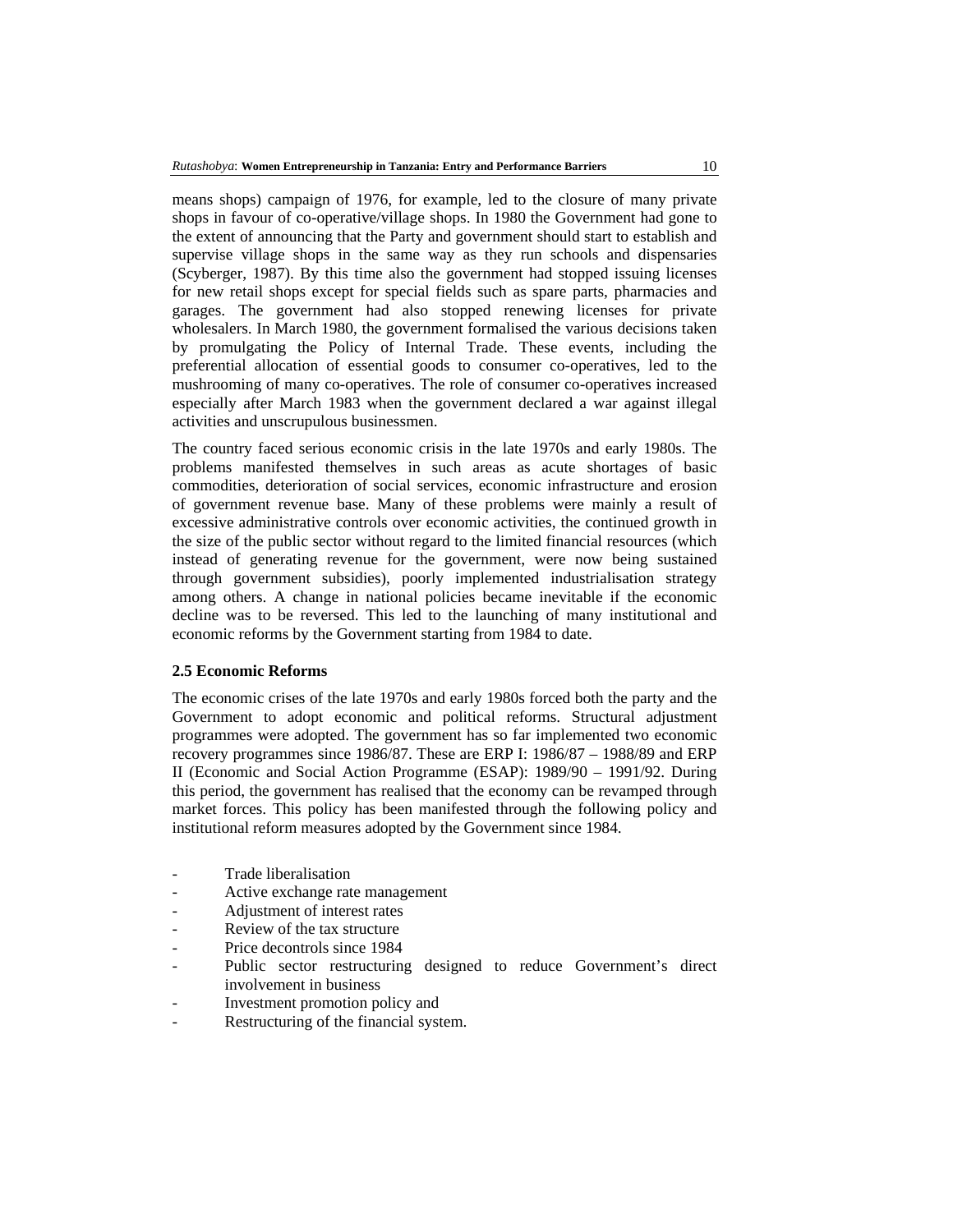means shops) campaign of 1976, for example, led to the closure of many private shops in favour of co-operative/village shops. In 1980 the Government had gone to the extent of announcing that the Party and government should start to establish and supervise village shops in the same way as they run schools and dispensaries (Scyberger, 1987). By this time also the government had stopped issuing licenses for new retail shops except for special fields such as spare parts, pharmacies and garages. The government had also stopped renewing licenses for private wholesalers. In March 1980, the government formalised the various decisions taken by promulgating the Policy of Internal Trade. These events, including the preferential allocation of essential goods to consumer co-operatives, led to the mushrooming of many co-operatives. The role of consumer co-operatives increased especially after March 1983 when the government declared a war against illegal activities and unscrupulous businessmen.

The country faced serious economic crisis in the late 1970s and early 1980s. The problems manifested themselves in such areas as acute shortages of basic commodities, deterioration of social services, economic infrastructure and erosion of government revenue base. Many of these problems were mainly a result of excessive administrative controls over economic activities, the continued growth in the size of the public sector without regard to the limited financial resources (which instead of generating revenue for the government, were now being sustained through government subsidies), poorly implemented industrialisation strategy among others. A change in national policies became inevitable if the economic decline was to be reversed. This led to the launching of many institutional and economic reforms by the Government starting from 1984 to date.

### **2.5 Economic Reforms**

The economic crises of the late 1970s and early 1980s forced both the party and the Government to adopt economic and political reforms. Structural adjustment programmes were adopted. The government has so far implemented two economic recovery programmes since 1986/87. These are ERP I: 1986/87 – 1988/89 and ERP II (Economic and Social Action Programme (ESAP): 1989/90 – 1991/92. During this period, the government has realised that the economy can be revamped through market forces. This policy has been manifested through the following policy and institutional reform measures adopted by the Government since 1984.

- Trade liberalisation
- Active exchange rate management
- Adjustment of interest rates
- Review of the tax structure
- Price decontrols since 1984
- Public sector restructuring designed to reduce Government's direct involvement in business
- Investment promotion policy and
- Restructuring of the financial system.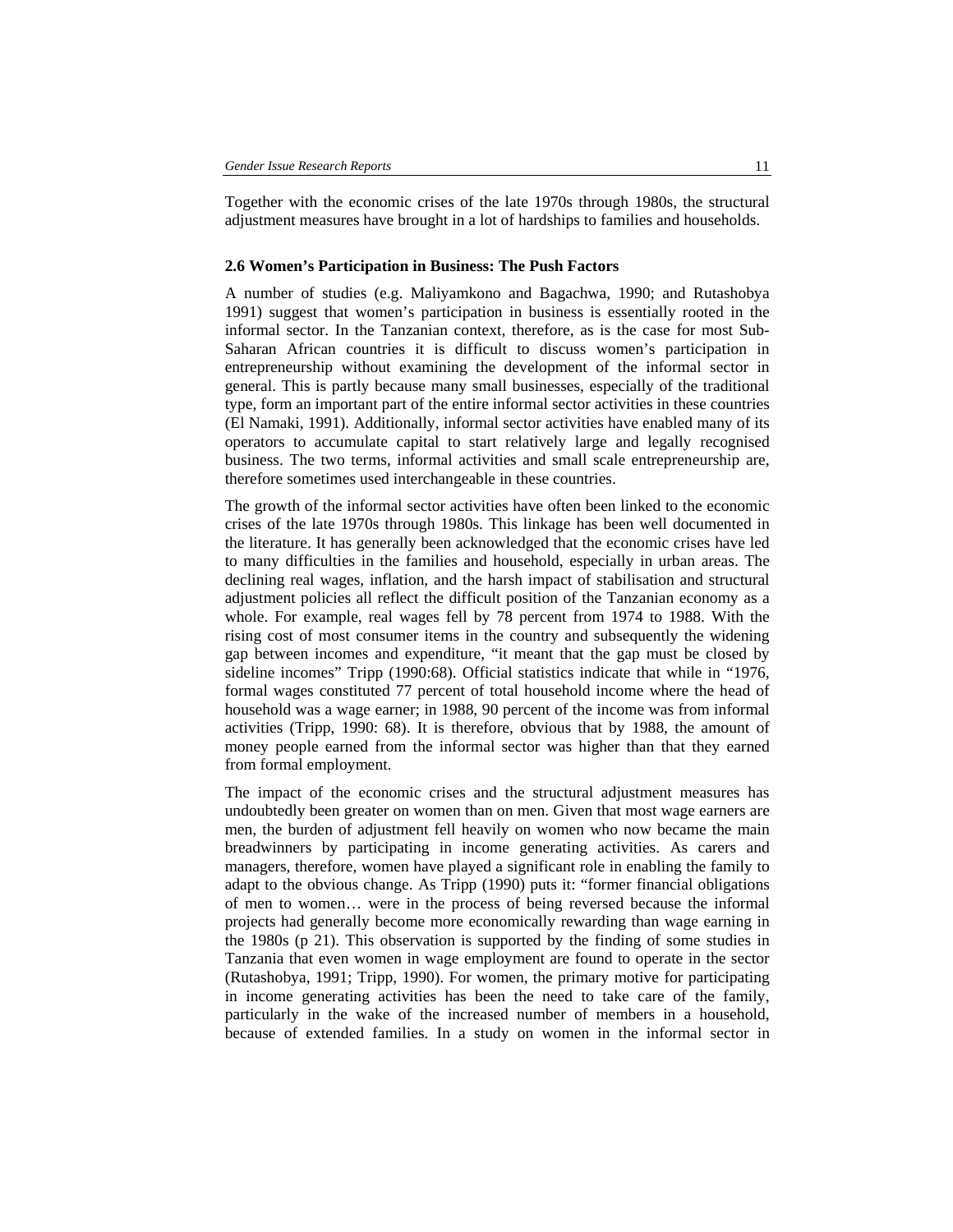Together with the economic crises of the late 1970s through 1980s, the structural adjustment measures have brought in a lot of hardships to families and households.

#### **2.6 Women's Participation in Business: The Push Factors**

A number of studies (e.g. Maliyamkono and Bagachwa, 1990; and Rutashobya 1991) suggest that women's participation in business is essentially rooted in the informal sector. In the Tanzanian context, therefore, as is the case for most Sub-Saharan African countries it is difficult to discuss women's participation in entrepreneurship without examining the development of the informal sector in general. This is partly because many small businesses, especially of the traditional type, form an important part of the entire informal sector activities in these countries (El Namaki, 1991). Additionally, informal sector activities have enabled many of its operators to accumulate capital to start relatively large and legally recognised business. The two terms, informal activities and small scale entrepreneurship are, therefore sometimes used interchangeable in these countries.

The growth of the informal sector activities have often been linked to the economic crises of the late 1970s through 1980s. This linkage has been well documented in the literature. It has generally been acknowledged that the economic crises have led to many difficulties in the families and household, especially in urban areas. The declining real wages, inflation, and the harsh impact of stabilisation and structural adjustment policies all reflect the difficult position of the Tanzanian economy as a whole. For example, real wages fell by 78 percent from 1974 to 1988. With the rising cost of most consumer items in the country and subsequently the widening gap between incomes and expenditure, "it meant that the gap must be closed by sideline incomes" Tripp (1990:68). Official statistics indicate that while in "1976, formal wages constituted 77 percent of total household income where the head of household was a wage earner; in 1988, 90 percent of the income was from informal activities (Tripp, 1990: 68). It is therefore, obvious that by 1988, the amount of money people earned from the informal sector was higher than that they earned from formal employment.

The impact of the economic crises and the structural adjustment measures has undoubtedly been greater on women than on men. Given that most wage earners are men, the burden of adjustment fell heavily on women who now became the main breadwinners by participating in income generating activities. As carers and managers, therefore, women have played a significant role in enabling the family to adapt to the obvious change. As Tripp (1990) puts it: "former financial obligations of men to women… were in the process of being reversed because the informal projects had generally become more economically rewarding than wage earning in the 1980s (p 21). This observation is supported by the finding of some studies in Tanzania that even women in wage employment are found to operate in the sector (Rutashobya, 1991; Tripp, 1990). For women, the primary motive for participating in income generating activities has been the need to take care of the family, particularly in the wake of the increased number of members in a household, because of extended families. In a study on women in the informal sector in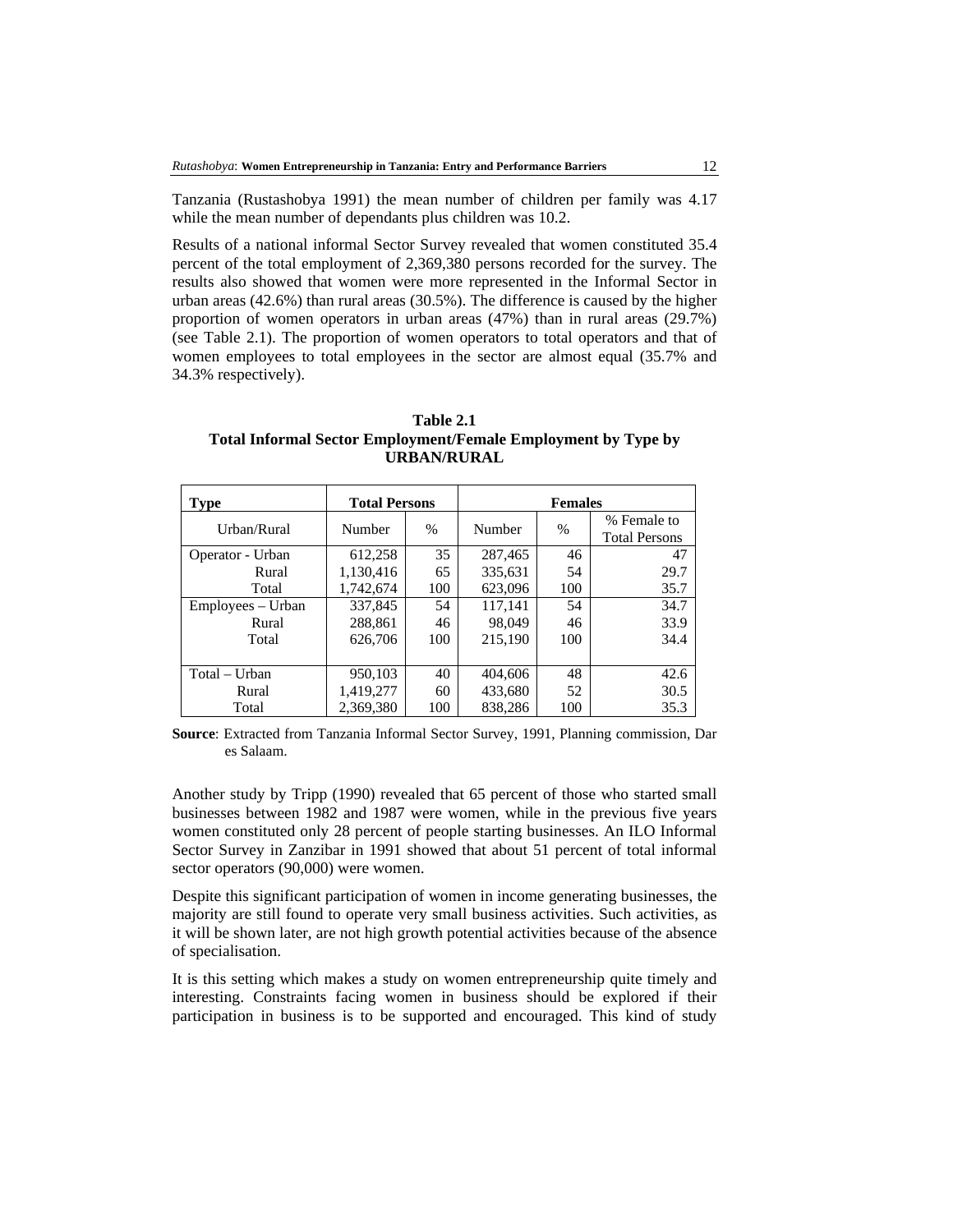Tanzania (Rustashobya 1991) the mean number of children per family was 4.17 while the mean number of dependants plus children was 10.2.

Results of a national informal Sector Survey revealed that women constituted 35.4 percent of the total employment of 2,369,380 persons recorded for the survey. The results also showed that women were more represented in the Informal Sector in urban areas (42.6%) than rural areas (30.5%). The difference is caused by the higher proportion of women operators in urban areas (47%) than in rural areas (29.7%) (see Table 2.1). The proportion of women operators to total operators and that of women employees to total employees in the sector are almost equal (35.7% and 34.3% respectively).

**Table 2.1 Total Informal Sector Employment/Female Employment by Type by URBAN/RURAL** 

| <b>Type</b>       | <b>Total Persons</b> |     | <b>Females</b> |      |                                     |  |
|-------------------|----------------------|-----|----------------|------|-------------------------------------|--|
| Urban/Rural       | $\%$<br>Number       |     | Number         | $\%$ | % Female to<br><b>Total Persons</b> |  |
| Operator - Urban  | 612,258              | 35  | 287,465        | 46   | 47                                  |  |
| Rural             | 1,130,416            | 65  | 335,631        | 54   | 29.7                                |  |
| Total             | 1,742,674            | 100 | 623,096        | 100  | 35.7                                |  |
| Employees – Urban | 337,845              | 54  | 117,141        | 54   | 34.7                                |  |
| Rural             | 288,861              | 46  | 98,049         | 46   | 33.9                                |  |
| Total             | 626,706              | 100 | 215,190        | 100  | 34.4                                |  |
|                   |                      |     |                |      |                                     |  |
| Total – Urban     | 950,103              | 40  | 404,606        | 48   | 42.6                                |  |
| Rural             | 1,419,277            | 60  | 433,680        | 52   | 30.5                                |  |
| Total             | 2,369,380            | 100 | 838.286        | 100  | 35.3                                |  |

**Source**: Extracted from Tanzania Informal Sector Survey, 1991, Planning commission, Dar es Salaam.

Another study by Tripp (1990) revealed that 65 percent of those who started small businesses between 1982 and 1987 were women, while in the previous five years women constituted only 28 percent of people starting businesses. An ILO Informal Sector Survey in Zanzibar in 1991 showed that about 51 percent of total informal sector operators (90,000) were women.

Despite this significant participation of women in income generating businesses, the majority are still found to operate very small business activities. Such activities, as it will be shown later, are not high growth potential activities because of the absence of specialisation.

It is this setting which makes a study on women entrepreneurship quite timely and interesting. Constraints facing women in business should be explored if their participation in business is to be supported and encouraged. This kind of study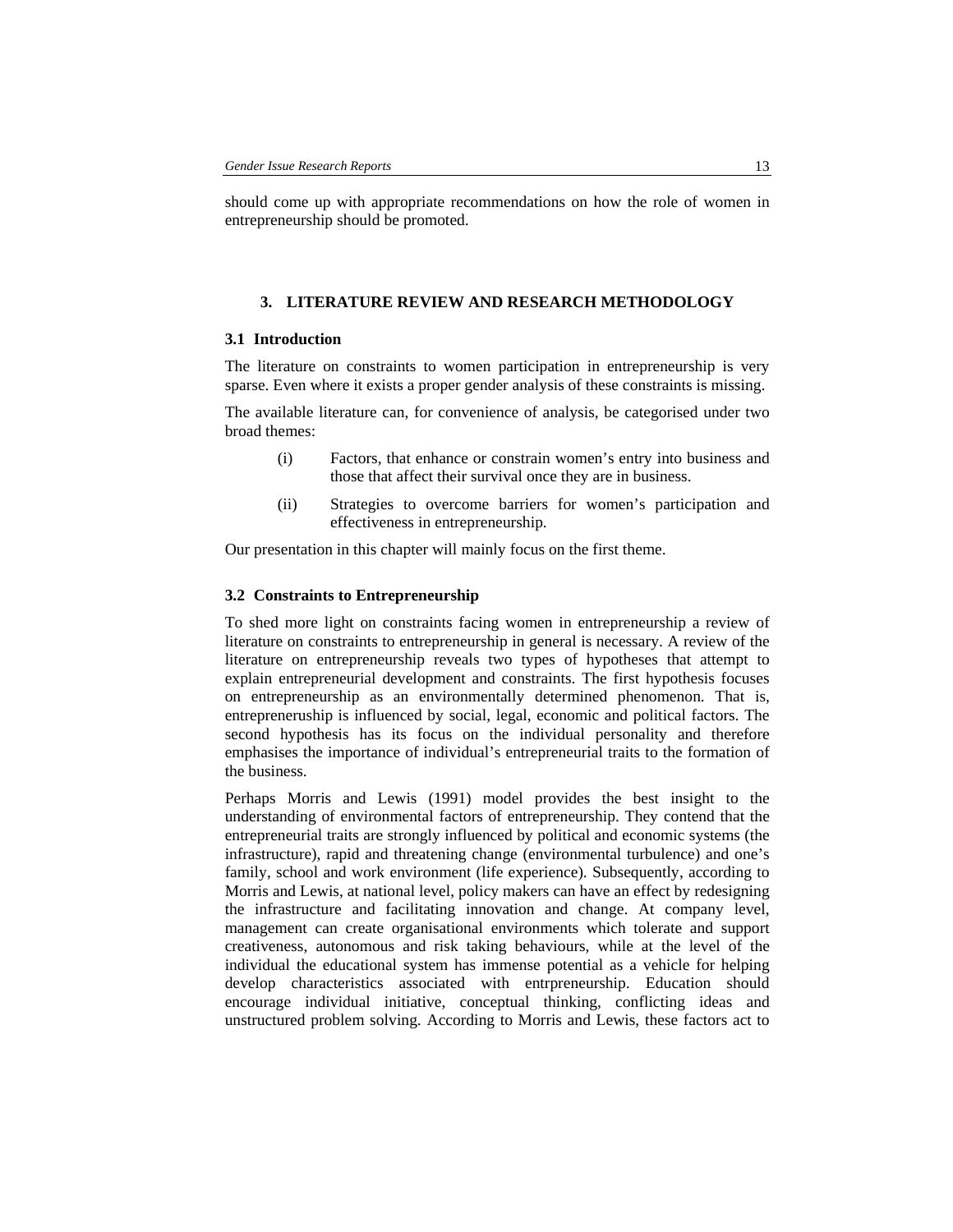should come up with appropriate recommendations on how the role of women in entrepreneurship should be promoted.

### **3. LITERATURE REVIEW AND RESEARCH METHODOLOGY**

#### **3.1 Introduction**

The literature on constraints to women participation in entrepreneurship is very sparse. Even where it exists a proper gender analysis of these constraints is missing.

The available literature can, for convenience of analysis, be categorised under two broad themes:

- (i) Factors, that enhance or constrain women's entry into business and those that affect their survival once they are in business.
- (ii) Strategies to overcome barriers for women's participation and effectiveness in entrepreneurship.

Our presentation in this chapter will mainly focus on the first theme.

#### **3.2 Constraints to Entrepreneurship**

To shed more light on constraints facing women in entrepreneurship a review of literature on constraints to entrepreneurship in general is necessary. A review of the literature on entrepreneurship reveals two types of hypotheses that attempt to explain entrepreneurial development and constraints. The first hypothesis focuses on entrepreneurship as an environmentally determined phenomenon. That is, entrepreneruship is influenced by social, legal, economic and political factors. The second hypothesis has its focus on the individual personality and therefore emphasises the importance of individual's entrepreneurial traits to the formation of the business.

Perhaps Morris and Lewis (1991) model provides the best insight to the understanding of environmental factors of entrepreneurship. They contend that the entrepreneurial traits are strongly influenced by political and economic systems (the infrastructure), rapid and threatening change (environmental turbulence) and one's family, school and work environment (life experience). Subsequently, according to Morris and Lewis, at national level, policy makers can have an effect by redesigning the infrastructure and facilitating innovation and change. At company level, management can create organisational environments which tolerate and support creativeness, autonomous and risk taking behaviours, while at the level of the individual the educational system has immense potential as a vehicle for helping develop characteristics associated with entrpreneurship. Education should encourage individual initiative, conceptual thinking, conflicting ideas and unstructured problem solving. According to Morris and Lewis, these factors act to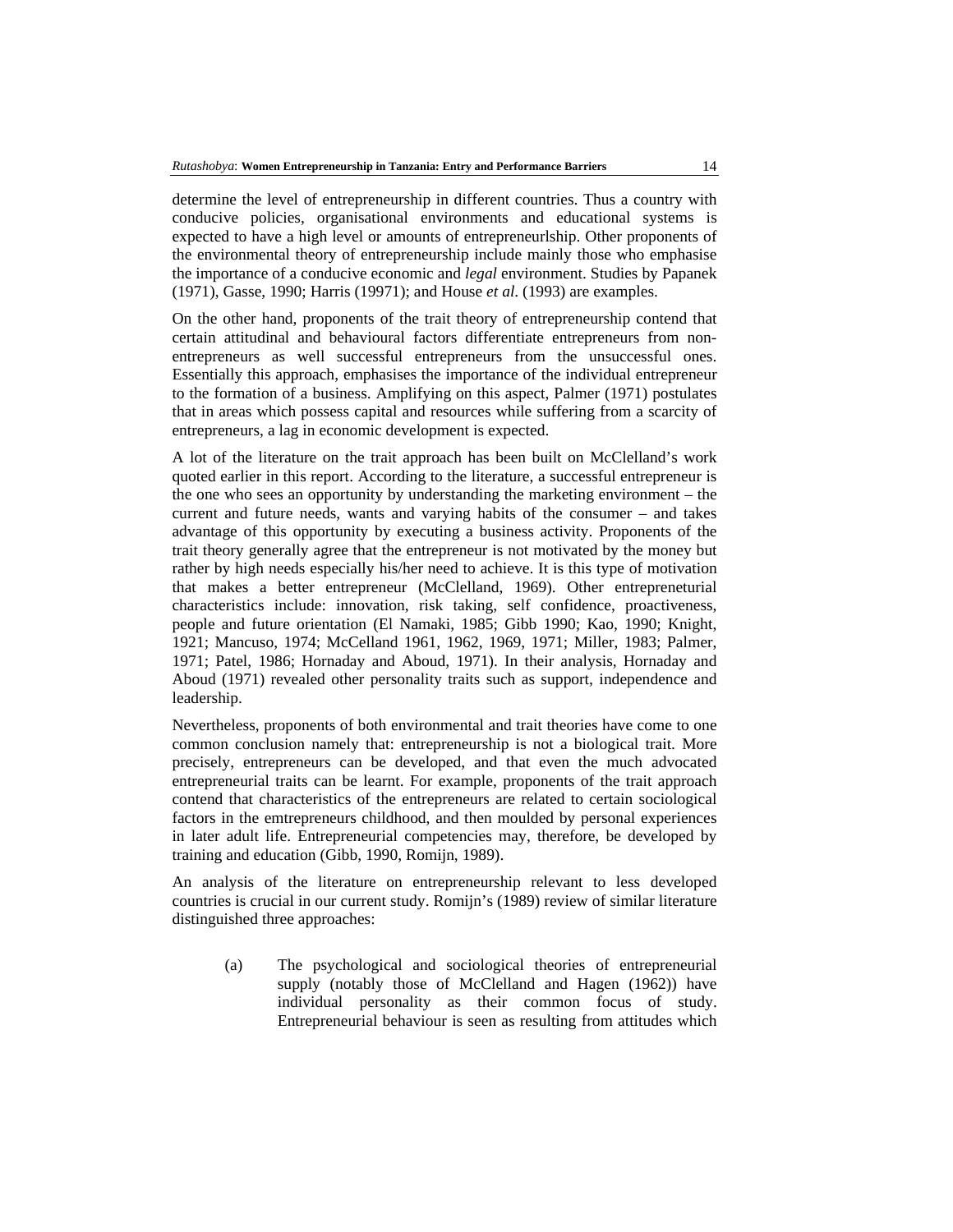determine the level of entrepreneurship in different countries. Thus a country with conducive policies, organisational environments and educational systems is expected to have a high level or amounts of entrepreneurlship. Other proponents of the environmental theory of entrepreneurship include mainly those who emphasise the importance of a conducive economic and *legal* environment. Studies by Papanek (1971), Gasse, 1990; Harris (19971); and House *et al*. (1993) are examples.

On the other hand, proponents of the trait theory of entrepreneurship contend that certain attitudinal and behavioural factors differentiate entrepreneurs from nonentrepreneurs as well successful entrepreneurs from the unsuccessful ones. Essentially this approach, emphasises the importance of the individual entrepreneur to the formation of a business. Amplifying on this aspect, Palmer (1971) postulates that in areas which possess capital and resources while suffering from a scarcity of entrepreneurs, a lag in economic development is expected.

A lot of the literature on the trait approach has been built on McClelland's work quoted earlier in this report. According to the literature, a successful entrepreneur is the one who sees an opportunity by understanding the marketing environment – the current and future needs, wants and varying habits of the consumer – and takes advantage of this opportunity by executing a business activity. Proponents of the trait theory generally agree that the entrepreneur is not motivated by the money but rather by high needs especially his/her need to achieve. It is this type of motivation that makes a better entrepreneur (McClelland, 1969). Other entrepreneturial characteristics include: innovation, risk taking, self confidence, proactiveness, people and future orientation (El Namaki, 1985; Gibb 1990; Kao, 1990; Knight, 1921; Mancuso, 1974; McCelland 1961, 1962, 1969, 1971; Miller, 1983; Palmer, 1971; Patel, 1986; Hornaday and Aboud, 1971). In their analysis, Hornaday and Aboud (1971) revealed other personality traits such as support, independence and leadership.

Nevertheless, proponents of both environmental and trait theories have come to one common conclusion namely that: entrepreneurship is not a biological trait. More precisely, entrepreneurs can be developed, and that even the much advocated entrepreneurial traits can be learnt. For example, proponents of the trait approach contend that characteristics of the entrepreneurs are related to certain sociological factors in the emtrepreneurs childhood, and then moulded by personal experiences in later adult life. Entrepreneurial competencies may, therefore, be developed by training and education (Gibb, 1990, Romijn, 1989).

An analysis of the literature on entrepreneurship relevant to less developed countries is crucial in our current study. Romijn's (1989) review of similar literature distinguished three approaches:

(a) The psychological and sociological theories of entrepreneurial supply (notably those of McClelland and Hagen (1962)) have individual personality as their common focus of study. Entrepreneurial behaviour is seen as resulting from attitudes which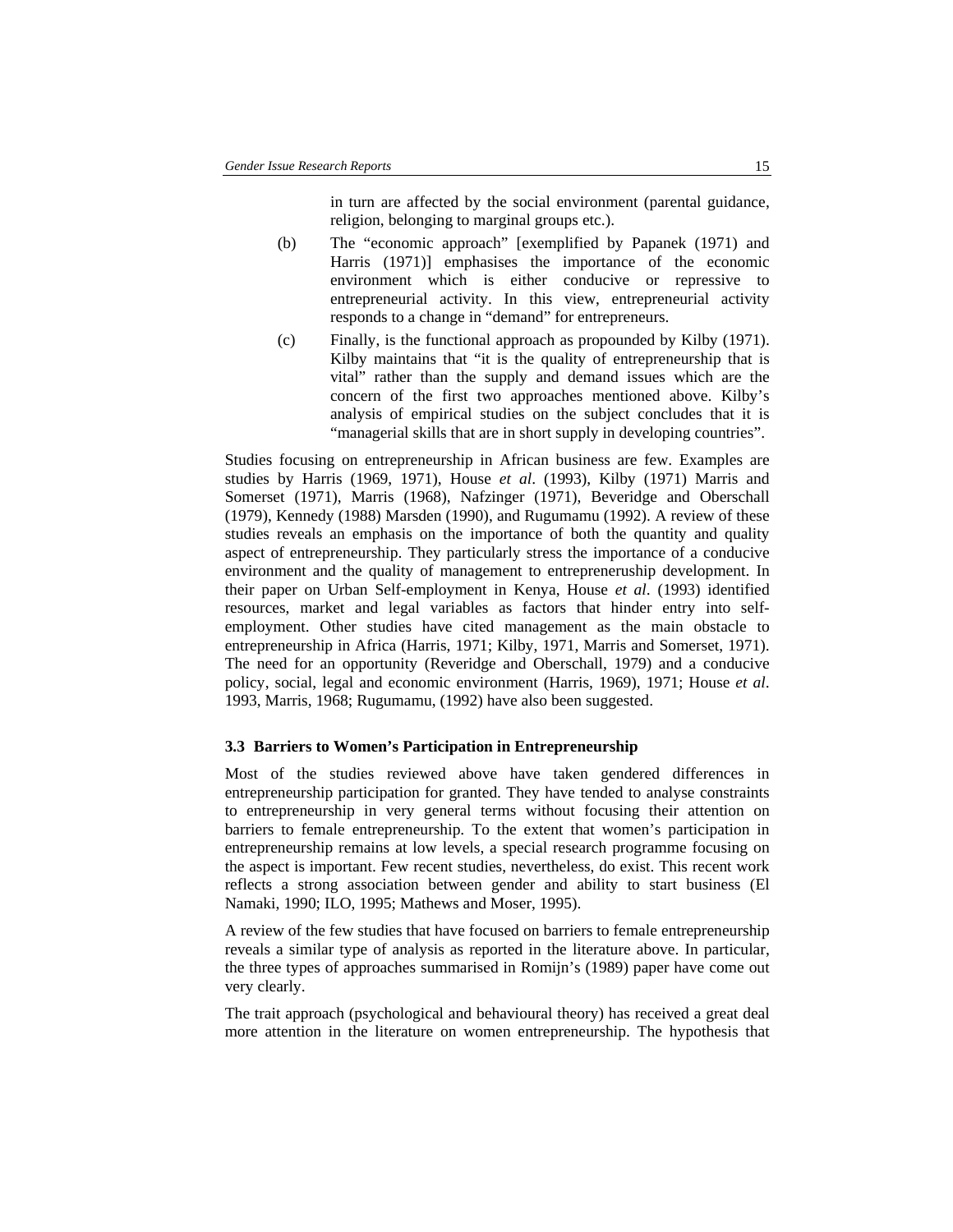in turn are affected by the social environment (parental guidance, religion, belonging to marginal groups etc.).

- (b) The "economic approach" [exemplified by Papanek (1971) and Harris (1971)] emphasises the importance of the economic environment which is either conducive or repressive to entrepreneurial activity. In this view, entrepreneurial activity responds to a change in "demand" for entrepreneurs.
- (c) Finally, is the functional approach as propounded by Kilby (1971). Kilby maintains that "it is the quality of entrepreneurship that is vital" rather than the supply and demand issues which are the concern of the first two approaches mentioned above. Kilby's analysis of empirical studies on the subject concludes that it is "managerial skills that are in short supply in developing countries".

Studies focusing on entrepreneurship in African business are few. Examples are studies by Harris (1969, 1971), House *et al*. (1993), Kilby (1971) Marris and Somerset (1971), Marris (1968), Nafzinger (1971), Beveridge and Oberschall (1979), Kennedy (1988) Marsden (1990), and Rugumamu (1992). A review of these studies reveals an emphasis on the importance of both the quantity and quality aspect of entrepreneurship. They particularly stress the importance of a conducive environment and the quality of management to entrepreneruship development. In their paper on Urban Self-employment in Kenya, House *et al*. (1993) identified resources, market and legal variables as factors that hinder entry into selfemployment. Other studies have cited management as the main obstacle to entrepreneurship in Africa (Harris, 1971; Kilby, 1971, Marris and Somerset, 1971). The need for an opportunity (Reveridge and Oberschall, 1979) and a conducive policy, social, legal and economic environment (Harris, 1969), 1971; House *et al*. 1993, Marris, 1968; Rugumamu, (1992) have also been suggested.

#### **3.3 Barriers to Women's Participation in Entrepreneurship**

Most of the studies reviewed above have taken gendered differences in entrepreneurship participation for granted. They have tended to analyse constraints to entrepreneurship in very general terms without focusing their attention on barriers to female entrepreneurship. To the extent that women's participation in entrepreneurship remains at low levels, a special research programme focusing on the aspect is important. Few recent studies, nevertheless, do exist. This recent work reflects a strong association between gender and ability to start business (El Namaki, 1990; ILO, 1995; Mathews and Moser, 1995).

A review of the few studies that have focused on barriers to female entrepreneurship reveals a similar type of analysis as reported in the literature above. In particular, the three types of approaches summarised in Romijn's (1989) paper have come out very clearly.

The trait approach (psychological and behavioural theory) has received a great deal more attention in the literature on women entrepreneurship. The hypothesis that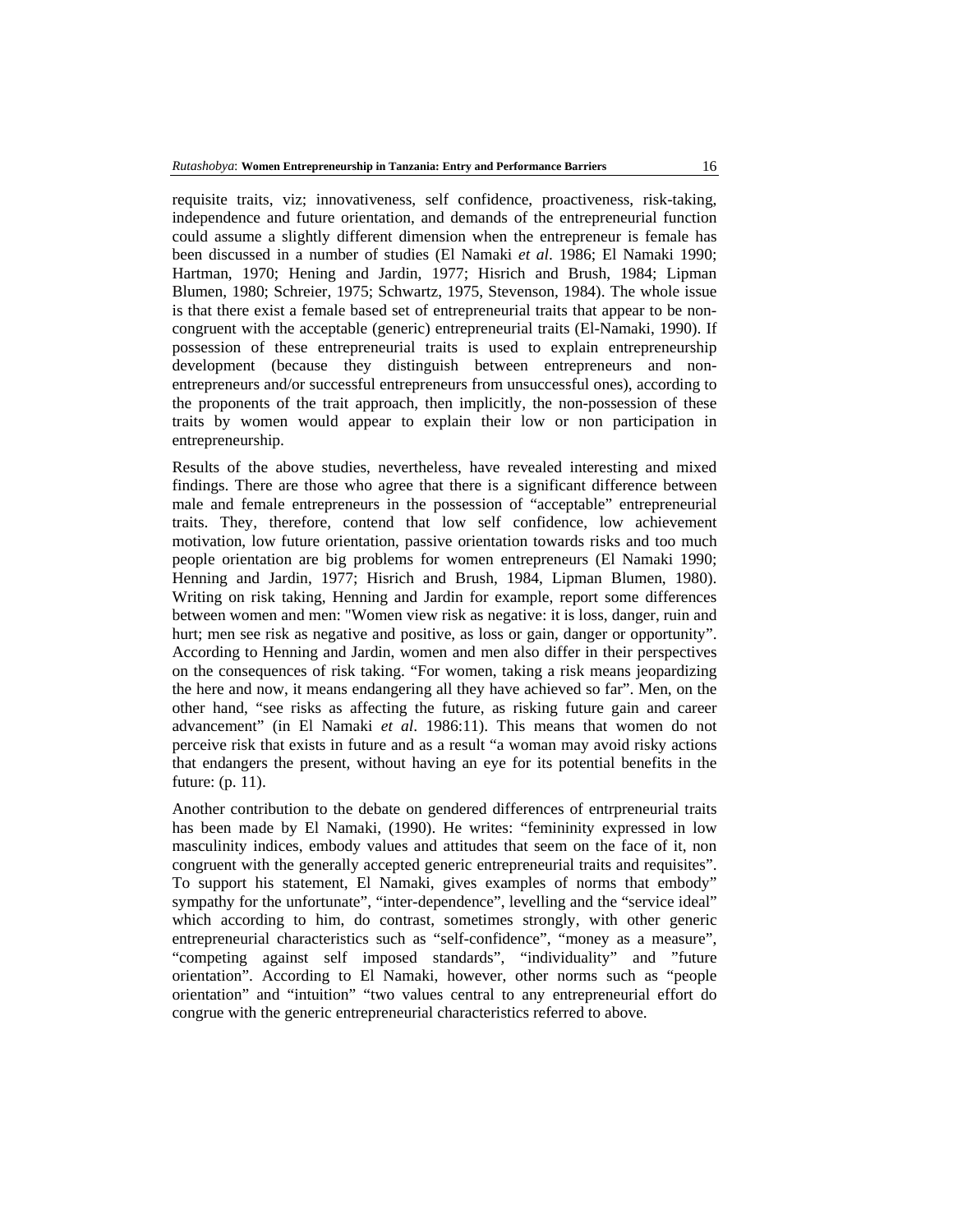requisite traits, viz; innovativeness, self confidence, proactiveness, risk-taking, independence and future orientation, and demands of the entrepreneurial function could assume a slightly different dimension when the entrepreneur is female has been discussed in a number of studies (El Namaki *et al*. 1986; El Namaki 1990; Hartman, 1970; Hening and Jardin, 1977; Hisrich and Brush, 1984; Lipman Blumen, 1980; Schreier, 1975; Schwartz, 1975, Stevenson, 1984). The whole issue is that there exist a female based set of entrepreneurial traits that appear to be noncongruent with the acceptable (generic) entrepreneurial traits (El-Namaki, 1990). If possession of these entrepreneurial traits is used to explain entrepreneurship development (because they distinguish between entrepreneurs and nonentrepreneurs and/or successful entrepreneurs from unsuccessful ones), according to the proponents of the trait approach, then implicitly, the non-possession of these traits by women would appear to explain their low or non participation in entrepreneurship.

Results of the above studies, nevertheless, have revealed interesting and mixed findings. There are those who agree that there is a significant difference between male and female entrepreneurs in the possession of "acceptable" entrepreneurial traits. They, therefore, contend that low self confidence, low achievement motivation, low future orientation, passive orientation towards risks and too much people orientation are big problems for women entrepreneurs (El Namaki 1990; Henning and Jardin, 1977; Hisrich and Brush, 1984, Lipman Blumen, 1980). Writing on risk taking, Henning and Jardin for example, report some differences between women and men: "Women view risk as negative: it is loss, danger, ruin and hurt; men see risk as negative and positive, as loss or gain, danger or opportunity". According to Henning and Jardin, women and men also differ in their perspectives on the consequences of risk taking. "For women, taking a risk means jeopardizing the here and now, it means endangering all they have achieved so far". Men, on the other hand, "see risks as affecting the future, as risking future gain and career advancement" (in El Namaki *et al*. 1986:11). This means that women do not perceive risk that exists in future and as a result "a woman may avoid risky actions that endangers the present, without having an eye for its potential benefits in the future: (p. 11).

Another contribution to the debate on gendered differences of entrpreneurial traits has been made by El Namaki, (1990). He writes: "femininity expressed in low masculinity indices, embody values and attitudes that seem on the face of it, non congruent with the generally accepted generic entrepreneurial traits and requisites". To support his statement, El Namaki, gives examples of norms that embody" sympathy for the unfortunate", "inter-dependence", levelling and the "service ideal" which according to him, do contrast, sometimes strongly, with other generic entrepreneurial characteristics such as "self-confidence", "money as a measure", "competing against self imposed standards", "individuality" and "future orientation". According to El Namaki, however, other norms such as "people orientation" and "intuition" "two values central to any entrepreneurial effort do congrue with the generic entrepreneurial characteristics referred to above.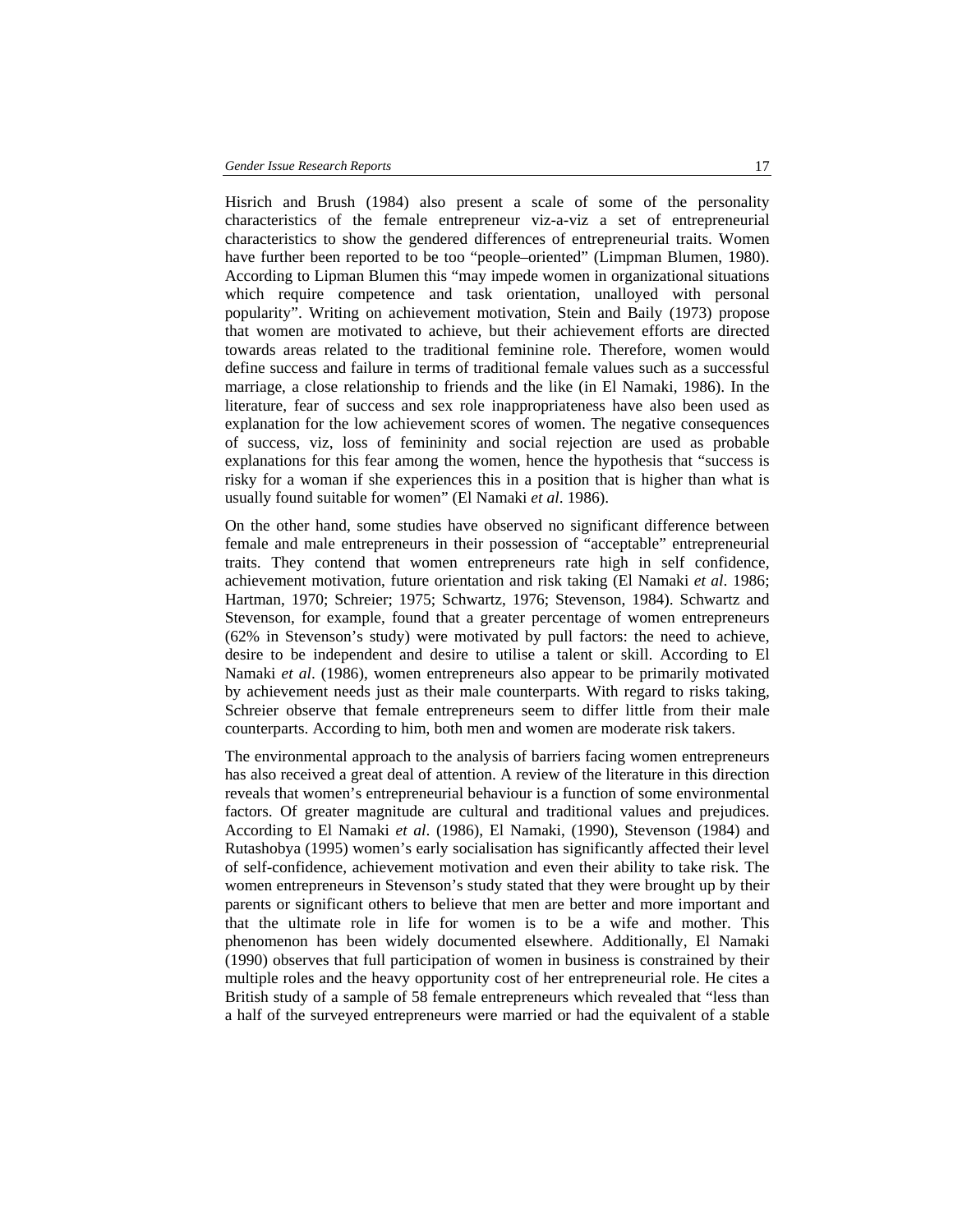Hisrich and Brush (1984) also present a scale of some of the personality characteristics of the female entrepreneur viz-a-viz a set of entrepreneurial characteristics to show the gendered differences of entrepreneurial traits. Women have further been reported to be too "people–oriented" (Limpman Blumen, 1980). According to Lipman Blumen this "may impede women in organizational situations which require competence and task orientation, unalloyed with personal popularity". Writing on achievement motivation, Stein and Baily (1973) propose that women are motivated to achieve, but their achievement efforts are directed towards areas related to the traditional feminine role. Therefore, women would define success and failure in terms of traditional female values such as a successful marriage, a close relationship to friends and the like (in El Namaki, 1986). In the literature, fear of success and sex role inappropriateness have also been used as explanation for the low achievement scores of women. The negative consequences of success, viz, loss of femininity and social rejection are used as probable explanations for this fear among the women, hence the hypothesis that "success is risky for a woman if she experiences this in a position that is higher than what is usually found suitable for women" (El Namaki *et al*. 1986).

On the other hand, some studies have observed no significant difference between female and male entrepreneurs in their possession of "acceptable" entrepreneurial traits. They contend that women entrepreneurs rate high in self confidence, achievement motivation, future orientation and risk taking (El Namaki *et al*. 1986; Hartman, 1970; Schreier; 1975; Schwartz, 1976; Stevenson, 1984). Schwartz and Stevenson, for example, found that a greater percentage of women entrepreneurs (62% in Stevenson's study) were motivated by pull factors: the need to achieve, desire to be independent and desire to utilise a talent or skill. According to El Namaki *et al*. (1986), women entrepreneurs also appear to be primarily motivated by achievement needs just as their male counterparts. With regard to risks taking, Schreier observe that female entrepreneurs seem to differ little from their male counterparts. According to him, both men and women are moderate risk takers.

The environmental approach to the analysis of barriers facing women entrepreneurs has also received a great deal of attention. A review of the literature in this direction reveals that women's entrepreneurial behaviour is a function of some environmental factors. Of greater magnitude are cultural and traditional values and prejudices. According to El Namaki *et al*. (1986), El Namaki, (1990), Stevenson (1984) and Rutashobya (1995) women's early socialisation has significantly affected their level of self-confidence, achievement motivation and even their ability to take risk. The women entrepreneurs in Stevenson's study stated that they were brought up by their parents or significant others to believe that men are better and more important and that the ultimate role in life for women is to be a wife and mother. This phenomenon has been widely documented elsewhere. Additionally, El Namaki (1990) observes that full participation of women in business is constrained by their multiple roles and the heavy opportunity cost of her entrepreneurial role. He cites a British study of a sample of 58 female entrepreneurs which revealed that "less than a half of the surveyed entrepreneurs were married or had the equivalent of a stable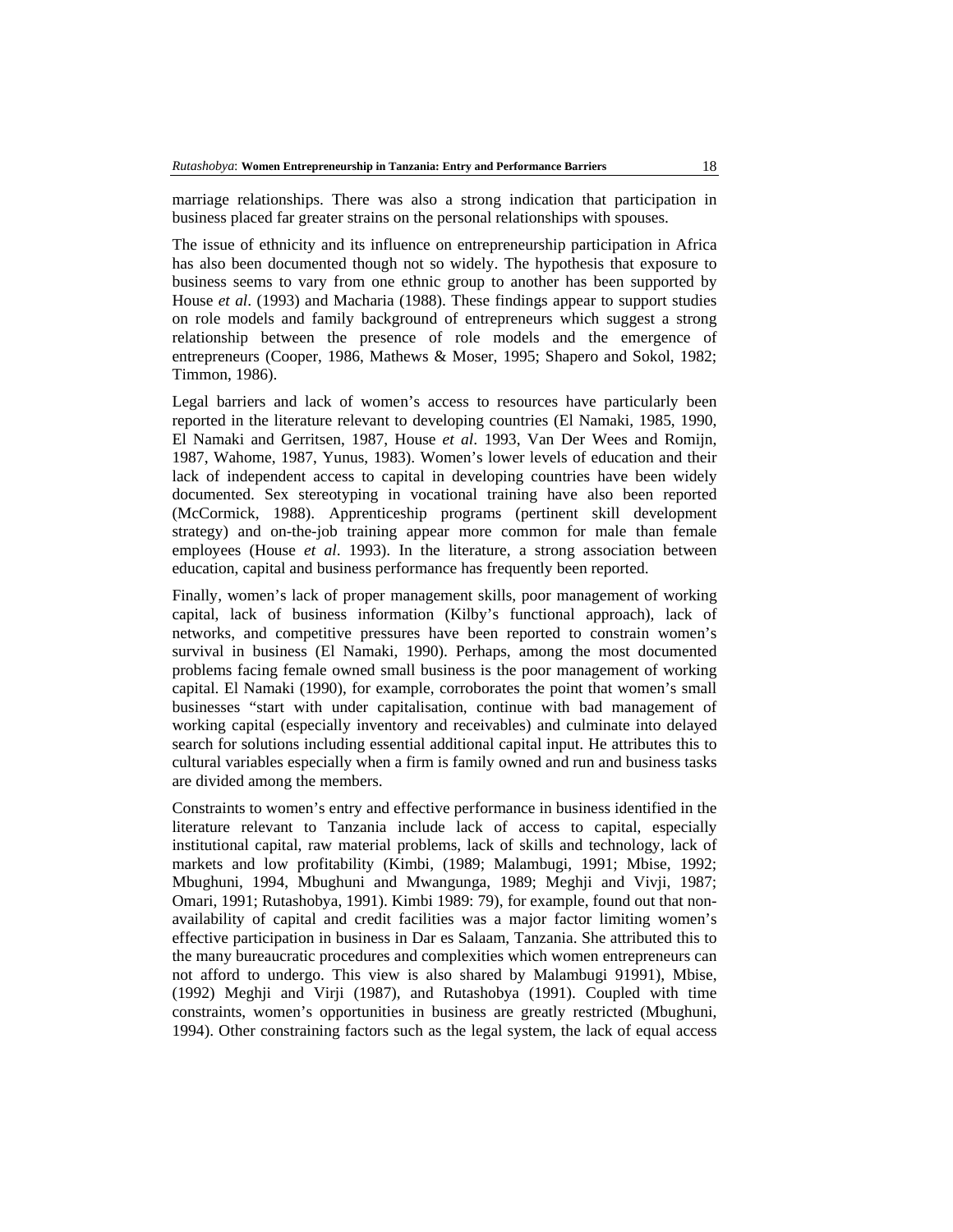marriage relationships. There was also a strong indication that participation in business placed far greater strains on the personal relationships with spouses.

The issue of ethnicity and its influence on entrepreneurship participation in Africa has also been documented though not so widely. The hypothesis that exposure to business seems to vary from one ethnic group to another has been supported by House *et al*. (1993) and Macharia (1988). These findings appear to support studies on role models and family background of entrepreneurs which suggest a strong relationship between the presence of role models and the emergence of entrepreneurs (Cooper, 1986, Mathews & Moser, 1995; Shapero and Sokol, 1982; Timmon, 1986).

Legal barriers and lack of women's access to resources have particularly been reported in the literature relevant to developing countries (El Namaki, 1985, 1990, El Namaki and Gerritsen, 1987, House *et al*. 1993, Van Der Wees and Romijn, 1987, Wahome, 1987, Yunus, 1983). Women's lower levels of education and their lack of independent access to capital in developing countries have been widely documented. Sex stereotyping in vocational training have also been reported (McCormick, 1988). Apprenticeship programs (pertinent skill development strategy) and on-the-job training appear more common for male than female employees (House *et al*. 1993). In the literature, a strong association between education, capital and business performance has frequently been reported.

Finally, women's lack of proper management skills, poor management of working capital, lack of business information (Kilby's functional approach), lack of networks, and competitive pressures have been reported to constrain women's survival in business (El Namaki, 1990). Perhaps, among the most documented problems facing female owned small business is the poor management of working capital. El Namaki (1990), for example, corroborates the point that women's small businesses "start with under capitalisation, continue with bad management of working capital (especially inventory and receivables) and culminate into delayed search for solutions including essential additional capital input. He attributes this to cultural variables especially when a firm is family owned and run and business tasks are divided among the members.

Constraints to women's entry and effective performance in business identified in the literature relevant to Tanzania include lack of access to capital, especially institutional capital, raw material problems, lack of skills and technology, lack of markets and low profitability (Kimbi, (1989; Malambugi, 1991; Mbise, 1992; Mbughuni, 1994, Mbughuni and Mwangunga, 1989; Meghji and Vivji, 1987; Omari, 1991; Rutashobya, 1991). Kimbi 1989: 79), for example, found out that nonavailability of capital and credit facilities was a major factor limiting women's effective participation in business in Dar es Salaam, Tanzania. She attributed this to the many bureaucratic procedures and complexities which women entrepreneurs can not afford to undergo. This view is also shared by Malambugi 91991), Mbise, (1992) Meghji and Virji (1987), and Rutashobya (1991). Coupled with time constraints, women's opportunities in business are greatly restricted (Mbughuni, 1994). Other constraining factors such as the legal system, the lack of equal access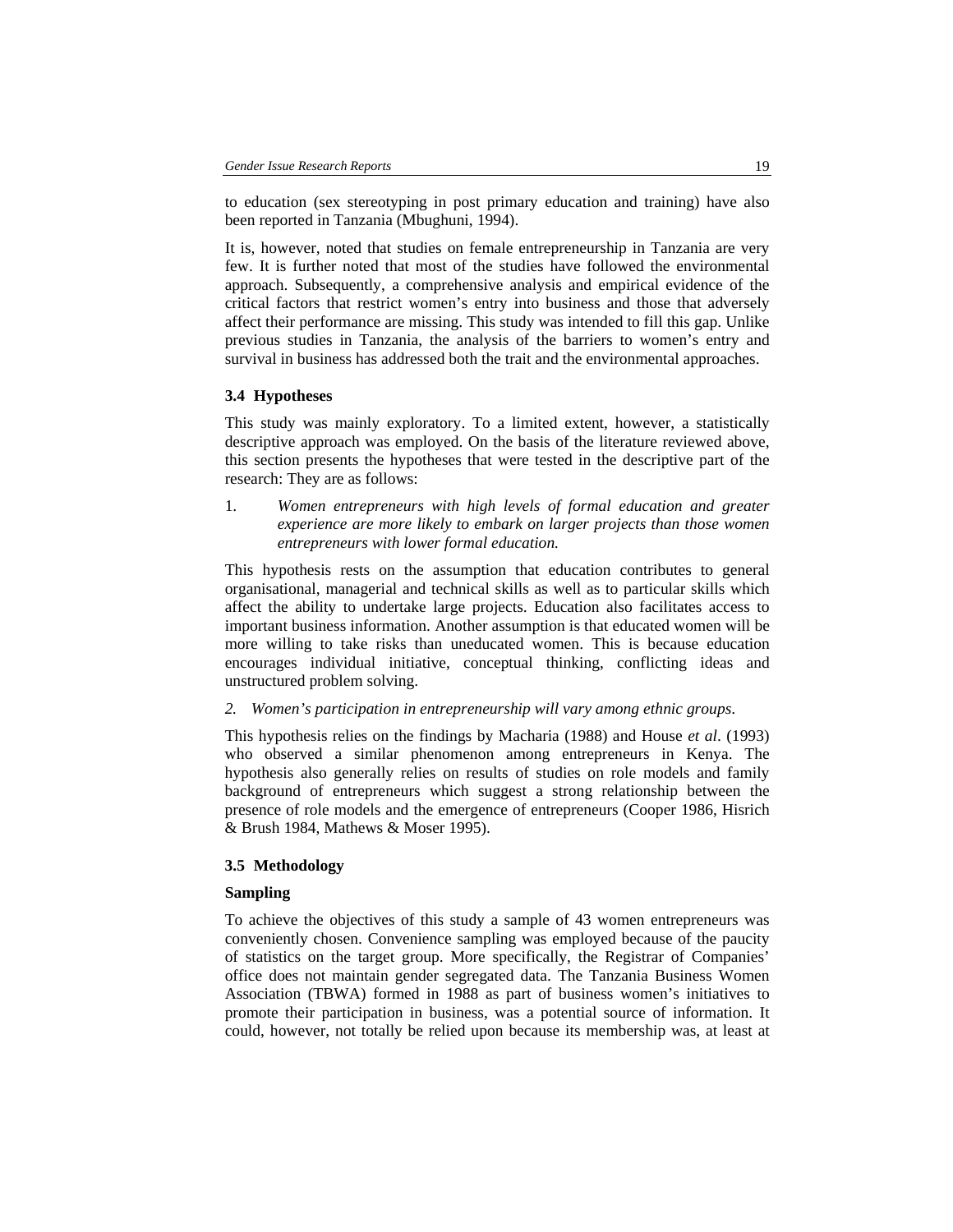to education (sex stereotyping in post primary education and training) have also been reported in Tanzania (Mbughuni, 1994).

It is, however, noted that studies on female entrepreneurship in Tanzania are very few. It is further noted that most of the studies have followed the environmental approach. Subsequently, a comprehensive analysis and empirical evidence of the critical factors that restrict women's entry into business and those that adversely affect their performance are missing. This study was intended to fill this gap. Unlike previous studies in Tanzania, the analysis of the barriers to women's entry and survival in business has addressed both the trait and the environmental approaches.

#### **3.4 Hypotheses**

This study was mainly exploratory. To a limited extent, however, a statistically descriptive approach was employed. On the basis of the literature reviewed above, this section presents the hypotheses that were tested in the descriptive part of the research: They are as follows:

1. *Women entrepreneurs with high levels of formal education and greater experience are more likely to embark on larger projects than those women entrepreneurs with lower formal education.*

This hypothesis rests on the assumption that education contributes to general organisational, managerial and technical skills as well as to particular skills which affect the ability to undertake large projects. Education also facilitates access to important business information. Another assumption is that educated women will be more willing to take risks than uneducated women. This is because education encourages individual initiative, conceptual thinking, conflicting ideas and unstructured problem solving.

*2. Women's participation in entrepreneurship will vary among ethnic groups*.

This hypothesis relies on the findings by Macharia (1988) and House *et al*. (1993) who observed a similar phenomenon among entrepreneurs in Kenya. The hypothesis also generally relies on results of studies on role models and family background of entrepreneurs which suggest a strong relationship between the presence of role models and the emergence of entrepreneurs (Cooper 1986, Hisrich & Brush 1984, Mathews & Moser 1995).

#### **3.5 Methodology**

#### **Sampling**

To achieve the objectives of this study a sample of 43 women entrepreneurs was conveniently chosen. Convenience sampling was employed because of the paucity of statistics on the target group. More specifically, the Registrar of Companies' office does not maintain gender segregated data. The Tanzania Business Women Association (TBWA) formed in 1988 as part of business women's initiatives to promote their participation in business, was a potential source of information. It could, however, not totally be relied upon because its membership was, at least at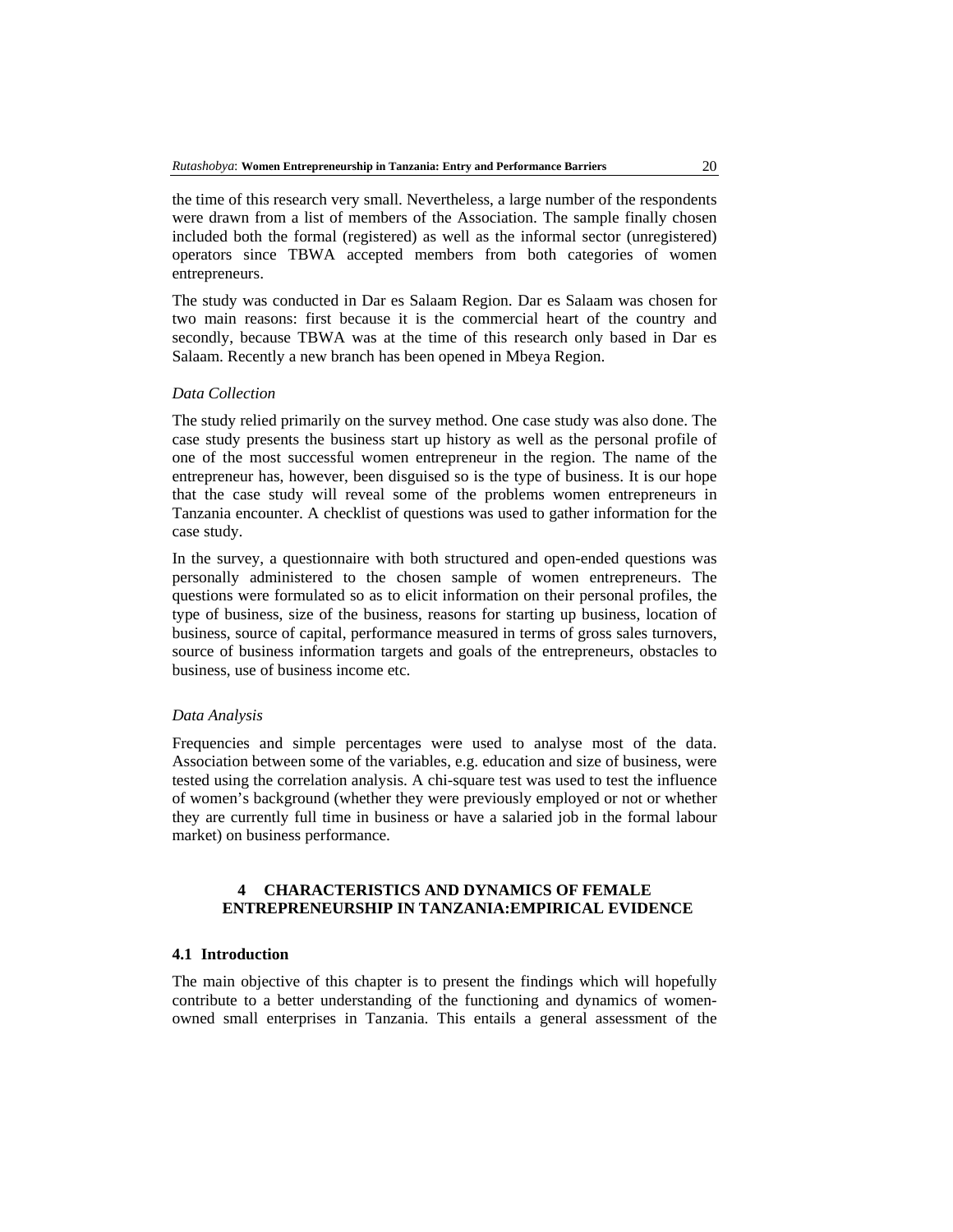the time of this research very small. Nevertheless, a large number of the respondents were drawn from a list of members of the Association. The sample finally chosen included both the formal (registered) as well as the informal sector (unregistered) operators since TBWA accepted members from both categories of women entrepreneurs.

The study was conducted in Dar es Salaam Region. Dar es Salaam was chosen for two main reasons: first because it is the commercial heart of the country and secondly, because TBWA was at the time of this research only based in Dar es Salaam. Recently a new branch has been opened in Mbeya Region.

### *Data Collection*

The study relied primarily on the survey method. One case study was also done. The case study presents the business start up history as well as the personal profile of one of the most successful women entrepreneur in the region. The name of the entrepreneur has, however, been disguised so is the type of business. It is our hope that the case study will reveal some of the problems women entrepreneurs in Tanzania encounter. A checklist of questions was used to gather information for the case study.

In the survey, a questionnaire with both structured and open-ended questions was personally administered to the chosen sample of women entrepreneurs. The questions were formulated so as to elicit information on their personal profiles, the type of business, size of the business, reasons for starting up business, location of business, source of capital, performance measured in terms of gross sales turnovers, source of business information targets and goals of the entrepreneurs, obstacles to business, use of business income etc.

#### *Data Analysis*

Frequencies and simple percentages were used to analyse most of the data. Association between some of the variables, e.g. education and size of business, were tested using the correlation analysis. A chi-square test was used to test the influence of women's background (whether they were previously employed or not or whether they are currently full time in business or have a salaried job in the formal labour market) on business performance.

### **4 CHARACTERISTICS AND DYNAMICS OF FEMALE ENTREPRENEURSHIP IN TANZANIA:EMPIRICAL EVIDENCE**

### **4.1 Introduction**

The main objective of this chapter is to present the findings which will hopefully contribute to a better understanding of the functioning and dynamics of womenowned small enterprises in Tanzania. This entails a general assessment of the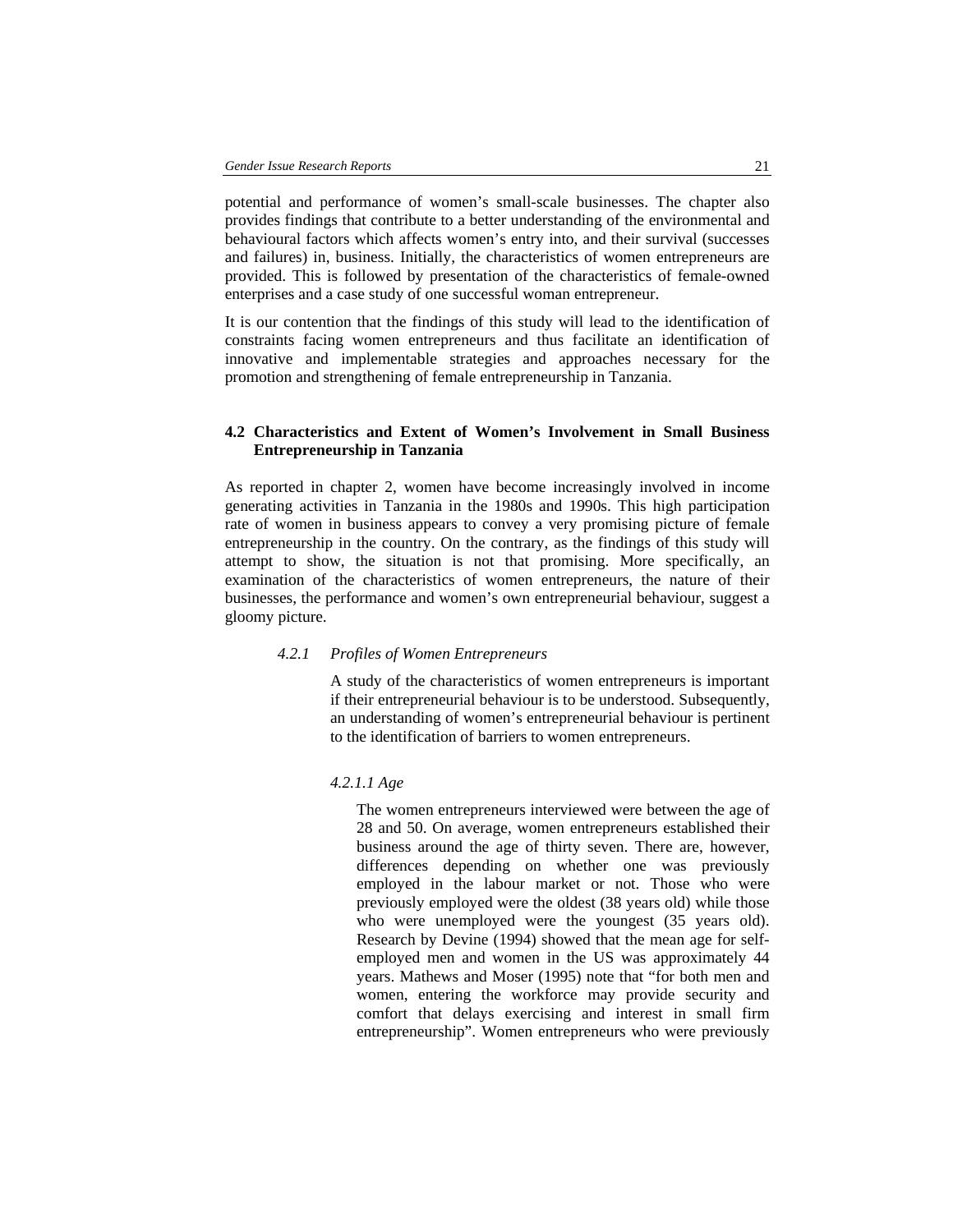potential and performance of women's small-scale businesses. The chapter also provides findings that contribute to a better understanding of the environmental and behavioural factors which affects women's entry into, and their survival (successes and failures) in, business. Initially, the characteristics of women entrepreneurs are provided. This is followed by presentation of the characteristics of female-owned enterprises and a case study of one successful woman entrepreneur.

It is our contention that the findings of this study will lead to the identification of constraints facing women entrepreneurs and thus facilitate an identification of innovative and implementable strategies and approaches necessary for the promotion and strengthening of female entrepreneurship in Tanzania.

## **4.2 Characteristics and Extent of Women's Involvement in Small Business Entrepreneurship in Tanzania**

As reported in chapter 2, women have become increasingly involved in income generating activities in Tanzania in the 1980s and 1990s. This high participation rate of women in business appears to convey a very promising picture of female entrepreneurship in the country. On the contrary, as the findings of this study will attempt to show, the situation is not that promising. More specifically, an examination of the characteristics of women entrepreneurs, the nature of their businesses, the performance and women's own entrepreneurial behaviour, suggest a gloomy picture.

#### *4.2.1 Profiles of Women Entrepreneurs*

A study of the characteristics of women entrepreneurs is important if their entrepreneurial behaviour is to be understood. Subsequently, an understanding of women's entrepreneurial behaviour is pertinent to the identification of barriers to women entrepreneurs.

### *4.2.1.1 Age*

The women entrepreneurs interviewed were between the age of 28 and 50. On average, women entrepreneurs established their business around the age of thirty seven. There are, however, differences depending on whether one was previously employed in the labour market or not. Those who were previously employed were the oldest (38 years old) while those who were unemployed were the youngest (35 years old). Research by Devine (1994) showed that the mean age for selfemployed men and women in the US was approximately 44 years. Mathews and Moser (1995) note that "for both men and women, entering the workforce may provide security and comfort that delays exercising and interest in small firm entrepreneurship". Women entrepreneurs who were previously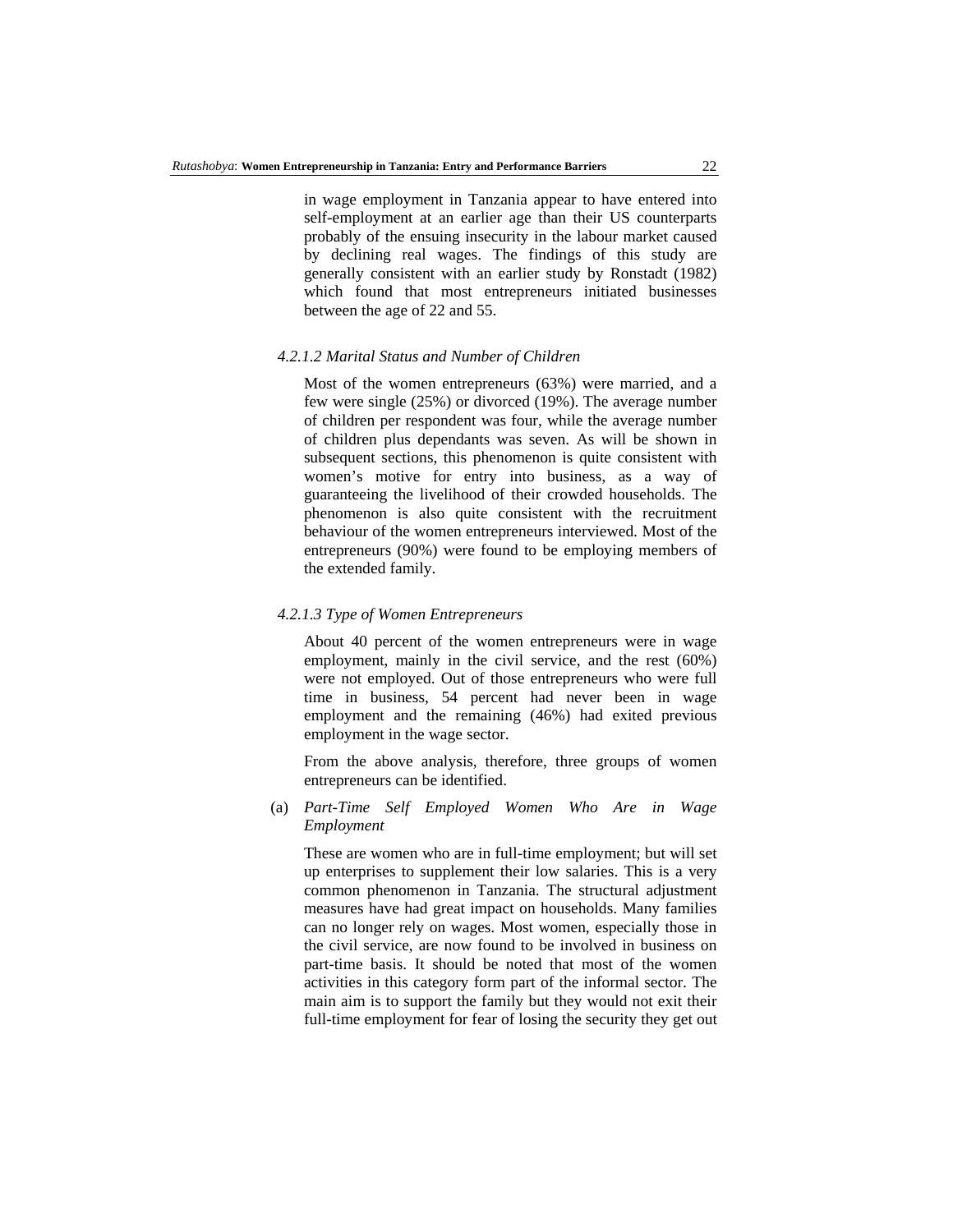in wage employment in Tanzania appear to have entered into self-employment at an earlier age than their US counterparts probably of the ensuing insecurity in the labour market caused by declining real wages. The findings of this study are generally consistent with an earlier study by Ronstadt (1982) which found that most entrepreneurs initiated businesses between the age of 22 and 55.

#### *4.2.1.2 Marital Status and Number of Children*

Most of the women entrepreneurs (63%) were married, and a few were single (25%) or divorced (19%). The average number of children per respondent was four, while the average number of children plus dependants was seven. As will be shown in subsequent sections, this phenomenon is quite consistent with women's motive for entry into business, as a way of guaranteeing the livelihood of their crowded households. The phenomenon is also quite consistent with the recruitment behaviour of the women entrepreneurs interviewed. Most of the entrepreneurs (90%) were found to be employing members of the extended family.

### *4.2.1.3 Type of Women Entrepreneurs*

About 40 percent of the women entrepreneurs were in wage employment, mainly in the civil service, and the rest (60%) were not employed. Out of those entrepreneurs who were full time in business, 54 percent had never been in wage employment and the remaining (46%) had exited previous employment in the wage sector.

From the above analysis, therefore, three groups of women entrepreneurs can be identified.

(a) *Part-Time Self Employed Women Who Are in Wage Employment* 

These are women who are in full-time employment; but will set up enterprises to supplement their low salaries. This is a very common phenomenon in Tanzania. The structural adjustment measures have had great impact on households. Many families can no longer rely on wages. Most women, especially those in the civil service, are now found to be involved in business on part-time basis. It should be noted that most of the women activities in this category form part of the informal sector. The main aim is to support the family but they would not exit their full-time employment for fear of losing the security they get out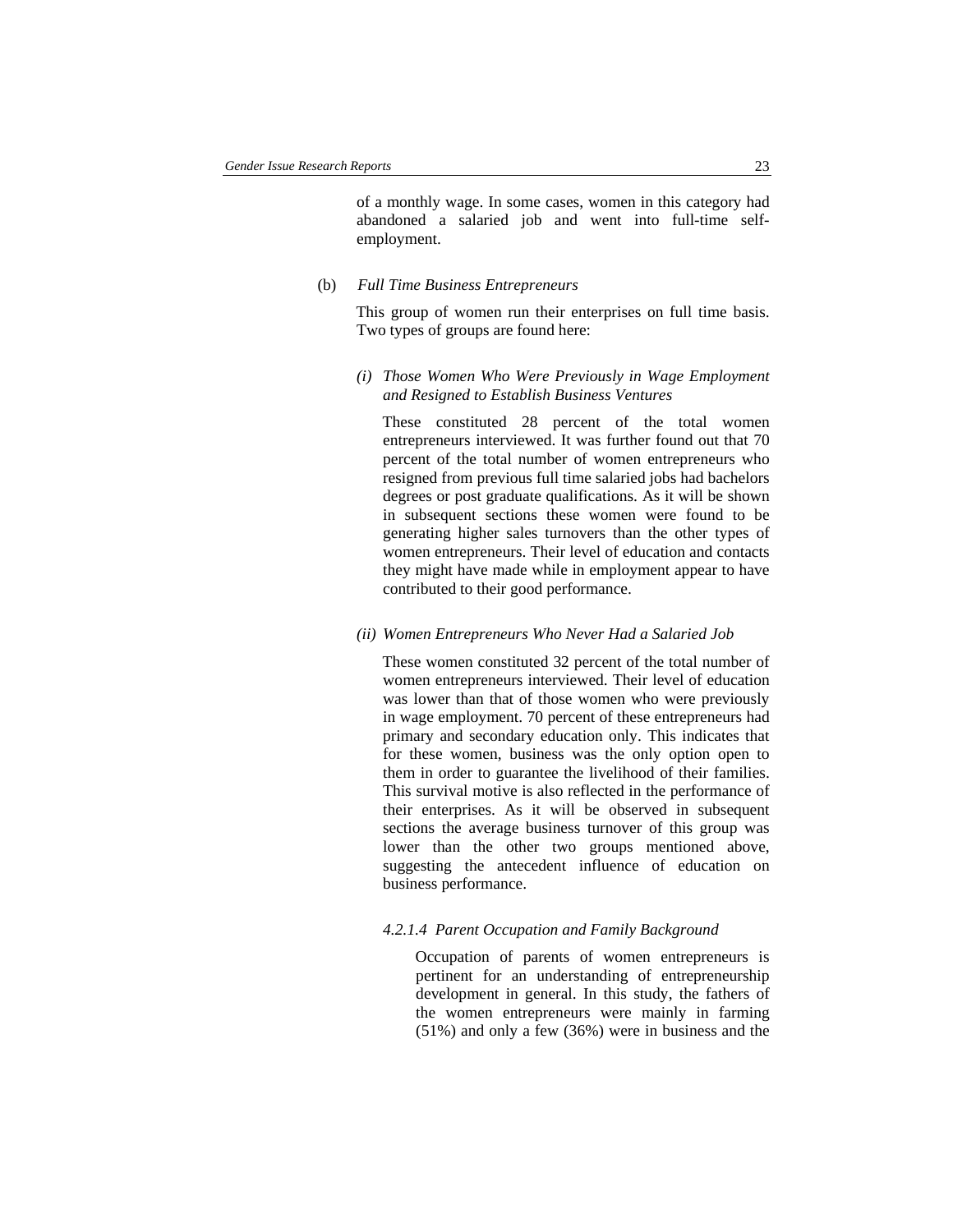of a monthly wage. In some cases, women in this category had abandoned a salaried job and went into full-time selfemployment.

#### (b) *Full Time Business Entrepreneurs*

This group of women run their enterprises on full time basis. Two types of groups are found here:

### *(i) Those Women Who Were Previously in Wage Employment and Resigned to Establish Business Ventures*

These constituted 28 percent of the total women entrepreneurs interviewed. It was further found out that 70 percent of the total number of women entrepreneurs who resigned from previous full time salaried jobs had bachelors degrees or post graduate qualifications. As it will be shown in subsequent sections these women were found to be generating higher sales turnovers than the other types of women entrepreneurs. Their level of education and contacts they might have made while in employment appear to have contributed to their good performance.

## *(ii) Women Entrepreneurs Who Never Had a Salaried Job*

These women constituted 32 percent of the total number of women entrepreneurs interviewed. Their level of education was lower than that of those women who were previously in wage employment. 70 percent of these entrepreneurs had primary and secondary education only. This indicates that for these women, business was the only option open to them in order to guarantee the livelihood of their families. This survival motive is also reflected in the performance of their enterprises. As it will be observed in subsequent sections the average business turnover of this group was lower than the other two groups mentioned above, suggesting the antecedent influence of education on business performance.

#### *4.2.1.4 Parent Occupation and Family Background*

Occupation of parents of women entrepreneurs is pertinent for an understanding of entrepreneurship development in general. In this study, the fathers of the women entrepreneurs were mainly in farming (51%) and only a few (36%) were in business and the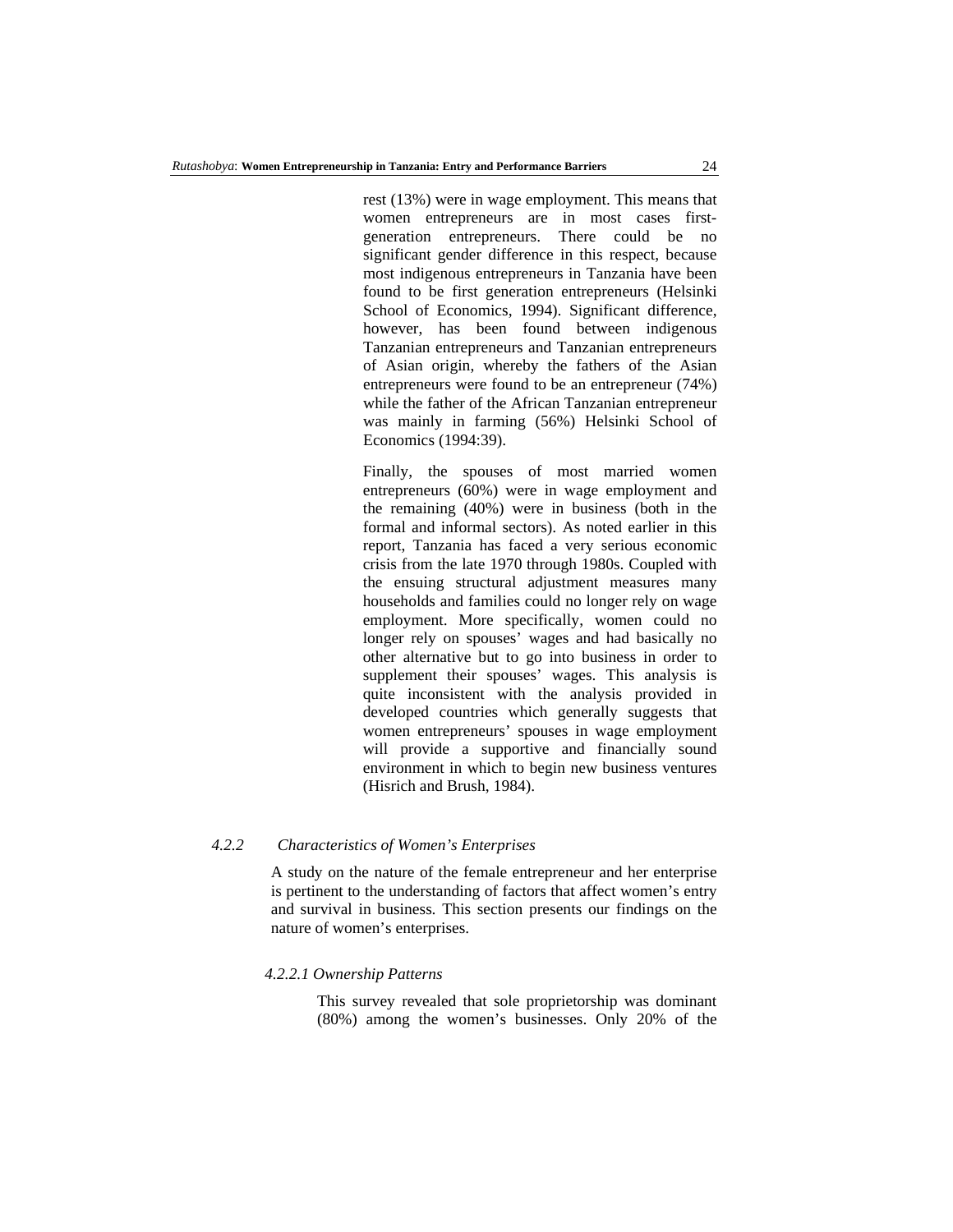rest (13%) were in wage employment. This means that women entrepreneurs are in most cases firstgeneration entrepreneurs. There could be no significant gender difference in this respect, because most indigenous entrepreneurs in Tanzania have been found to be first generation entrepreneurs (Helsinki School of Economics, 1994). Significant difference, however, has been found between indigenous Tanzanian entrepreneurs and Tanzanian entrepreneurs of Asian origin, whereby the fathers of the Asian entrepreneurs were found to be an entrepreneur (74%) while the father of the African Tanzanian entrepreneur was mainly in farming (56%) Helsinki School of Economics (1994:39).

Finally, the spouses of most married women entrepreneurs (60%) were in wage employment and the remaining (40%) were in business (both in the formal and informal sectors). As noted earlier in this report, Tanzania has faced a very serious economic crisis from the late 1970 through 1980s. Coupled with the ensuing structural adjustment measures many households and families could no longer rely on wage employment. More specifically, women could no longer rely on spouses' wages and had basically no other alternative but to go into business in order to supplement their spouses' wages. This analysis is quite inconsistent with the analysis provided in developed countries which generally suggests that women entrepreneurs' spouses in wage employment will provide a supportive and financially sound environment in which to begin new business ventures (Hisrich and Brush, 1984).

## *4.2.2 Characteristics of Women's Enterprises*

A study on the nature of the female entrepreneur and her enterprise is pertinent to the understanding of factors that affect women's entry and survival in business. This section presents our findings on the nature of women's enterprises.

### *4.2.2.1 Ownership Patterns*

This survey revealed that sole proprietorship was dominant (80%) among the women's businesses. Only 20% of the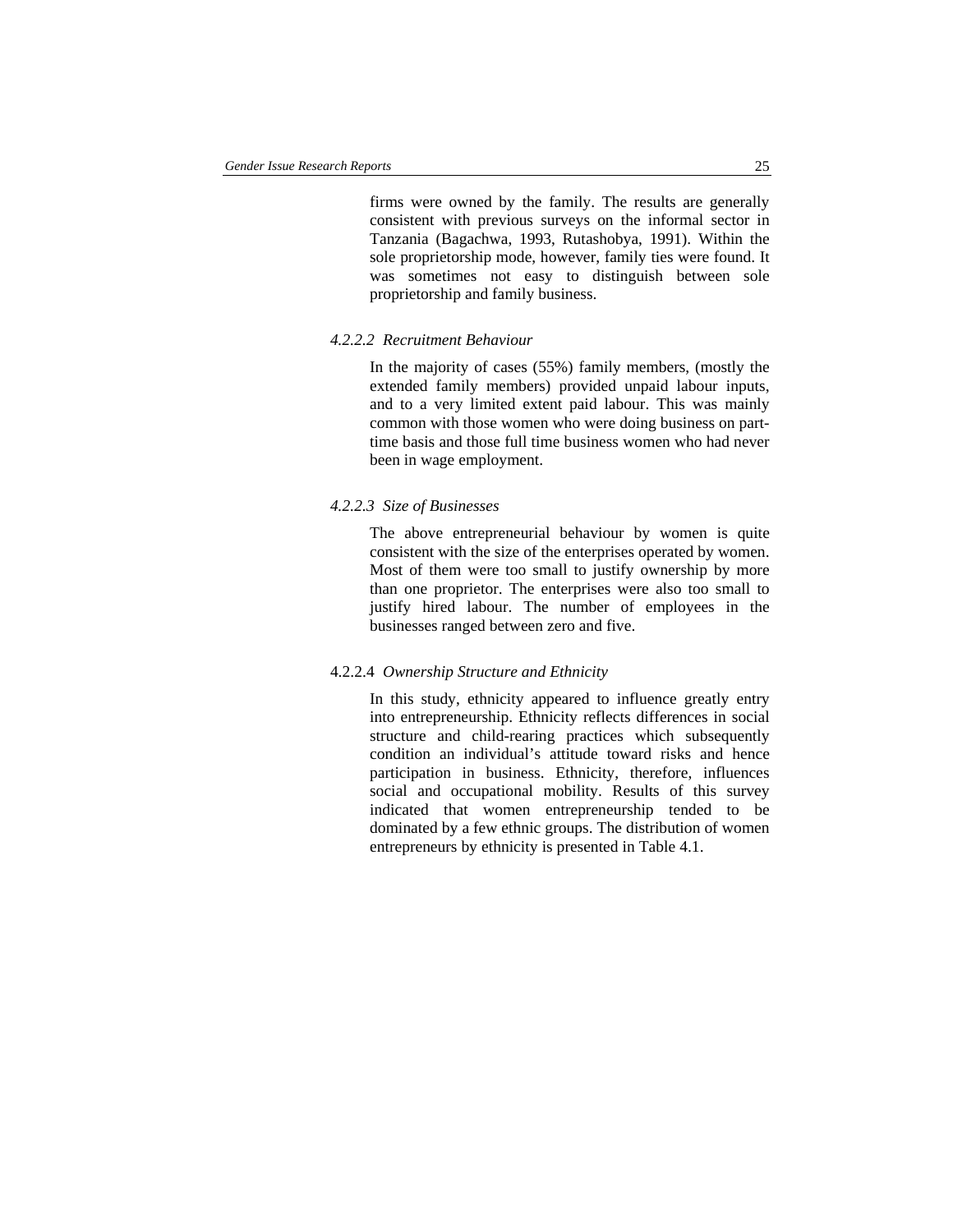firms were owned by the family. The results are generally consistent with previous surveys on the informal sector in Tanzania (Bagachwa, 1993, Rutashobya, 1991). Within the sole proprietorship mode, however, family ties were found. It was sometimes not easy to distinguish between sole proprietorship and family business.

#### *4.2.2.2 Recruitment Behaviour*

In the majority of cases (55%) family members, (mostly the extended family members) provided unpaid labour inputs, and to a very limited extent paid labour. This was mainly common with those women who were doing business on parttime basis and those full time business women who had never been in wage employment.

### *4.2.2.3 Size of Businesses*

The above entrepreneurial behaviour by women is quite consistent with the size of the enterprises operated by women. Most of them were too small to justify ownership by more than one proprietor. The enterprises were also too small to justify hired labour. The number of employees in the businesses ranged between zero and five.

### 4.2.2.4 *Ownership Structure and Ethnicity*

In this study, ethnicity appeared to influence greatly entry into entrepreneurship. Ethnicity reflects differences in social structure and child-rearing practices which subsequently condition an individual's attitude toward risks and hence participation in business. Ethnicity, therefore, influences social and occupational mobility. Results of this survey indicated that women entrepreneurship tended to be dominated by a few ethnic groups. The distribution of women entrepreneurs by ethnicity is presented in Table 4.1.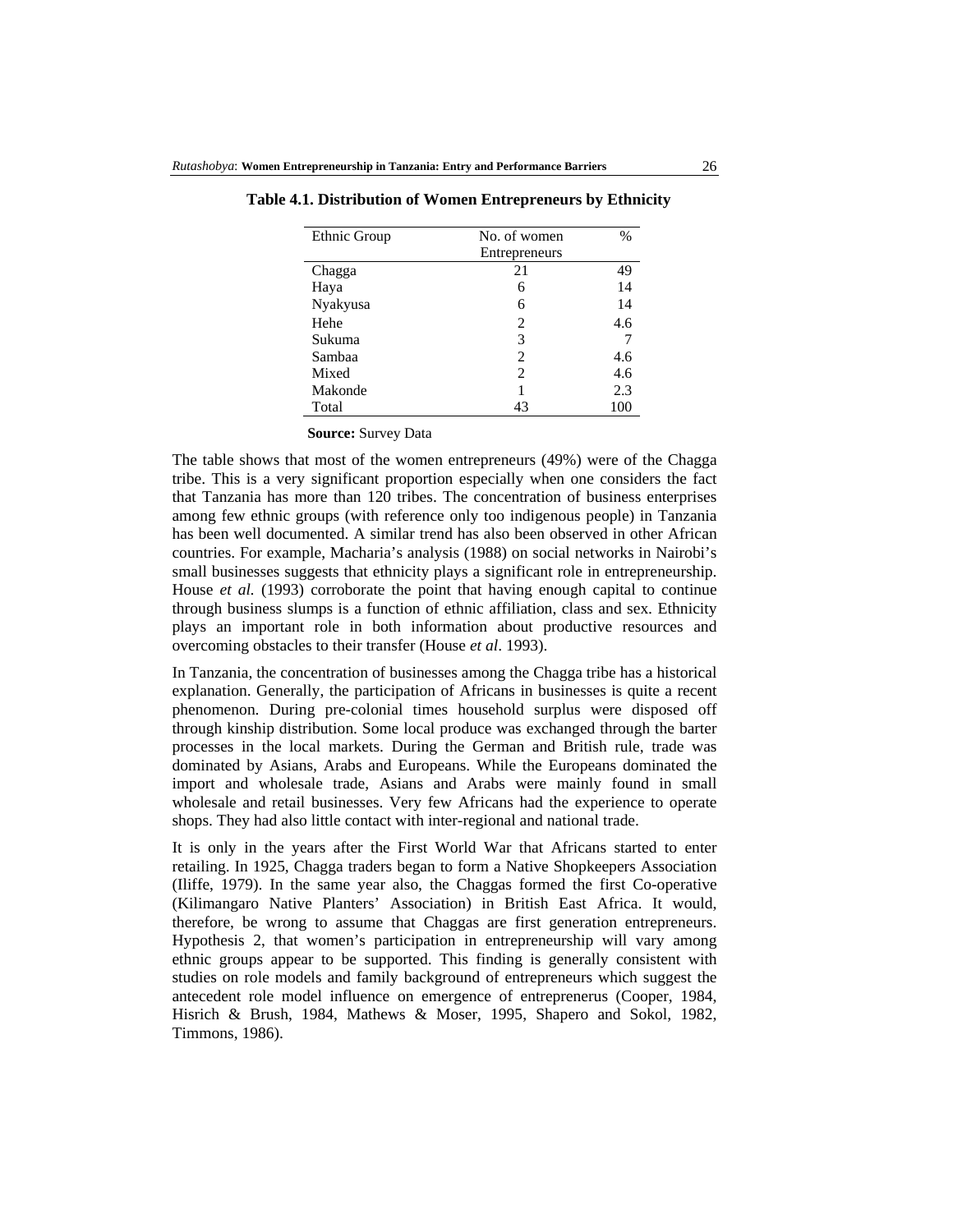| Ethnic Group | No. of women   | $\%$ |
|--------------|----------------|------|
|              | Entrepreneurs  |      |
| Chagga       | 21             | 49   |
| Haya         | 6              | 14   |
| Nyakyusa     | 6              | 14   |
| Hehe         | 2              | 4.6  |
| Sukuma       | 3              |      |
| Sambaa       | 2              | 4.6  |
| Mixed        | $\overline{2}$ | 4.6  |
| Makonde      | 1              | 2.3  |
| Total        | 43             | 100  |

 **Table 4.1. Distribution of Women Entrepreneurs by Ethnicity** 

**Source:** Survey Data

The table shows that most of the women entrepreneurs (49%) were of the Chagga tribe. This is a very significant proportion especially when one considers the fact that Tanzania has more than 120 tribes. The concentration of business enterprises among few ethnic groups (with reference only too indigenous people) in Tanzania has been well documented. A similar trend has also been observed in other African countries. For example, Macharia's analysis (1988) on social networks in Nairobi's small businesses suggests that ethnicity plays a significant role in entrepreneurship. House *et al.* (1993) corroborate the point that having enough capital to continue through business slumps is a function of ethnic affiliation, class and sex. Ethnicity plays an important role in both information about productive resources and overcoming obstacles to their transfer (House *et al*. 1993).

In Tanzania, the concentration of businesses among the Chagga tribe has a historical explanation. Generally, the participation of Africans in businesses is quite a recent phenomenon. During pre-colonial times household surplus were disposed off through kinship distribution. Some local produce was exchanged through the barter processes in the local markets. During the German and British rule, trade was dominated by Asians, Arabs and Europeans. While the Europeans dominated the import and wholesale trade, Asians and Arabs were mainly found in small wholesale and retail businesses. Very few Africans had the experience to operate shops. They had also little contact with inter-regional and national trade.

It is only in the years after the First World War that Africans started to enter retailing. In 1925, Chagga traders began to form a Native Shopkeepers Association (Iliffe, 1979). In the same year also, the Chaggas formed the first Co-operative (Kilimangaro Native Planters' Association) in British East Africa. It would, therefore, be wrong to assume that Chaggas are first generation entrepreneurs. Hypothesis 2, that women's participation in entrepreneurship will vary among ethnic groups appear to be supported. This finding is generally consistent with studies on role models and family background of entrepreneurs which suggest the antecedent role model influence on emergence of entreprenerus (Cooper, 1984, Hisrich & Brush, 1984, Mathews & Moser, 1995, Shapero and Sokol, 1982, Timmons, 1986).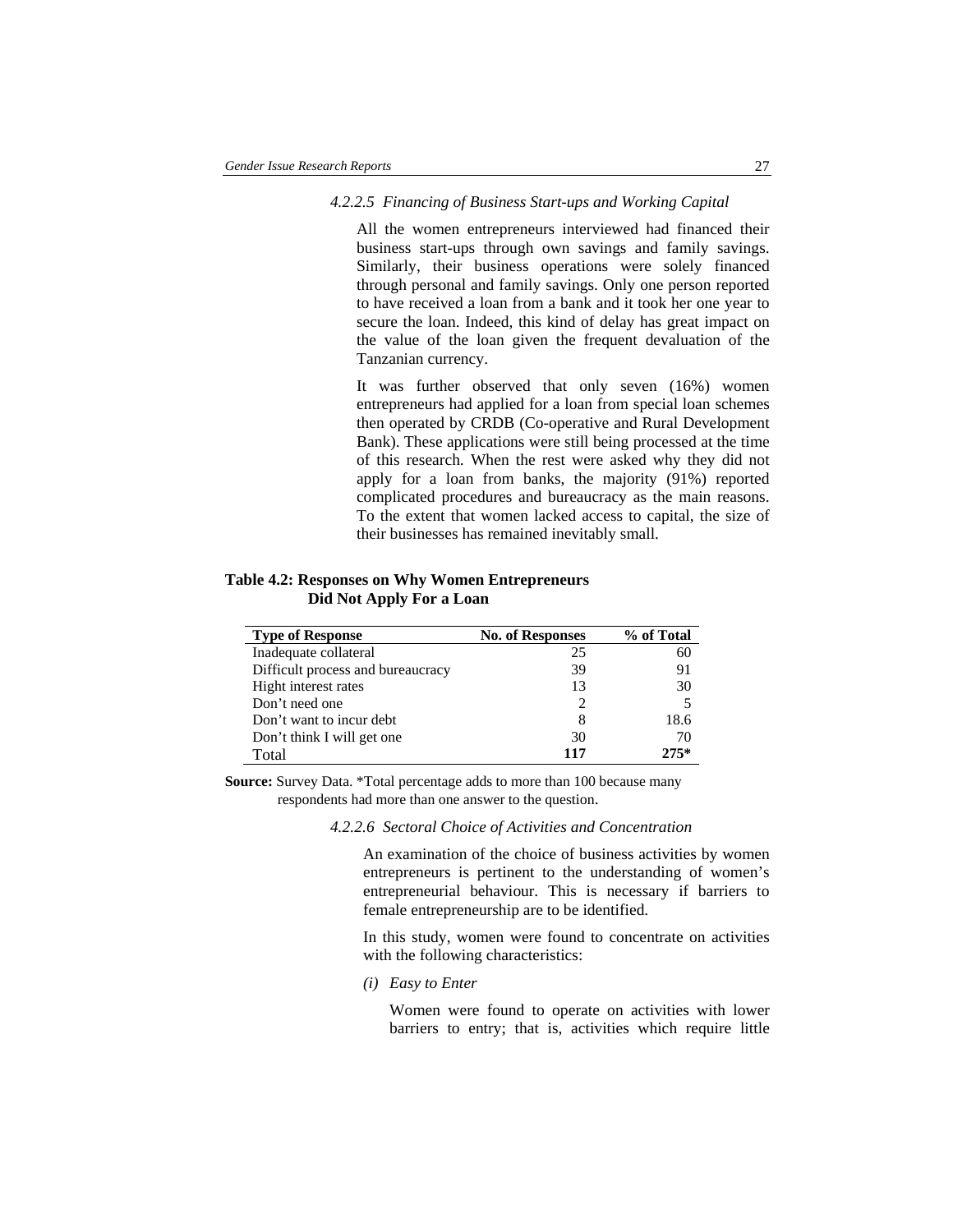#### *4.2.2.5 Financing of Business Start-ups and Working Capital*

All the women entrepreneurs interviewed had financed their business start-ups through own savings and family savings. Similarly, their business operations were solely financed through personal and family savings. Only one person reported to have received a loan from a bank and it took her one year to secure the loan. Indeed, this kind of delay has great impact on the value of the loan given the frequent devaluation of the Tanzanian currency.

It was further observed that only seven (16%) women entrepreneurs had applied for a loan from special loan schemes then operated by CRDB (Co-operative and Rural Development Bank). These applications were still being processed at the time of this research. When the rest were asked why they did not apply for a loan from banks, the majority (91%) reported complicated procedures and bureaucracy as the main reasons. To the extent that women lacked access to capital, the size of their businesses has remained inevitably small.

## **Table 4.2: Responses on Why Women Entrepreneurs Did Not Apply For a Loan**

| <b>Type of Response</b>           | <b>No. of Responses</b> | % of Total |
|-----------------------------------|-------------------------|------------|
| Inadequate collateral             | 25                      | 60         |
| Difficult process and bureaucracy | 39                      | 91         |
| Hight interest rates              | 13                      | 30         |
| Don't need one                    |                         |            |
| Don't want to incur debt          | 8                       | 18.6       |
| Don't think I will get one        | 30                      | 70         |
| Total                             | 117                     | $275*$     |

**Source:** Survey Data. \*Total percentage adds to more than 100 because many respondents had more than one answer to the question.

*4.2.2.6 Sectoral Choice of Activities and Concentration* 

An examination of the choice of business activities by women entrepreneurs is pertinent to the understanding of women's entrepreneurial behaviour. This is necessary if barriers to female entrepreneurship are to be identified.

In this study, women were found to concentrate on activities with the following characteristics:

*(i) Easy to Enter* 

Women were found to operate on activities with lower barriers to entry; that is, activities which require little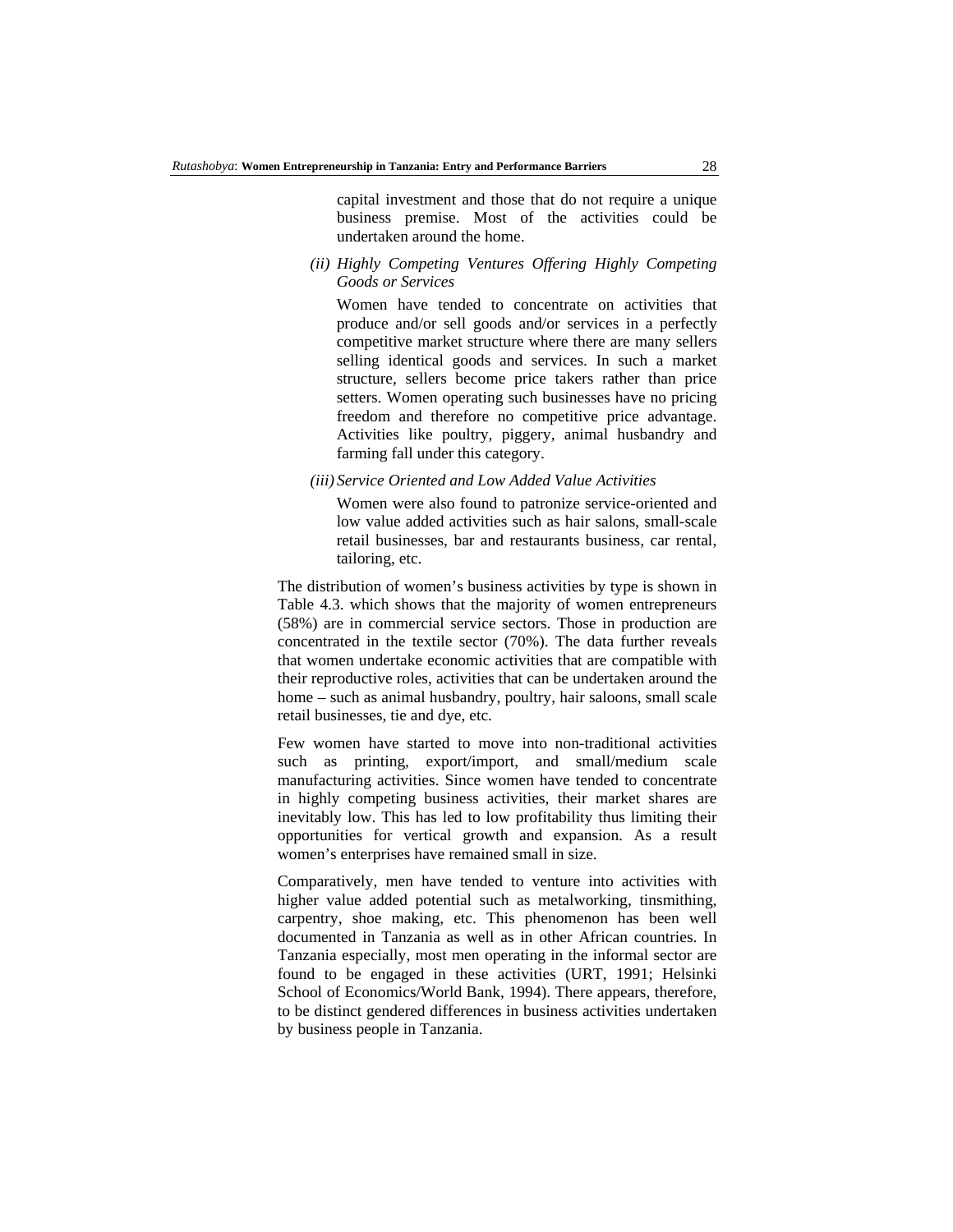capital investment and those that do not require a unique business premise. Most of the activities could be undertaken around the home.

*(ii) Highly Competing Ventures Offering Highly Competing Goods or Services* 

Women have tended to concentrate on activities that produce and/or sell goods and/or services in a perfectly competitive market structure where there are many sellers selling identical goods and services. In such a market structure, sellers become price takers rather than price setters. Women operating such businesses have no pricing freedom and therefore no competitive price advantage. Activities like poultry, piggery, animal husbandry and farming fall under this category.

*(iii) Service Oriented and Low Added Value Activities* 

Women were also found to patronize service-oriented and low value added activities such as hair salons, small-scale retail businesses, bar and restaurants business, car rental, tailoring, etc.

The distribution of women's business activities by type is shown in Table 4.3. which shows that the majority of women entrepreneurs (58%) are in commercial service sectors. Those in production are concentrated in the textile sector (70%). The data further reveals that women undertake economic activities that are compatible with their reproductive roles, activities that can be undertaken around the home – such as animal husbandry, poultry, hair saloons, small scale retail businesses, tie and dye, etc.

Few women have started to move into non-traditional activities such as printing, export/import, and small/medium scale manufacturing activities. Since women have tended to concentrate in highly competing business activities, their market shares are inevitably low. This has led to low profitability thus limiting their opportunities for vertical growth and expansion. As a result women's enterprises have remained small in size.

Comparatively, men have tended to venture into activities with higher value added potential such as metalworking, tinsmithing, carpentry, shoe making, etc. This phenomenon has been well documented in Tanzania as well as in other African countries. In Tanzania especially, most men operating in the informal sector are found to be engaged in these activities (URT, 1991; Helsinki School of Economics/World Bank, 1994). There appears, therefore, to be distinct gendered differences in business activities undertaken by business people in Tanzania.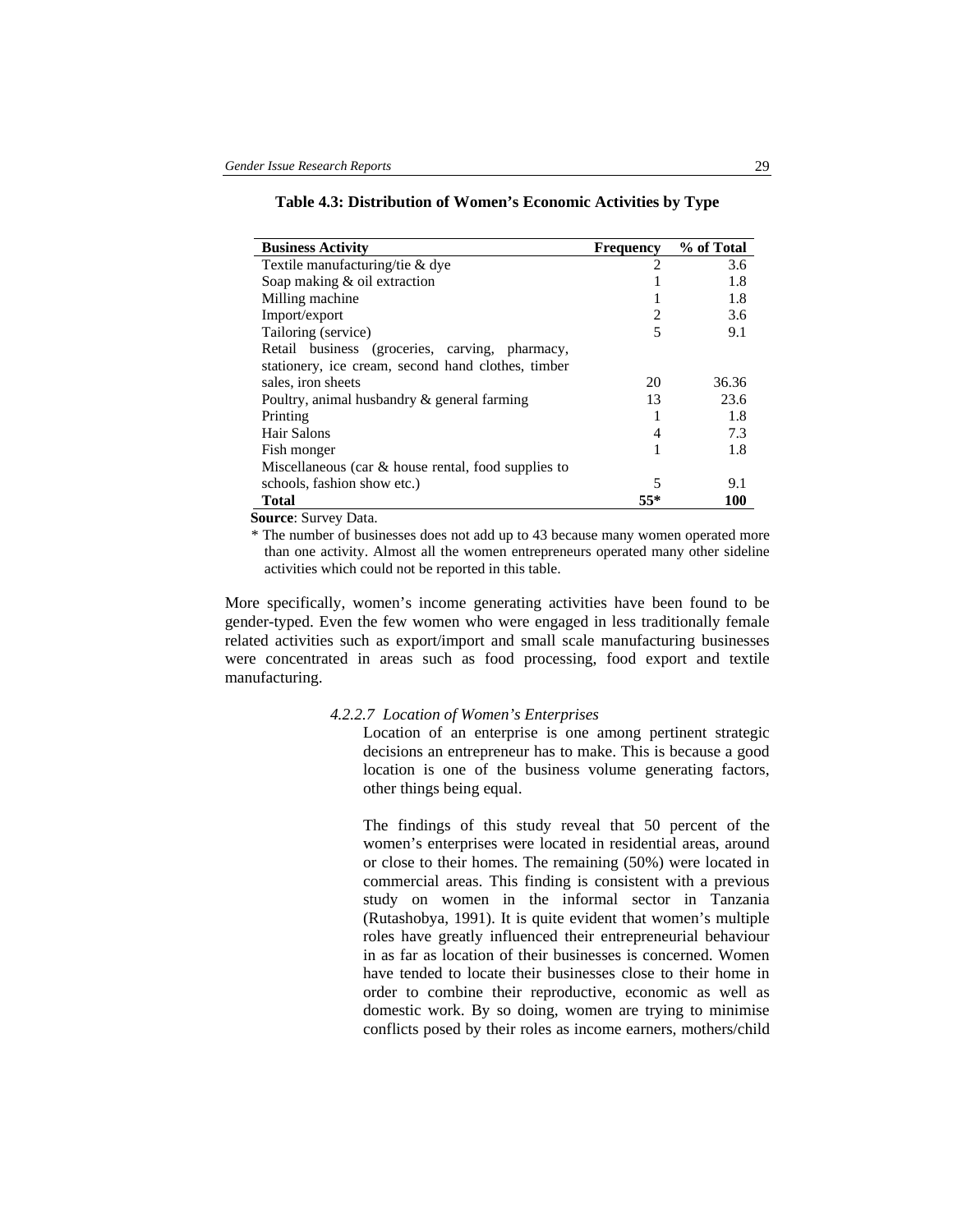|  |  |  |  |  | Table 4.3: Distribution of Women's Economic Activities by Type |  |  |  |  |
|--|--|--|--|--|----------------------------------------------------------------|--|--|--|--|
|  |  |  |  |  |                                                                |  |  |  |  |

| <b>Business Activity</b>                               | <b>Frequency</b> | % of Total |
|--------------------------------------------------------|------------------|------------|
| Textile manufacturing/tie & dye                        | $\mathfrak{D}$   | 3.6        |
| Soap making & oil extraction                           |                  | 1.8        |
| Milling machine                                        |                  | 1.8        |
| Import/export                                          | 2                | 3.6        |
| Tailoring (service)                                    | 5                | 9.1        |
| Retail business (groceries, carving, pharmacy,         |                  |            |
| stationery, ice cream, second hand clothes, timber     |                  |            |
| sales, iron sheets                                     | 20               | 36.36      |
| Poultry, animal husbandry & general farming            | 13               | 23.6       |
| Printing                                               |                  | 1.8        |
| Hair Salons                                            | 4                | 7.3        |
| Fish monger                                            |                  | 1.8        |
| Miscellaneous (car $\&$ house rental, food supplies to |                  |            |
| schools, fashion show etc.)                            | 5                | 9.1        |
| <b>Total</b>                                           | 55*              | 100        |

**Source**: Survey Data.

\* The number of businesses does not add up to 43 because many women operated more than one activity. Almost all the women entrepreneurs operated many other sideline activities which could not be reported in this table.

More specifically, women's income generating activities have been found to be gender-typed. Even the few women who were engaged in less traditionally female related activities such as export/import and small scale manufacturing businesses were concentrated in areas such as food processing, food export and textile manufacturing.

#### *4.2.2.7 Location of Women's Enterprises*

Location of an enterprise is one among pertinent strategic decisions an entrepreneur has to make. This is because a good location is one of the business volume generating factors, other things being equal.

The findings of this study reveal that 50 percent of the women's enterprises were located in residential areas, around or close to their homes. The remaining (50%) were located in commercial areas. This finding is consistent with a previous study on women in the informal sector in Tanzania (Rutashobya, 1991). It is quite evident that women's multiple roles have greatly influenced their entrepreneurial behaviour in as far as location of their businesses is concerned. Women have tended to locate their businesses close to their home in order to combine their reproductive, economic as well as domestic work. By so doing, women are trying to minimise conflicts posed by their roles as income earners, mothers/child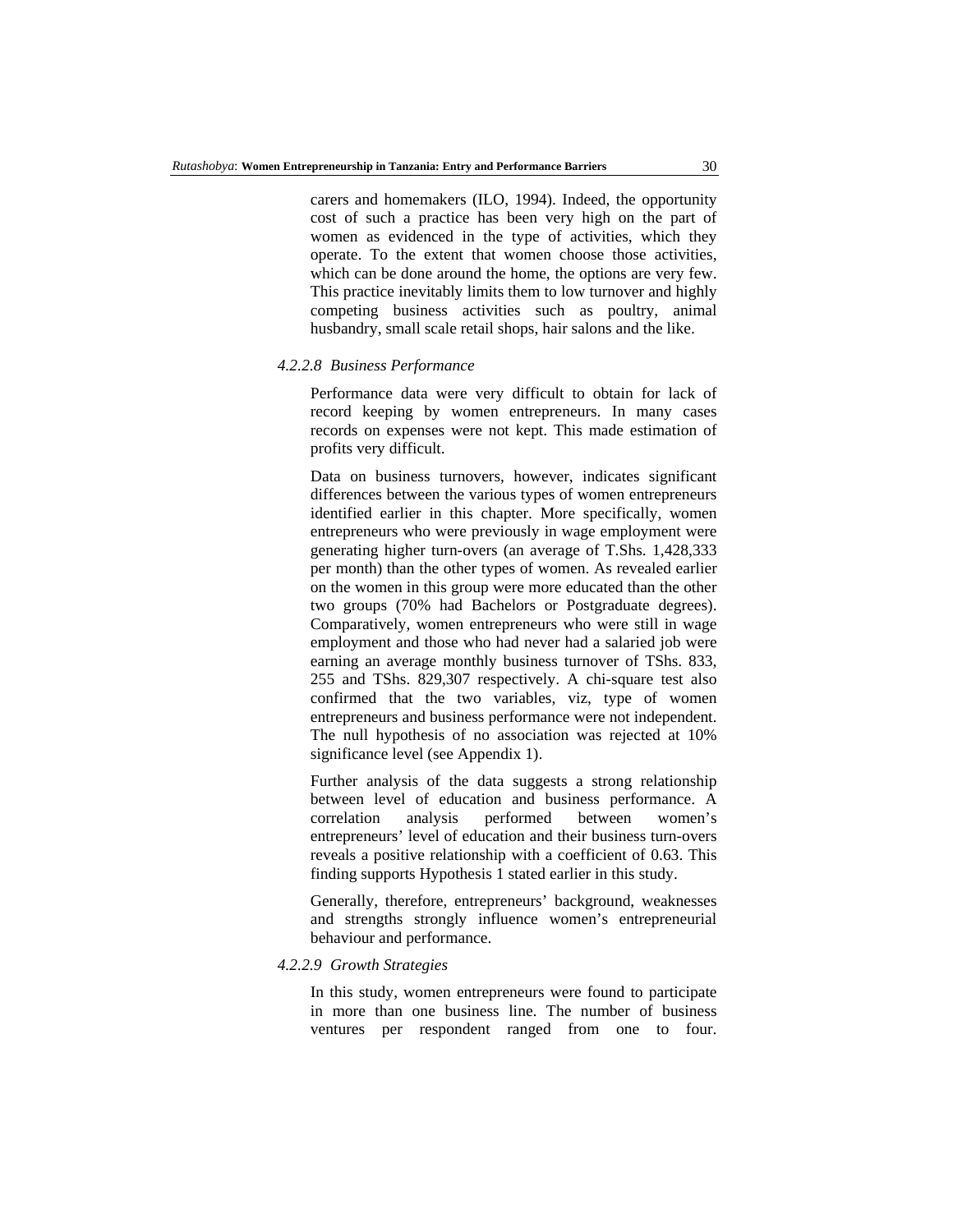carers and homemakers (ILO, 1994). Indeed, the opportunity cost of such a practice has been very high on the part of women as evidenced in the type of activities, which they operate. To the extent that women choose those activities, which can be done around the home, the options are very few. This practice inevitably limits them to low turnover and highly competing business activities such as poultry, animal husbandry, small scale retail shops, hair salons and the like.

#### *4.2.2.8 Business Performance*

Performance data were very difficult to obtain for lack of record keeping by women entrepreneurs. In many cases records on expenses were not kept. This made estimation of profits very difficult.

Data on business turnovers, however, indicates significant differences between the various types of women entrepreneurs identified earlier in this chapter. More specifically, women entrepreneurs who were previously in wage employment were generating higher turn-overs (an average of T.Shs. 1,428,333 per month) than the other types of women. As revealed earlier on the women in this group were more educated than the other two groups (70% had Bachelors or Postgraduate degrees). Comparatively, women entrepreneurs who were still in wage employment and those who had never had a salaried job were earning an average monthly business turnover of TShs. 833, 255 and TShs. 829,307 respectively. A chi-square test also confirmed that the two variables, viz, type of women entrepreneurs and business performance were not independent. The null hypothesis of no association was rejected at 10% significance level (see Appendix 1).

Further analysis of the data suggests a strong relationship between level of education and business performance. A correlation analysis performed between women's entrepreneurs' level of education and their business turn-overs reveals a positive relationship with a coefficient of 0.63. This finding supports Hypothesis 1 stated earlier in this study.

Generally, therefore, entrepreneurs' background, weaknesses and strengths strongly influence women's entrepreneurial behaviour and performance.

### *4.2.2.9 Growth Strategies*

In this study, women entrepreneurs were found to participate in more than one business line. The number of business ventures per respondent ranged from one to four.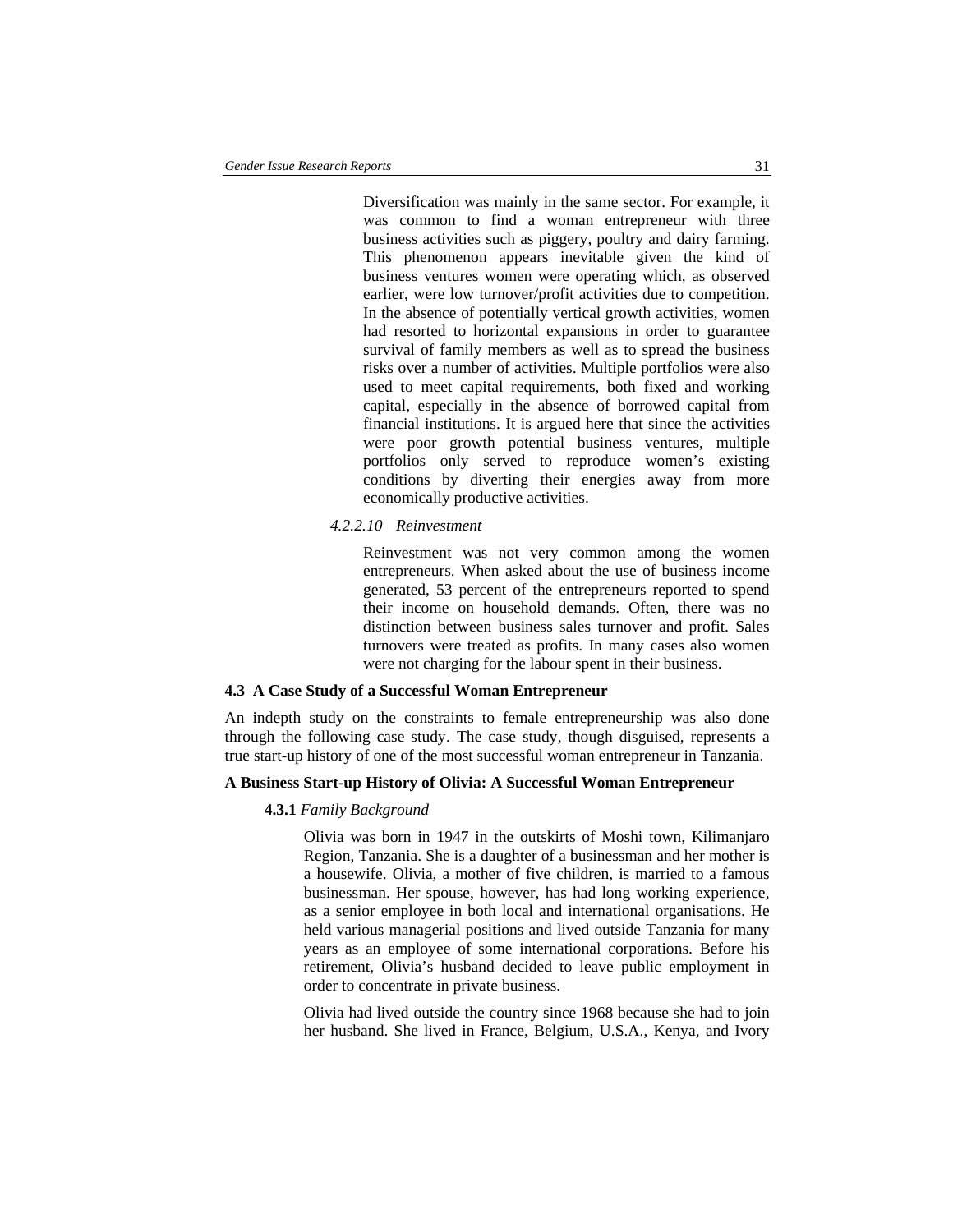Diversification was mainly in the same sector. For example, it was common to find a woman entrepreneur with three business activities such as piggery, poultry and dairy farming. This phenomenon appears inevitable given the kind of business ventures women were operating which, as observed earlier, were low turnover/profit activities due to competition. In the absence of potentially vertical growth activities, women had resorted to horizontal expansions in order to guarantee survival of family members as well as to spread the business risks over a number of activities. Multiple portfolios were also used to meet capital requirements, both fixed and working capital, especially in the absence of borrowed capital from financial institutions. It is argued here that since the activities were poor growth potential business ventures, multiple portfolios only served to reproduce women's existing conditions by diverting their energies away from more economically productive activities.

### *4.2.2.10 Reinvestment*

Reinvestment was not very common among the women entrepreneurs. When asked about the use of business income generated, 53 percent of the entrepreneurs reported to spend their income on household demands. Often, there was no distinction between business sales turnover and profit. Sales turnovers were treated as profits. In many cases also women were not charging for the labour spent in their business.

### **4.3 A Case Study of a Successful Woman Entrepreneur**

An indepth study on the constraints to female entrepreneurship was also done through the following case study. The case study, though disguised, represents a true start-up history of one of the most successful woman entrepreneur in Tanzania.

### **A Business Start-up History of Olivia: A Successful Woman Entrepreneur**

#### **4.3.1** *Family Background*

Olivia was born in 1947 in the outskirts of Moshi town, Kilimanjaro Region, Tanzania. She is a daughter of a businessman and her mother is a housewife. Olivia, a mother of five children, is married to a famous businessman. Her spouse, however, has had long working experience, as a senior employee in both local and international organisations. He held various managerial positions and lived outside Tanzania for many years as an employee of some international corporations. Before his retirement, Olivia's husband decided to leave public employment in order to concentrate in private business.

Olivia had lived outside the country since 1968 because she had to join her husband. She lived in France, Belgium, U.S.A., Kenya, and Ivory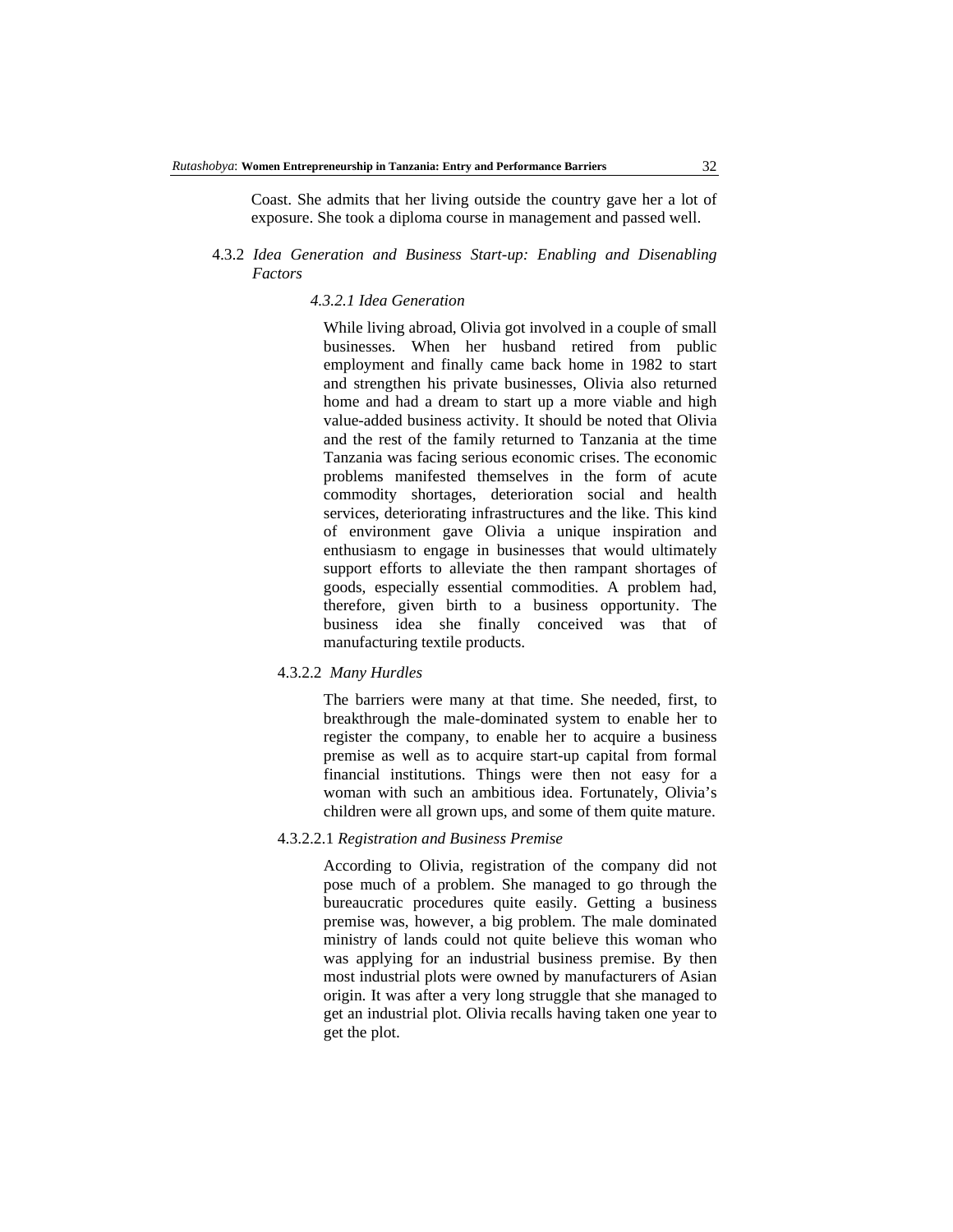Coast. She admits that her living outside the country gave her a lot of exposure. She took a diploma course in management and passed well.

## 4.3.2 *Idea Generation and Business Start-up: Enabling and Disenabling Factors*

### *4.3.2.1 Idea Generation*

While living abroad, Olivia got involved in a couple of small businesses. When her husband retired from public employment and finally came back home in 1982 to start and strengthen his private businesses, Olivia also returned home and had a dream to start up a more viable and high value-added business activity. It should be noted that Olivia and the rest of the family returned to Tanzania at the time Tanzania was facing serious economic crises. The economic problems manifested themselves in the form of acute commodity shortages, deterioration social and health services, deteriorating infrastructures and the like. This kind of environment gave Olivia a unique inspiration and enthusiasm to engage in businesses that would ultimately support efforts to alleviate the then rampant shortages of goods, especially essential commodities. A problem had, therefore, given birth to a business opportunity. The business idea she finally conceived was that of manufacturing textile products.

#### 4.3.2.2*Many Hurdles*

The barriers were many at that time. She needed, first, to breakthrough the male-dominated system to enable her to register the company, to enable her to acquire a business premise as well as to acquire start-up capital from formal financial institutions. Things were then not easy for a woman with such an ambitious idea. Fortunately, Olivia's children were all grown ups, and some of them quite mature.

### 4.3.2.2.1 *Registration and Business Premise*

According to Olivia, registration of the company did not pose much of a problem. She managed to go through the bureaucratic procedures quite easily. Getting a business premise was, however, a big problem. The male dominated ministry of lands could not quite believe this woman who was applying for an industrial business premise. By then most industrial plots were owned by manufacturers of Asian origin. It was after a very long struggle that she managed to get an industrial plot. Olivia recalls having taken one year to get the plot.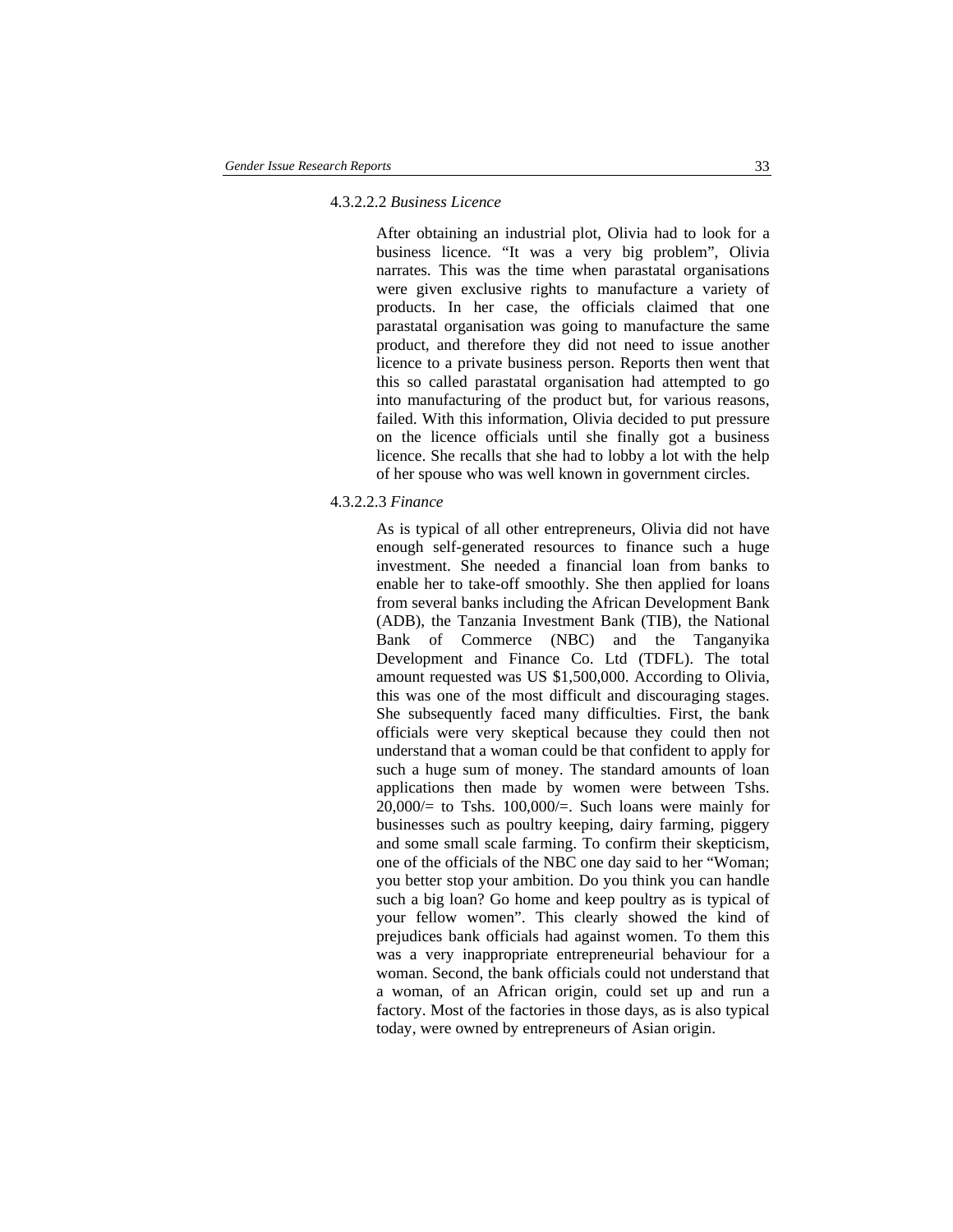### 4.3.2.2.2 *Business Licence*

After obtaining an industrial plot, Olivia had to look for a business licence. "It was a very big problem", Olivia narrates. This was the time when parastatal organisations were given exclusive rights to manufacture a variety of products. In her case, the officials claimed that one parastatal organisation was going to manufacture the same product, and therefore they did not need to issue another licence to a private business person. Reports then went that this so called parastatal organisation had attempted to go into manufacturing of the product but, for various reasons, failed. With this information, Olivia decided to put pressure on the licence officials until she finally got a business licence. She recalls that she had to lobby a lot with the help of her spouse who was well known in government circles.

#### 4.3.2.2.3 *Finance*

As is typical of all other entrepreneurs, Olivia did not have enough self-generated resources to finance such a huge investment. She needed a financial loan from banks to enable her to take-off smoothly. She then applied for loans from several banks including the African Development Bank (ADB), the Tanzania Investment Bank (TIB), the National Bank of Commerce (NBC) and the Tanganyika Development and Finance Co. Ltd (TDFL). The total amount requested was US \$1,500,000. According to Olivia, this was one of the most difficult and discouraging stages. She subsequently faced many difficulties. First, the bank officials were very skeptical because they could then not understand that a woman could be that confident to apply for such a huge sum of money. The standard amounts of loan applications then made by women were between Tshs.  $20,000/=$  to Tshs. 100,000/ $=$ . Such loans were mainly for businesses such as poultry keeping, dairy farming, piggery and some small scale farming. To confirm their skepticism, one of the officials of the NBC one day said to her "Woman; you better stop your ambition. Do you think you can handle such a big loan? Go home and keep poultry as is typical of your fellow women". This clearly showed the kind of prejudices bank officials had against women. To them this was a very inappropriate entrepreneurial behaviour for a woman. Second, the bank officials could not understand that a woman, of an African origin, could set up and run a factory. Most of the factories in those days, as is also typical today, were owned by entrepreneurs of Asian origin.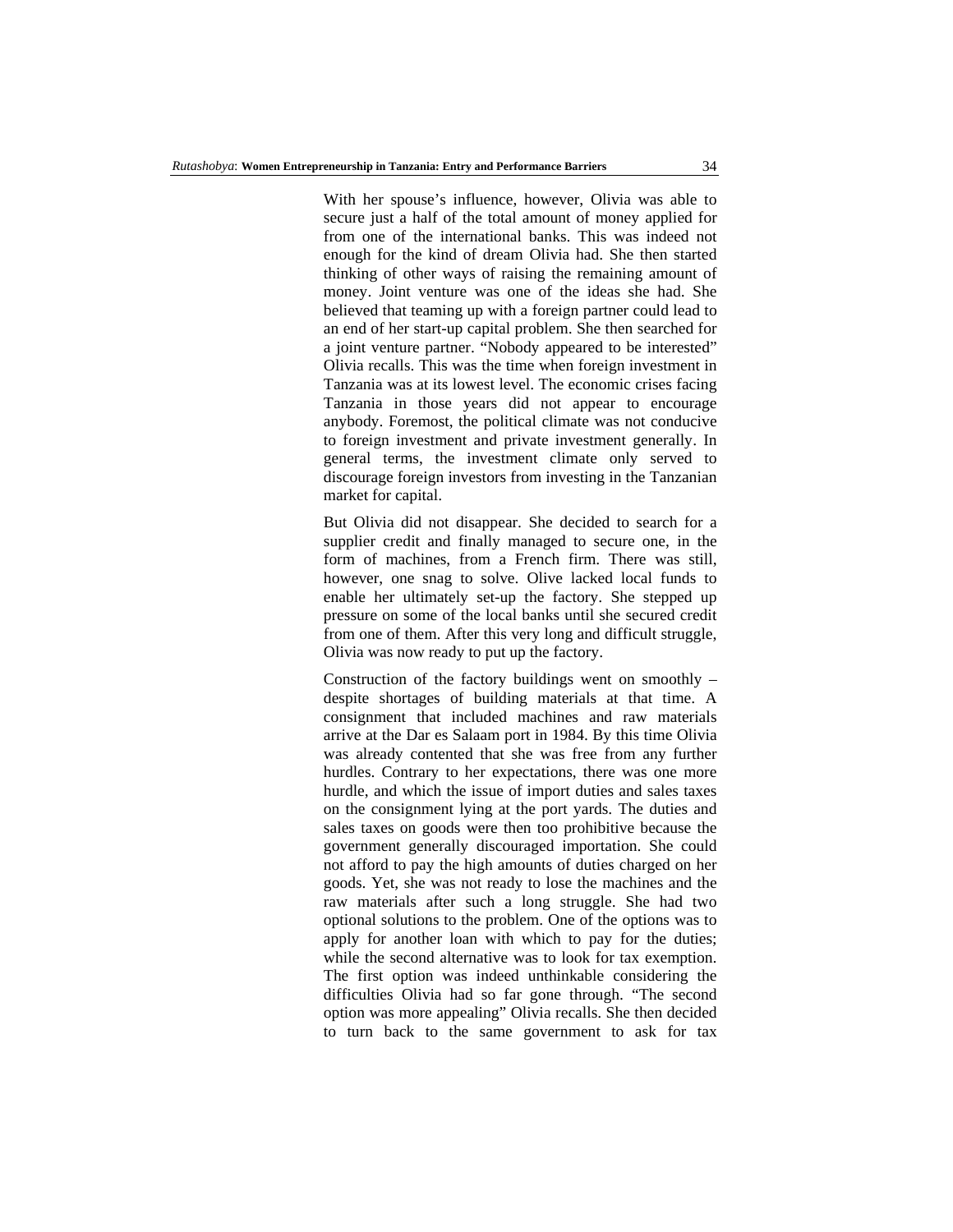With her spouse's influence, however, Olivia was able to secure just a half of the total amount of money applied for from one of the international banks. This was indeed not enough for the kind of dream Olivia had. She then started thinking of other ways of raising the remaining amount of money. Joint venture was one of the ideas she had. She believed that teaming up with a foreign partner could lead to an end of her start-up capital problem. She then searched for a joint venture partner. "Nobody appeared to be interested" Olivia recalls. This was the time when foreign investment in Tanzania was at its lowest level. The economic crises facing Tanzania in those years did not appear to encourage anybody. Foremost, the political climate was not conducive to foreign investment and private investment generally. In general terms, the investment climate only served to discourage foreign investors from investing in the Tanzanian market for capital.

But Olivia did not disappear. She decided to search for a supplier credit and finally managed to secure one, in the form of machines, from a French firm. There was still, however, one snag to solve. Olive lacked local funds to enable her ultimately set-up the factory. She stepped up pressure on some of the local banks until she secured credit from one of them. After this very long and difficult struggle, Olivia was now ready to put up the factory.

Construction of the factory buildings went on smoothly – despite shortages of building materials at that time. A consignment that included machines and raw materials arrive at the Dar es Salaam port in 1984. By this time Olivia was already contented that she was free from any further hurdles. Contrary to her expectations, there was one more hurdle, and which the issue of import duties and sales taxes on the consignment lying at the port yards. The duties and sales taxes on goods were then too prohibitive because the government generally discouraged importation. She could not afford to pay the high amounts of duties charged on her goods. Yet, she was not ready to lose the machines and the raw materials after such a long struggle. She had two optional solutions to the problem. One of the options was to apply for another loan with which to pay for the duties; while the second alternative was to look for tax exemption. The first option was indeed unthinkable considering the difficulties Olivia had so far gone through. "The second option was more appealing" Olivia recalls. She then decided to turn back to the same government to ask for tax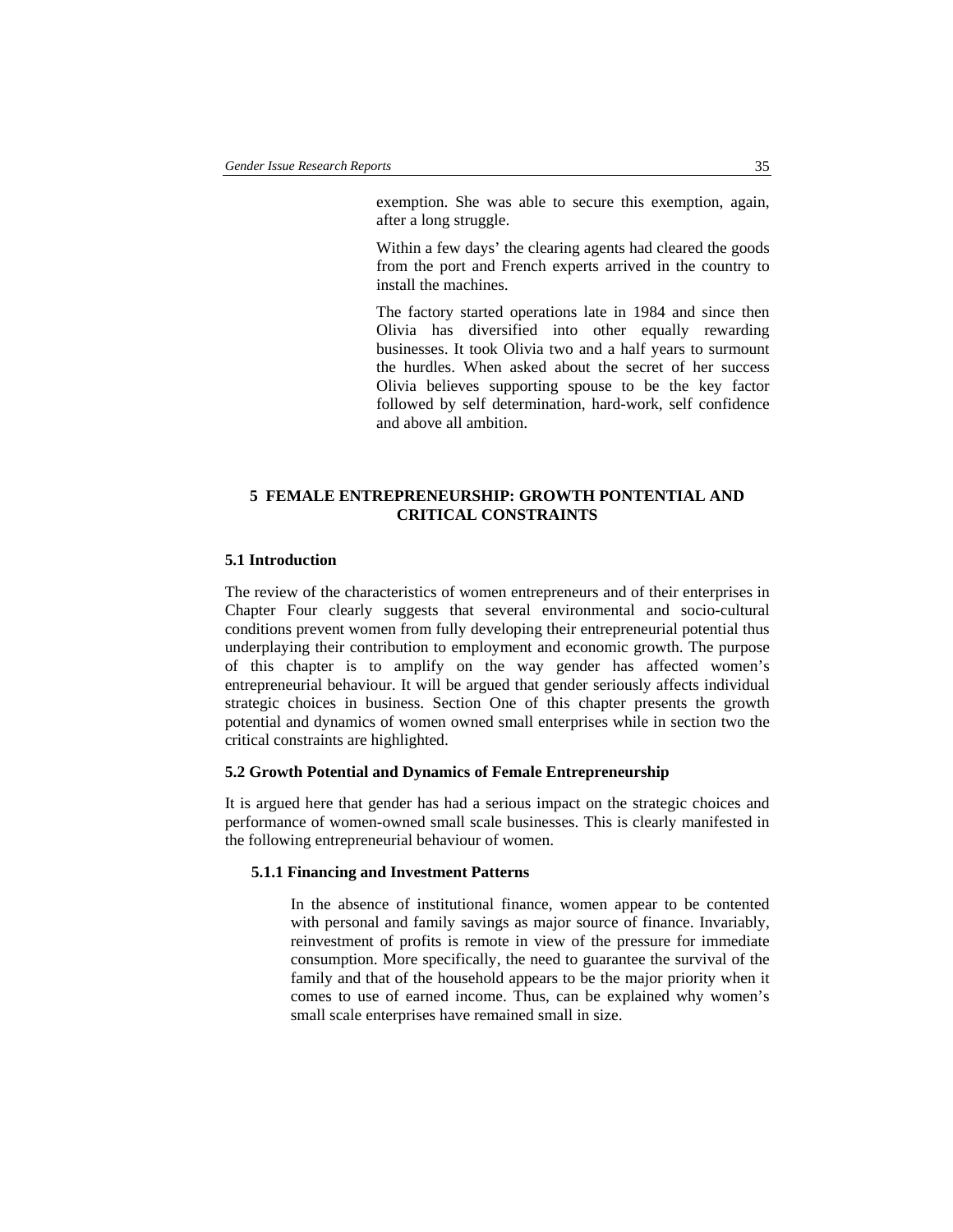exemption. She was able to secure this exemption, again, after a long struggle.

Within a few days' the clearing agents had cleared the goods from the port and French experts arrived in the country to install the machines.

The factory started operations late in 1984 and since then Olivia has diversified into other equally rewarding businesses. It took Olivia two and a half years to surmount the hurdles. When asked about the secret of her success Olivia believes supporting spouse to be the key factor followed by self determination, hard-work, self confidence and above all ambition.

## **5 FEMALE ENTREPRENEURSHIP: GROWTH PONTENTIAL AND CRITICAL CONSTRAINTS**

### **5.1 Introduction**

The review of the characteristics of women entrepreneurs and of their enterprises in Chapter Four clearly suggests that several environmental and socio-cultural conditions prevent women from fully developing their entrepreneurial potential thus underplaying their contribution to employment and economic growth. The purpose of this chapter is to amplify on the way gender has affected women's entrepreneurial behaviour. It will be argued that gender seriously affects individual strategic choices in business. Section One of this chapter presents the growth potential and dynamics of women owned small enterprises while in section two the critical constraints are highlighted.

#### **5.2 Growth Potential and Dynamics of Female Entrepreneurship**

It is argued here that gender has had a serious impact on the strategic choices and performance of women-owned small scale businesses. This is clearly manifested in the following entrepreneurial behaviour of women.

## **5.1.1 Financing and Investment Patterns**

In the absence of institutional finance, women appear to be contented with personal and family savings as major source of finance. Invariably, reinvestment of profits is remote in view of the pressure for immediate consumption. More specifically, the need to guarantee the survival of the family and that of the household appears to be the major priority when it comes to use of earned income. Thus, can be explained why women's small scale enterprises have remained small in size.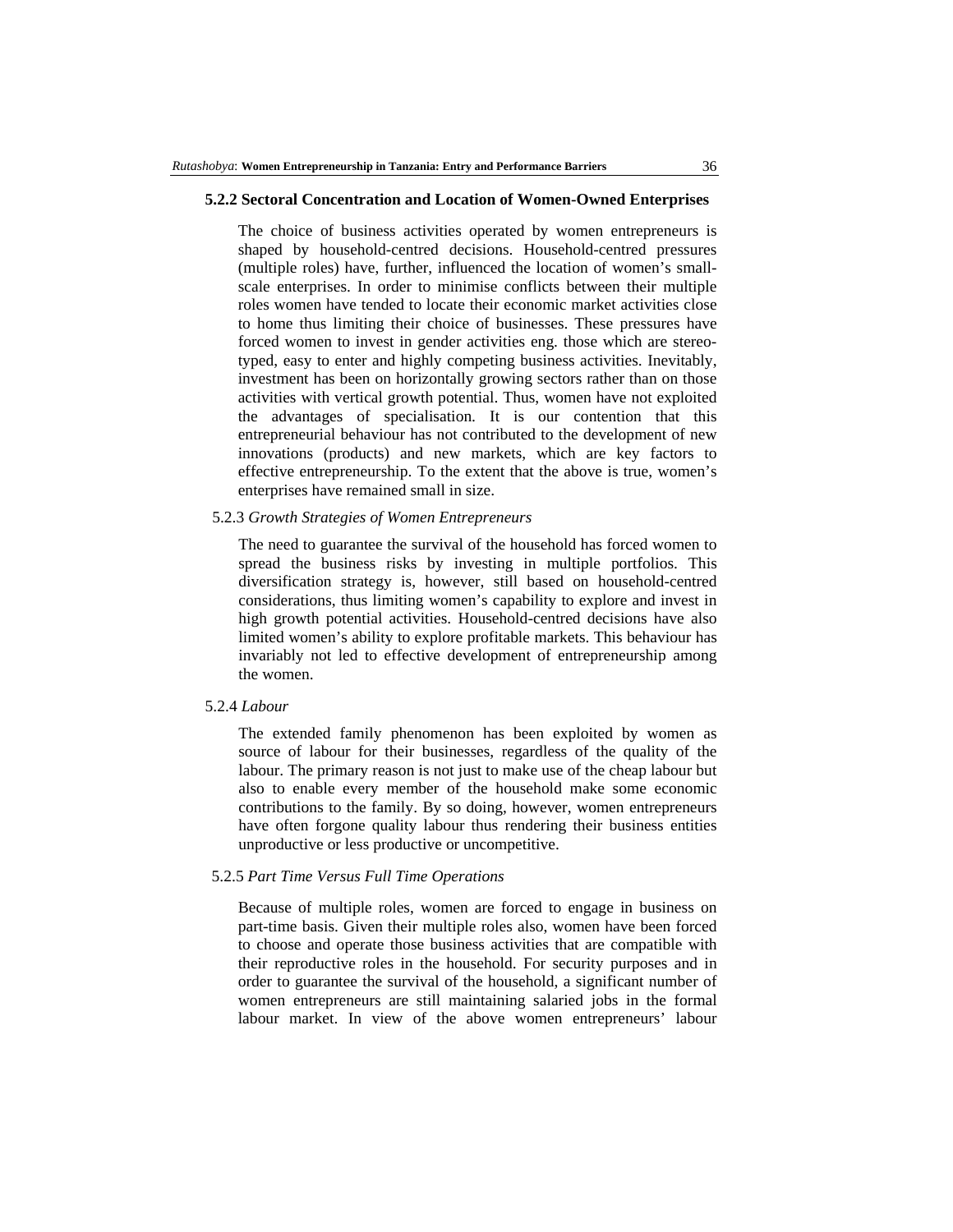### **5.2.2 Sectoral Concentration and Location of Women-Owned Enterprises**

The choice of business activities operated by women entrepreneurs is shaped by household-centred decisions. Household-centred pressures (multiple roles) have, further, influenced the location of women's smallscale enterprises. In order to minimise conflicts between their multiple roles women have tended to locate their economic market activities close to home thus limiting their choice of businesses. These pressures have forced women to invest in gender activities eng. those which are stereotyped, easy to enter and highly competing business activities. Inevitably, investment has been on horizontally growing sectors rather than on those activities with vertical growth potential. Thus, women have not exploited the advantages of specialisation. It is our contention that this entrepreneurial behaviour has not contributed to the development of new innovations (products) and new markets, which are key factors to effective entrepreneurship. To the extent that the above is true, women's enterprises have remained small in size.

### 5.2.3 *Growth Strategies of Women Entrepreneurs*

The need to guarantee the survival of the household has forced women to spread the business risks by investing in multiple portfolios. This diversification strategy is, however, still based on household-centred considerations, thus limiting women's capability to explore and invest in high growth potential activities. Household-centred decisions have also limited women's ability to explore profitable markets. This behaviour has invariably not led to effective development of entrepreneurship among the women.

#### 5.2.4 *Labour*

The extended family phenomenon has been exploited by women as source of labour for their businesses, regardless of the quality of the labour. The primary reason is not just to make use of the cheap labour but also to enable every member of the household make some economic contributions to the family. By so doing, however, women entrepreneurs have often forgone quality labour thus rendering their business entities unproductive or less productive or uncompetitive.

## 5.2.5 *Part Time Versus Full Time Operations*

Because of multiple roles, women are forced to engage in business on part-time basis. Given their multiple roles also, women have been forced to choose and operate those business activities that are compatible with their reproductive roles in the household. For security purposes and in order to guarantee the survival of the household, a significant number of women entrepreneurs are still maintaining salaried jobs in the formal labour market. In view of the above women entrepreneurs' labour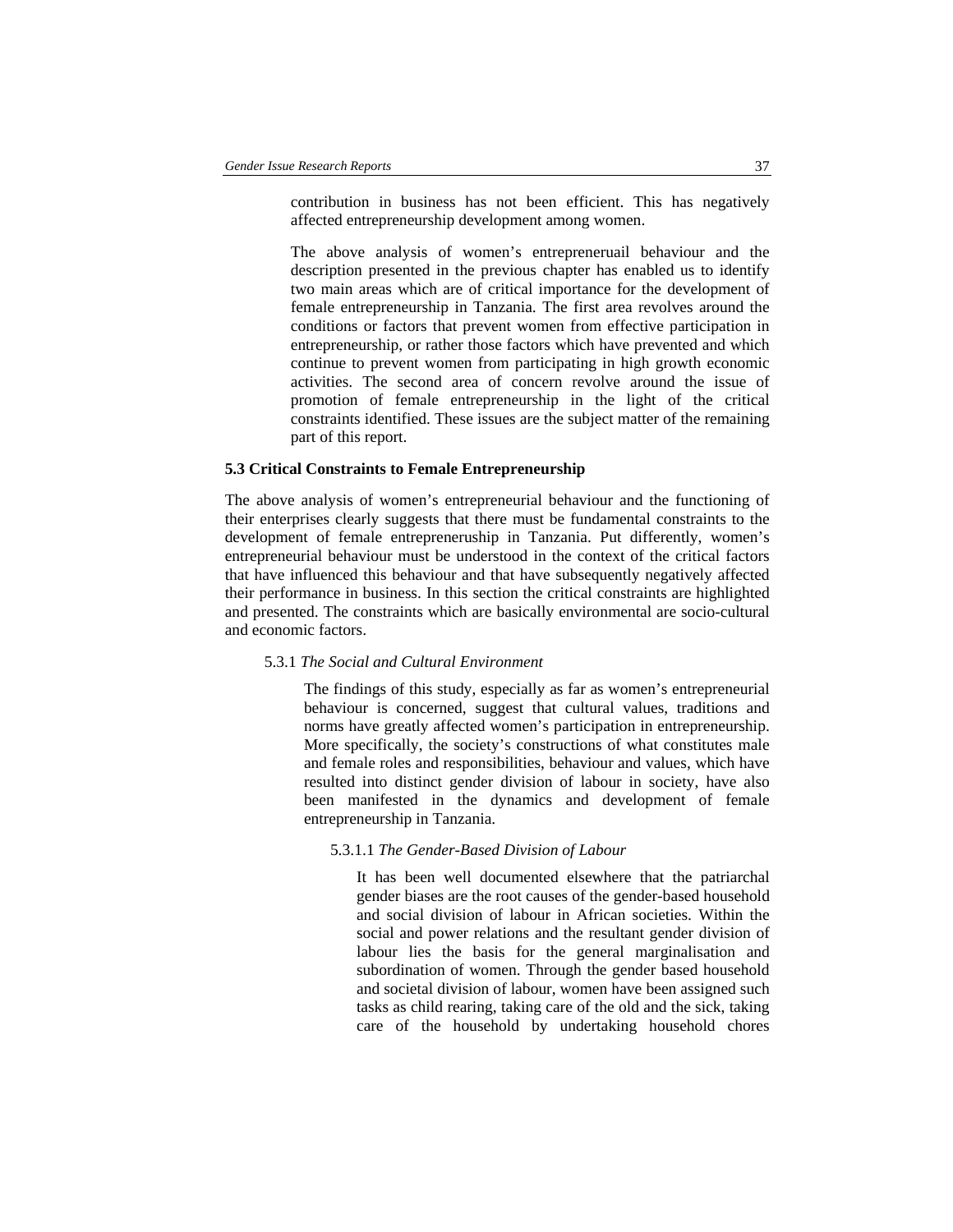contribution in business has not been efficient. This has negatively affected entrepreneurship development among women.

The above analysis of women's entrepreneruail behaviour and the description presented in the previous chapter has enabled us to identify two main areas which are of critical importance for the development of female entrepreneurship in Tanzania. The first area revolves around the conditions or factors that prevent women from effective participation in entrepreneurship, or rather those factors which have prevented and which continue to prevent women from participating in high growth economic activities. The second area of concern revolve around the issue of promotion of female entrepreneurship in the light of the critical constraints identified. These issues are the subject matter of the remaining part of this report.

#### **5.3 Critical Constraints to Female Entrepreneurship**

The above analysis of women's entrepreneurial behaviour and the functioning of their enterprises clearly suggests that there must be fundamental constraints to the development of female entrepreneruship in Tanzania. Put differently, women's entrepreneurial behaviour must be understood in the context of the critical factors that have influenced this behaviour and that have subsequently negatively affected their performance in business. In this section the critical constraints are highlighted and presented. The constraints which are basically environmental are socio-cultural and economic factors.

### 5.3.1 *The Social and Cultural Environment*

The findings of this study, especially as far as women's entrepreneurial behaviour is concerned, suggest that cultural values, traditions and norms have greatly affected women's participation in entrepreneurship. More specifically, the society's constructions of what constitutes male and female roles and responsibilities, behaviour and values, which have resulted into distinct gender division of labour in society, have also been manifested in the dynamics and development of female entrepreneurship in Tanzania.

#### 5.3.1.1 *The Gender-Based Division of Labour*

It has been well documented elsewhere that the patriarchal gender biases are the root causes of the gender-based household and social division of labour in African societies. Within the social and power relations and the resultant gender division of labour lies the basis for the general marginalisation and subordination of women. Through the gender based household and societal division of labour, women have been assigned such tasks as child rearing, taking care of the old and the sick, taking care of the household by undertaking household chores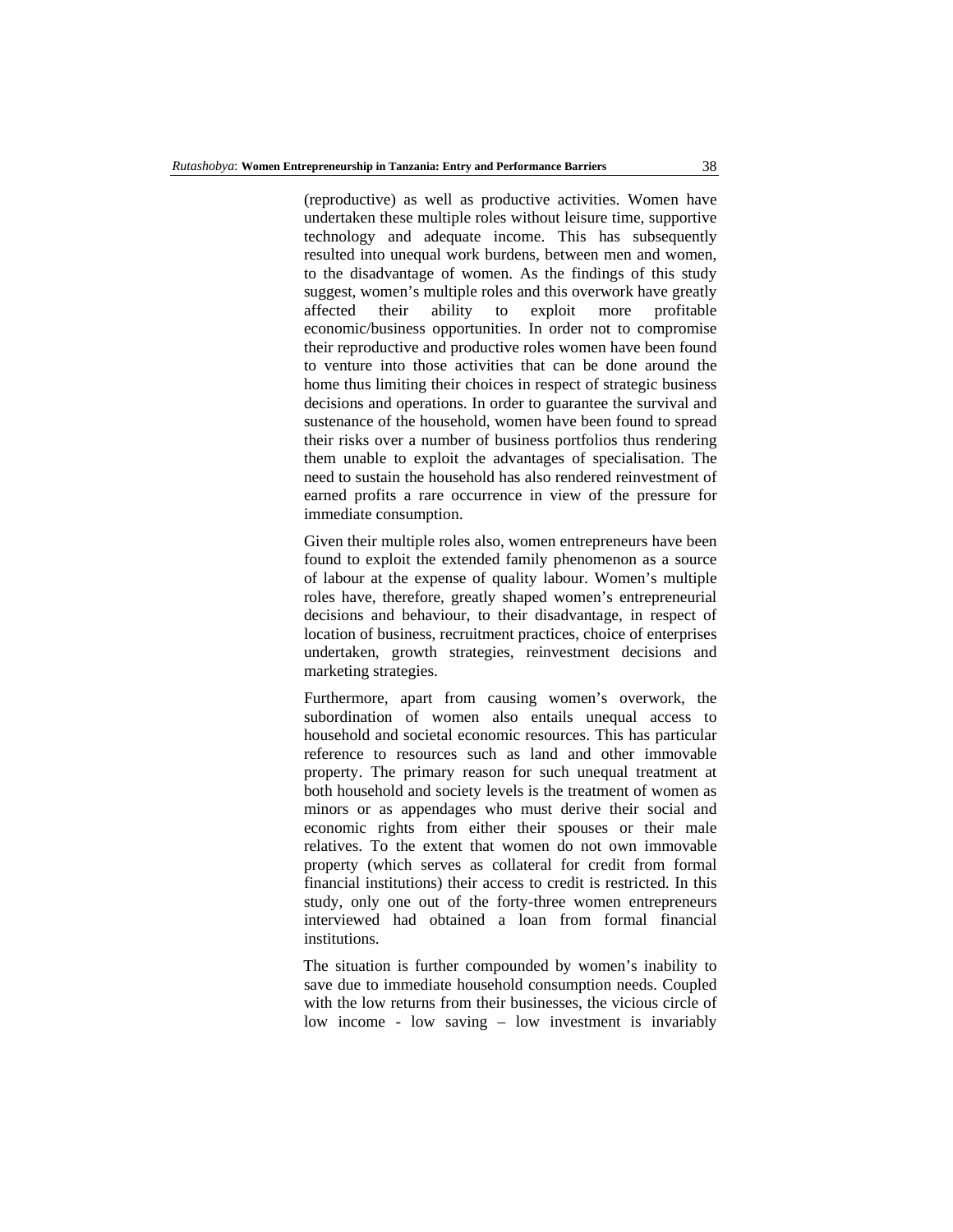(reproductive) as well as productive activities. Women have undertaken these multiple roles without leisure time, supportive technology and adequate income. This has subsequently resulted into unequal work burdens, between men and women, to the disadvantage of women. As the findings of this study suggest, women's multiple roles and this overwork have greatly affected their ability to exploit more profitable economic/business opportunities. In order not to compromise their reproductive and productive roles women have been found to venture into those activities that can be done around the home thus limiting their choices in respect of strategic business decisions and operations. In order to guarantee the survival and sustenance of the household, women have been found to spread their risks over a number of business portfolios thus rendering them unable to exploit the advantages of specialisation. The need to sustain the household has also rendered reinvestment of earned profits a rare occurrence in view of the pressure for immediate consumption.

Given their multiple roles also, women entrepreneurs have been found to exploit the extended family phenomenon as a source of labour at the expense of quality labour. Women's multiple roles have, therefore, greatly shaped women's entrepreneurial decisions and behaviour, to their disadvantage, in respect of location of business, recruitment practices, choice of enterprises undertaken, growth strategies, reinvestment decisions and marketing strategies.

Furthermore, apart from causing women's overwork, the subordination of women also entails unequal access to household and societal economic resources. This has particular reference to resources such as land and other immovable property. The primary reason for such unequal treatment at both household and society levels is the treatment of women as minors or as appendages who must derive their social and economic rights from either their spouses or their male relatives. To the extent that women do not own immovable property (which serves as collateral for credit from formal financial institutions) their access to credit is restricted. In this study, only one out of the forty-three women entrepreneurs interviewed had obtained a loan from formal financial institutions.

The situation is further compounded by women's inability to save due to immediate household consumption needs. Coupled with the low returns from their businesses, the vicious circle of low income - low saving – low investment is invariably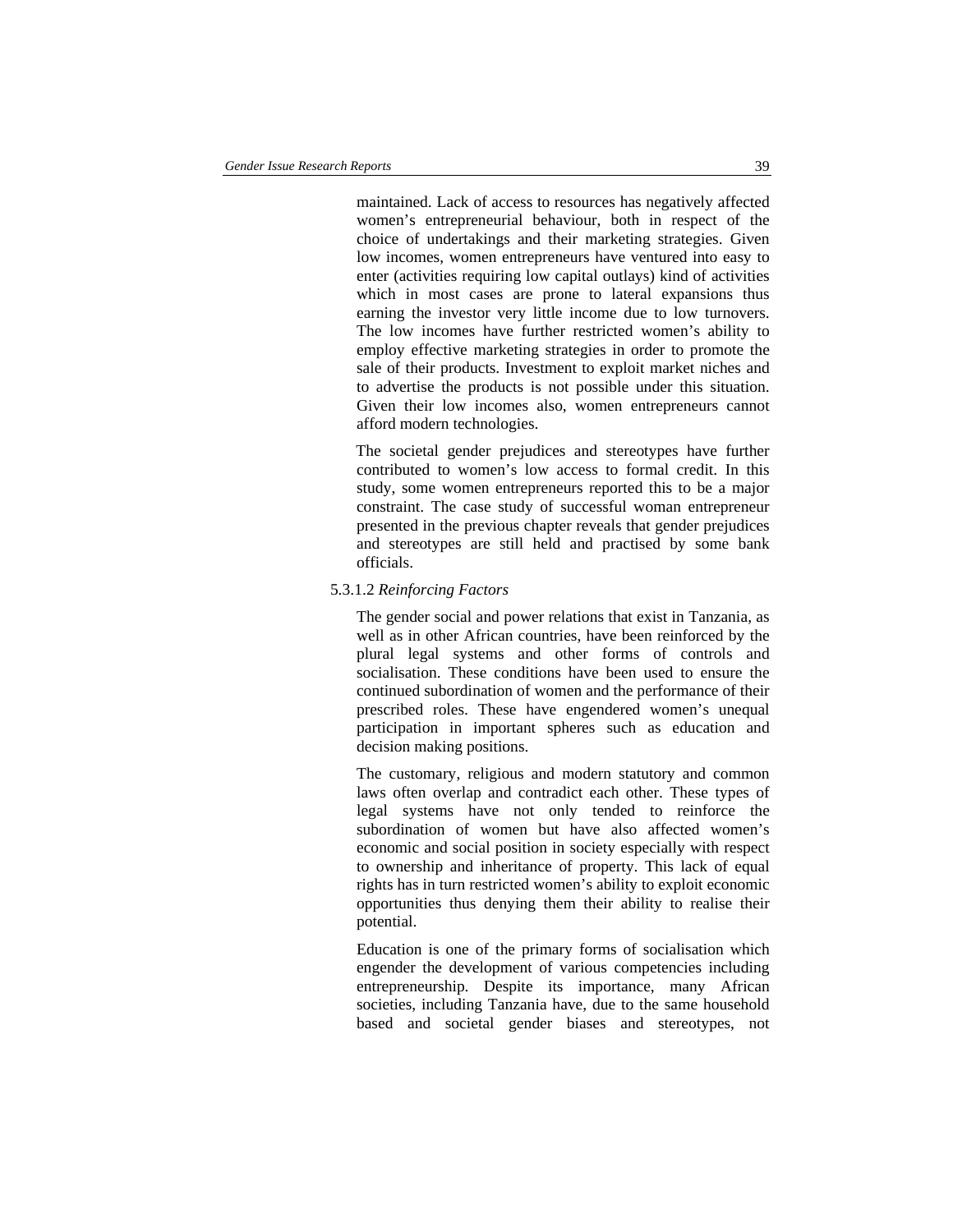maintained. Lack of access to resources has negatively affected women's entrepreneurial behaviour, both in respect of the choice of undertakings and their marketing strategies. Given low incomes, women entrepreneurs have ventured into easy to enter (activities requiring low capital outlays) kind of activities which in most cases are prone to lateral expansions thus earning the investor very little income due to low turnovers. The low incomes have further restricted women's ability to employ effective marketing strategies in order to promote the sale of their products. Investment to exploit market niches and to advertise the products is not possible under this situation. Given their low incomes also, women entrepreneurs cannot afford modern technologies.

The societal gender prejudices and stereotypes have further contributed to women's low access to formal credit. In this study, some women entrepreneurs reported this to be a major constraint. The case study of successful woman entrepreneur presented in the previous chapter reveals that gender prejudices and stereotypes are still held and practised by some bank officials.

### 5.3.1.2 *Reinforcing Factors*

The gender social and power relations that exist in Tanzania, as well as in other African countries, have been reinforced by the plural legal systems and other forms of controls and socialisation. These conditions have been used to ensure the continued subordination of women and the performance of their prescribed roles. These have engendered women's unequal participation in important spheres such as education and decision making positions.

The customary, religious and modern statutory and common laws often overlap and contradict each other. These types of legal systems have not only tended to reinforce the subordination of women but have also affected women's economic and social position in society especially with respect to ownership and inheritance of property. This lack of equal rights has in turn restricted women's ability to exploit economic opportunities thus denying them their ability to realise their potential.

Education is one of the primary forms of socialisation which engender the development of various competencies including entrepreneurship. Despite its importance, many African societies, including Tanzania have, due to the same household based and societal gender biases and stereotypes, not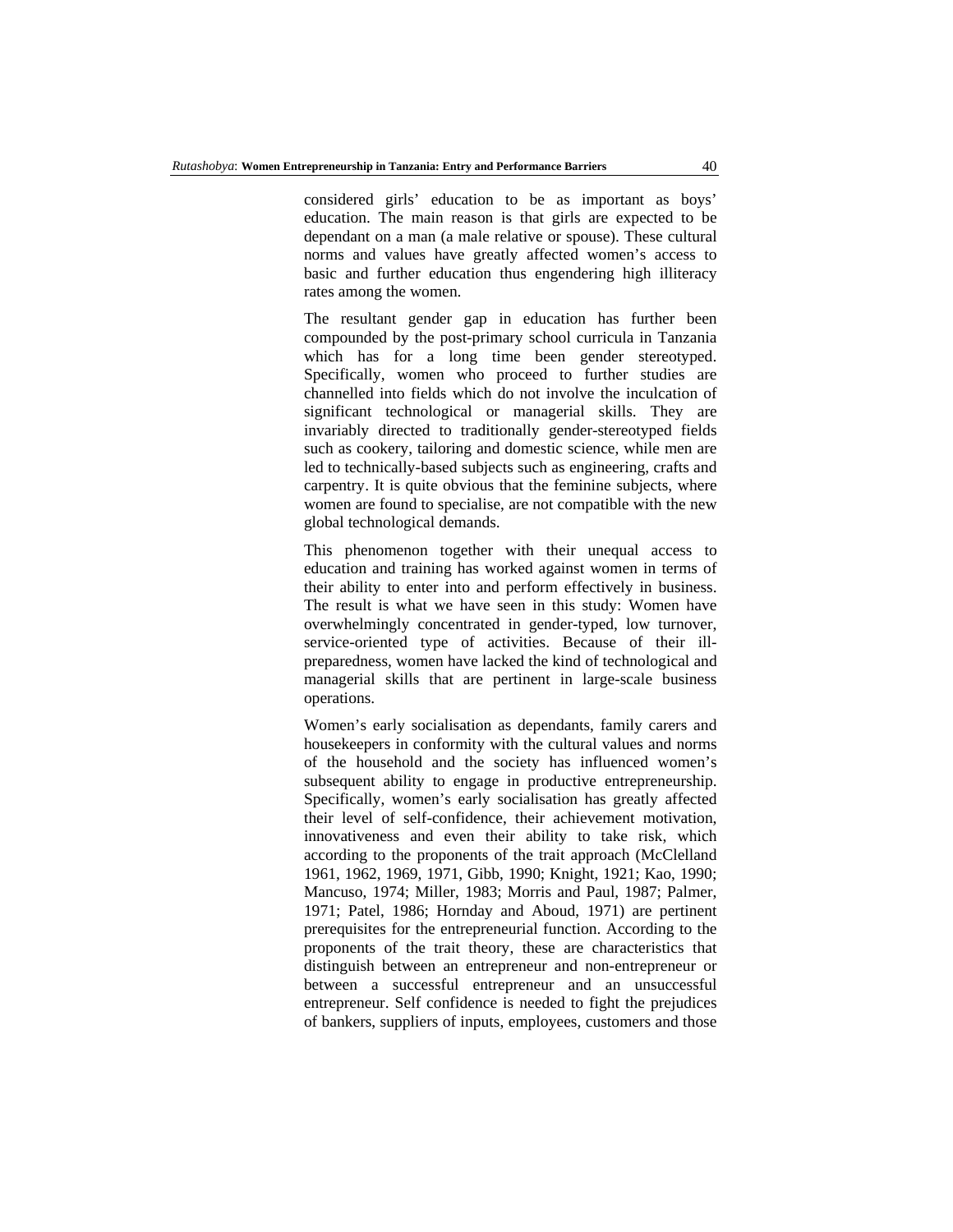considered girls' education to be as important as boys' education. The main reason is that girls are expected to be dependant on a man (a male relative or spouse). These cultural norms and values have greatly affected women's access to basic and further education thus engendering high illiteracy rates among the women.

The resultant gender gap in education has further been compounded by the post-primary school curricula in Tanzania which has for a long time been gender stereotyped. Specifically, women who proceed to further studies are channelled into fields which do not involve the inculcation of significant technological or managerial skills. They are invariably directed to traditionally gender-stereotyped fields such as cookery, tailoring and domestic science, while men are led to technically-based subjects such as engineering, crafts and carpentry. It is quite obvious that the feminine subjects, where women are found to specialise, are not compatible with the new global technological demands.

This phenomenon together with their unequal access to education and training has worked against women in terms of their ability to enter into and perform effectively in business. The result is what we have seen in this study: Women have overwhelmingly concentrated in gender-typed, low turnover, service-oriented type of activities. Because of their illpreparedness, women have lacked the kind of technological and managerial skills that are pertinent in large-scale business operations.

Women's early socialisation as dependants, family carers and housekeepers in conformity with the cultural values and norms of the household and the society has influenced women's subsequent ability to engage in productive entrepreneurship. Specifically, women's early socialisation has greatly affected their level of self-confidence, their achievement motivation, innovativeness and even their ability to take risk, which according to the proponents of the trait approach (McClelland 1961, 1962, 1969, 1971, Gibb, 1990; Knight, 1921; Kao, 1990; Mancuso, 1974; Miller, 1983; Morris and Paul, 1987; Palmer, 1971; Patel, 1986; Hornday and Aboud, 1971) are pertinent prerequisites for the entrepreneurial function. According to the proponents of the trait theory, these are characteristics that distinguish between an entrepreneur and non-entrepreneur or between a successful entrepreneur and an unsuccessful entrepreneur. Self confidence is needed to fight the prejudices of bankers, suppliers of inputs, employees, customers and those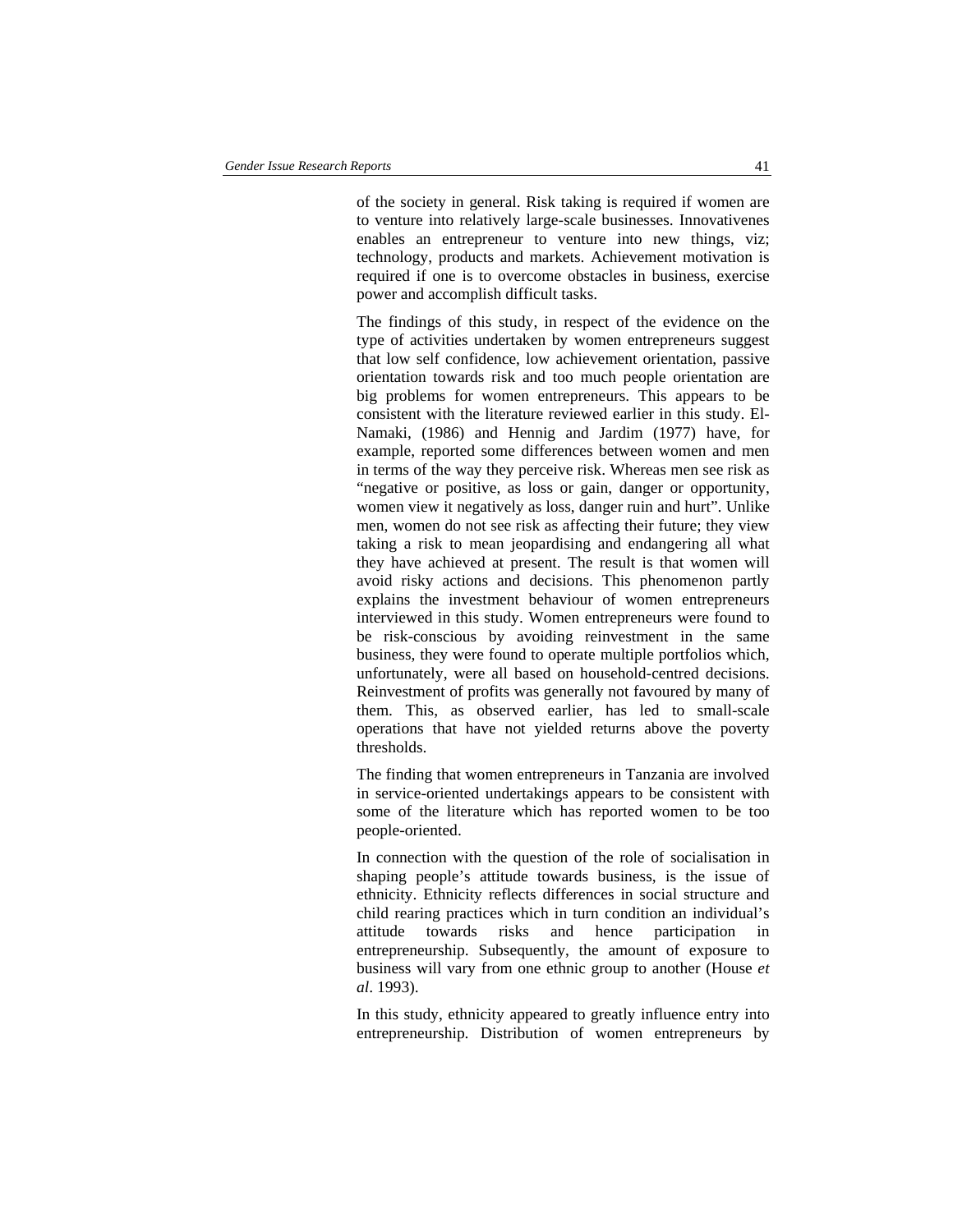of the society in general. Risk taking is required if women are to venture into relatively large-scale businesses. Innovativenes enables an entrepreneur to venture into new things, viz; technology, products and markets. Achievement motivation is required if one is to overcome obstacles in business, exercise power and accomplish difficult tasks.

The findings of this study, in respect of the evidence on the type of activities undertaken by women entrepreneurs suggest that low self confidence, low achievement orientation, passive orientation towards risk and too much people orientation are big problems for women entrepreneurs. This appears to be consistent with the literature reviewed earlier in this study. El-Namaki, (1986) and Hennig and Jardim (1977) have, for example, reported some differences between women and men in terms of the way they perceive risk. Whereas men see risk as "negative or positive, as loss or gain, danger or opportunity, women view it negatively as loss, danger ruin and hurt". Unlike men, women do not see risk as affecting their future; they view taking a risk to mean jeopardising and endangering all what they have achieved at present. The result is that women will avoid risky actions and decisions. This phenomenon partly explains the investment behaviour of women entrepreneurs interviewed in this study. Women entrepreneurs were found to be risk-conscious by avoiding reinvestment in the same business, they were found to operate multiple portfolios which, unfortunately, were all based on household-centred decisions. Reinvestment of profits was generally not favoured by many of them. This, as observed earlier, has led to small-scale operations that have not yielded returns above the poverty thresholds.

The finding that women entrepreneurs in Tanzania are involved in service-oriented undertakings appears to be consistent with some of the literature which has reported women to be too people-oriented.

In connection with the question of the role of socialisation in shaping people's attitude towards business, is the issue of ethnicity. Ethnicity reflects differences in social structure and child rearing practices which in turn condition an individual's attitude towards risks and hence participation entrepreneurship. Subsequently, the amount of exposure to business will vary from one ethnic group to another (House *et al*. 1993).

In this study, ethnicity appeared to greatly influence entry into entrepreneurship. Distribution of women entrepreneurs by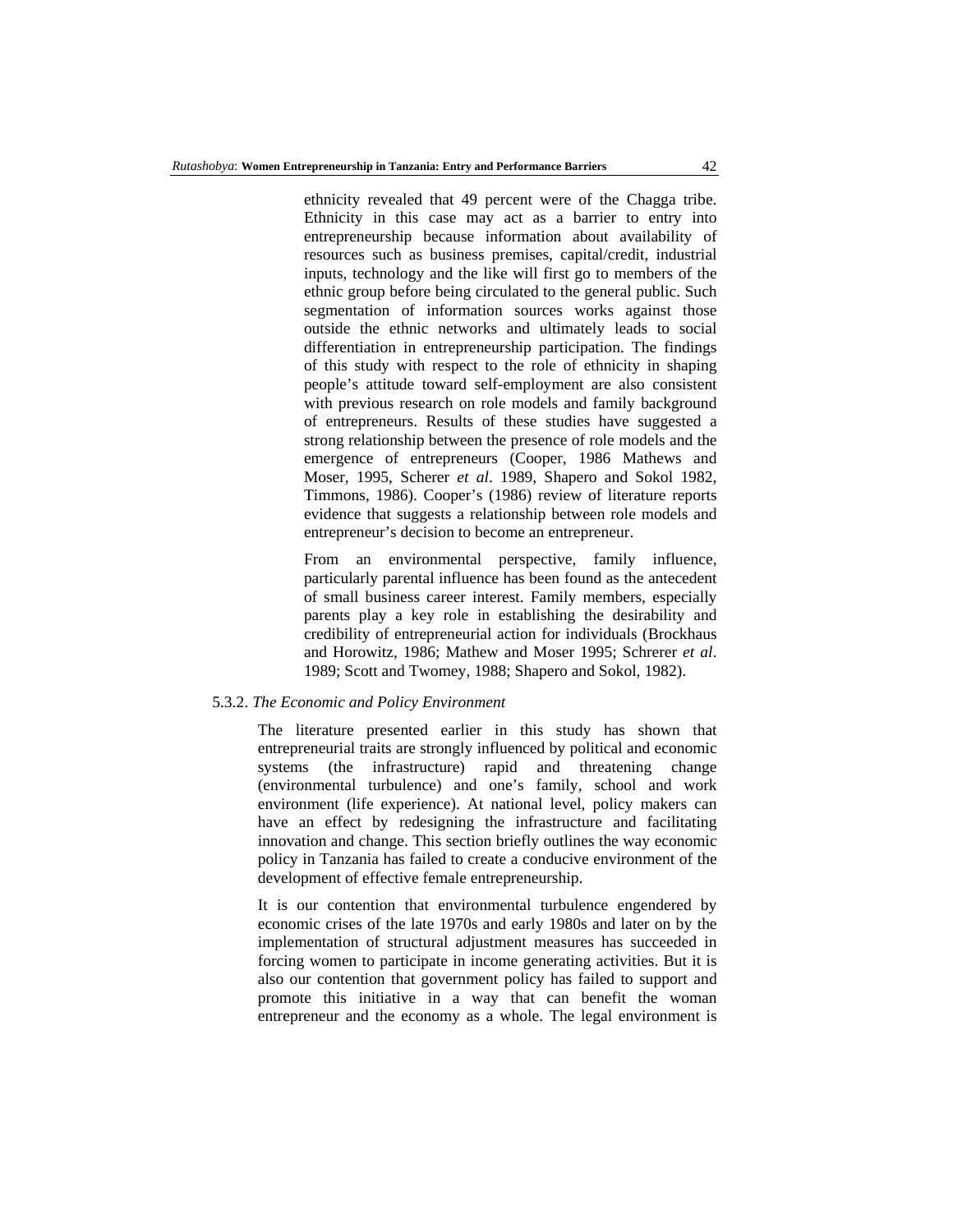ethnicity revealed that 49 percent were of the Chagga tribe. Ethnicity in this case may act as a barrier to entry into entrepreneurship because information about availability of resources such as business premises, capital/credit, industrial inputs, technology and the like will first go to members of the ethnic group before being circulated to the general public. Such segmentation of information sources works against those outside the ethnic networks and ultimately leads to social differentiation in entrepreneurship participation. The findings of this study with respect to the role of ethnicity in shaping people's attitude toward self-employment are also consistent with previous research on role models and family background of entrepreneurs. Results of these studies have suggested a strong relationship between the presence of role models and the emergence of entrepreneurs (Cooper, 1986 Mathews and Moser, 1995, Scherer *et al*. 1989, Shapero and Sokol 1982, Timmons, 1986). Cooper's (1986) review of literature reports evidence that suggests a relationship between role models and entrepreneur's decision to become an entrepreneur.

From an environmental perspective, family influence, particularly parental influence has been found as the antecedent of small business career interest. Family members, especially parents play a key role in establishing the desirability and credibility of entrepreneurial action for individuals (Brockhaus and Horowitz, 1986; Mathew and Moser 1995; Schrerer *et al*. 1989; Scott and Twomey, 1988; Shapero and Sokol, 1982).

### 5.3.2. *The Economic and Policy Environment*

The literature presented earlier in this study has shown that entrepreneurial traits are strongly influenced by political and economic systems (the infrastructure) rapid and threatening change (environmental turbulence) and one's family, school and work environment (life experience). At national level, policy makers can have an effect by redesigning the infrastructure and facilitating innovation and change. This section briefly outlines the way economic policy in Tanzania has failed to create a conducive environment of the development of effective female entrepreneurship.

It is our contention that environmental turbulence engendered by economic crises of the late 1970s and early 1980s and later on by the implementation of structural adjustment measures has succeeded in forcing women to participate in income generating activities. But it is also our contention that government policy has failed to support and promote this initiative in a way that can benefit the woman entrepreneur and the economy as a whole. The legal environment is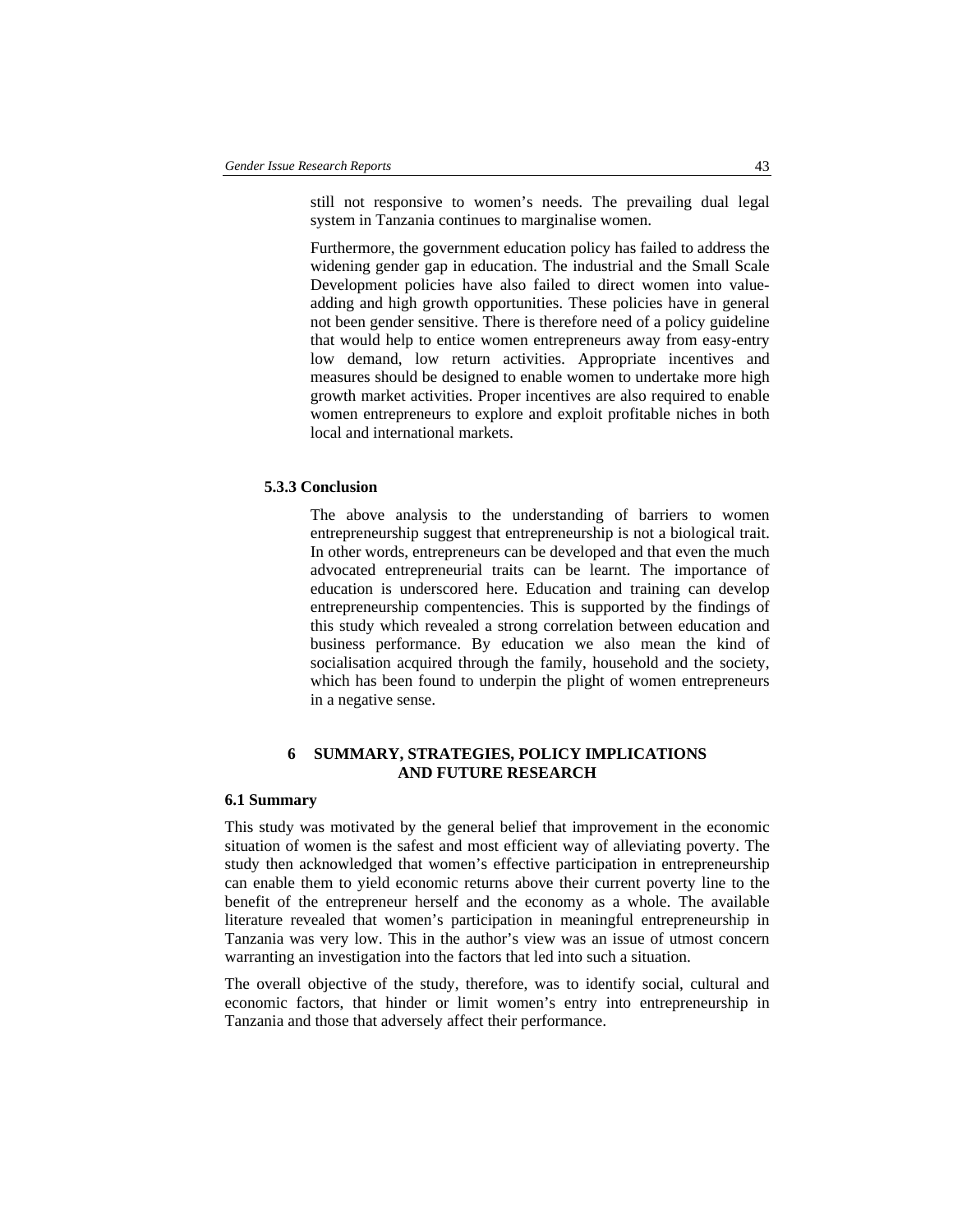still not responsive to women's needs. The prevailing dual legal system in Tanzania continues to marginalise women.

Furthermore, the government education policy has failed to address the widening gender gap in education. The industrial and the Small Scale Development policies have also failed to direct women into valueadding and high growth opportunities. These policies have in general not been gender sensitive. There is therefore need of a policy guideline that would help to entice women entrepreneurs away from easy-entry low demand, low return activities. Appropriate incentives and measures should be designed to enable women to undertake more high growth market activities. Proper incentives are also required to enable women entrepreneurs to explore and exploit profitable niches in both local and international markets.

### **5.3.3 Conclusion**

The above analysis to the understanding of barriers to women entrepreneurship suggest that entrepreneurship is not a biological trait. In other words, entrepreneurs can be developed and that even the much advocated entrepreneurial traits can be learnt. The importance of education is underscored here. Education and training can develop entrepreneurship compentencies. This is supported by the findings of this study which revealed a strong correlation between education and business performance. By education we also mean the kind of socialisation acquired through the family, household and the society, which has been found to underpin the plight of women entrepreneurs in a negative sense.

## **6 SUMMARY, STRATEGIES, POLICY IMPLICATIONS AND FUTURE RESEARCH**

### **6.1 Summary**

This study was motivated by the general belief that improvement in the economic situation of women is the safest and most efficient way of alleviating poverty. The study then acknowledged that women's effective participation in entrepreneurship can enable them to yield economic returns above their current poverty line to the benefit of the entrepreneur herself and the economy as a whole. The available literature revealed that women's participation in meaningful entrepreneurship in Tanzania was very low. This in the author's view was an issue of utmost concern warranting an investigation into the factors that led into such a situation.

The overall objective of the study, therefore, was to identify social, cultural and economic factors, that hinder or limit women's entry into entrepreneurship in Tanzania and those that adversely affect their performance.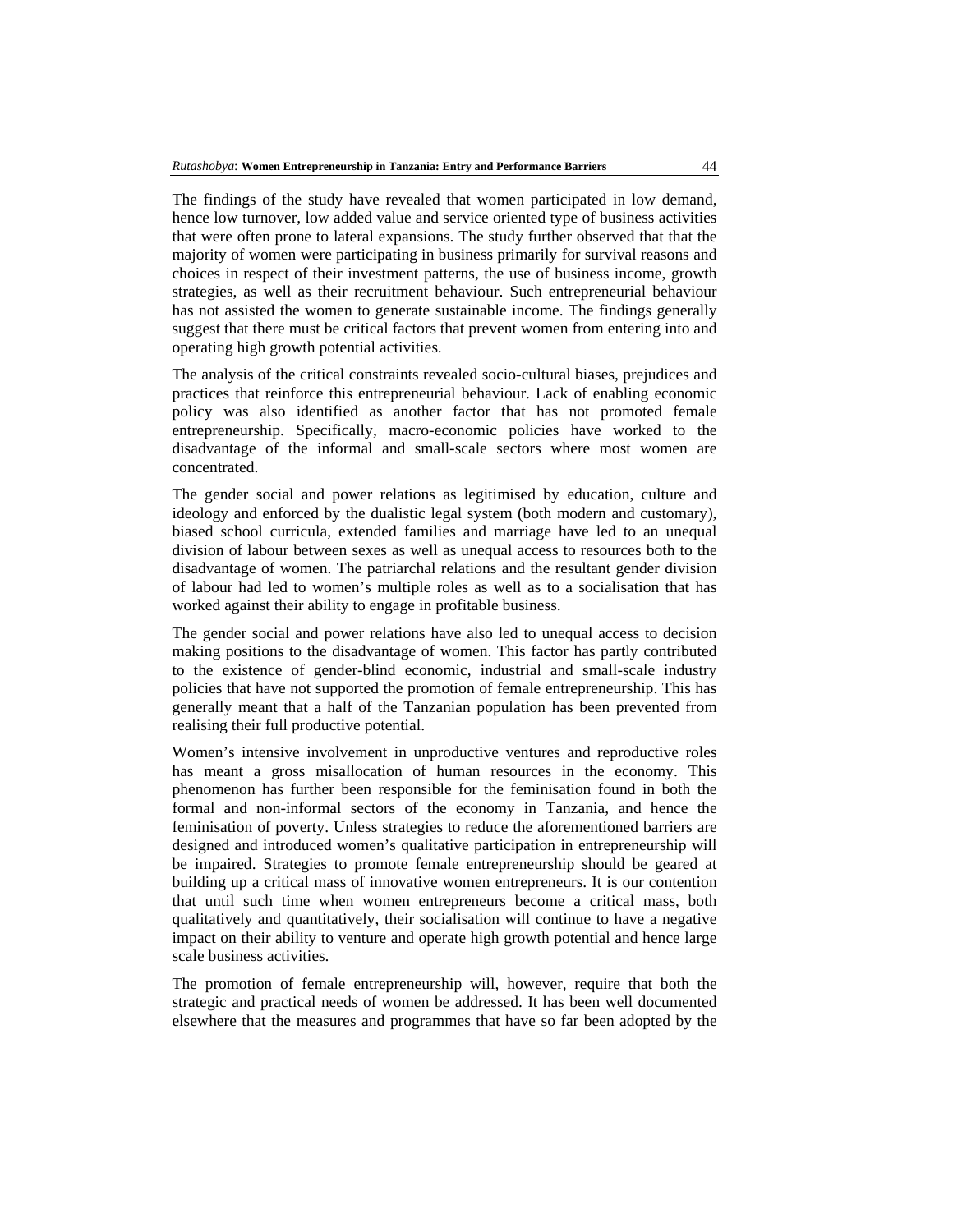The findings of the study have revealed that women participated in low demand, hence low turnover, low added value and service oriented type of business activities that were often prone to lateral expansions. The study further observed that that the majority of women were participating in business primarily for survival reasons and choices in respect of their investment patterns, the use of business income, growth strategies, as well as their recruitment behaviour. Such entrepreneurial behaviour has not assisted the women to generate sustainable income. The findings generally suggest that there must be critical factors that prevent women from entering into and operating high growth potential activities.

The analysis of the critical constraints revealed socio-cultural biases, prejudices and practices that reinforce this entrepreneurial behaviour. Lack of enabling economic policy was also identified as another factor that has not promoted female entrepreneurship. Specifically, macro-economic policies have worked to the disadvantage of the informal and small-scale sectors where most women are concentrated.

The gender social and power relations as legitimised by education, culture and ideology and enforced by the dualistic legal system (both modern and customary), biased school curricula, extended families and marriage have led to an unequal division of labour between sexes as well as unequal access to resources both to the disadvantage of women. The patriarchal relations and the resultant gender division of labour had led to women's multiple roles as well as to a socialisation that has worked against their ability to engage in profitable business.

The gender social and power relations have also led to unequal access to decision making positions to the disadvantage of women. This factor has partly contributed to the existence of gender-blind economic, industrial and small-scale industry policies that have not supported the promotion of female entrepreneurship. This has generally meant that a half of the Tanzanian population has been prevented from realising their full productive potential.

Women's intensive involvement in unproductive ventures and reproductive roles has meant a gross misallocation of human resources in the economy. This phenomenon has further been responsible for the feminisation found in both the formal and non-informal sectors of the economy in Tanzania, and hence the feminisation of poverty. Unless strategies to reduce the aforementioned barriers are designed and introduced women's qualitative participation in entrepreneurship will be impaired. Strategies to promote female entrepreneurship should be geared at building up a critical mass of innovative women entrepreneurs. It is our contention that until such time when women entrepreneurs become a critical mass, both qualitatively and quantitatively, their socialisation will continue to have a negative impact on their ability to venture and operate high growth potential and hence large scale business activities.

The promotion of female entrepreneurship will, however, require that both the strategic and practical needs of women be addressed. It has been well documented elsewhere that the measures and programmes that have so far been adopted by the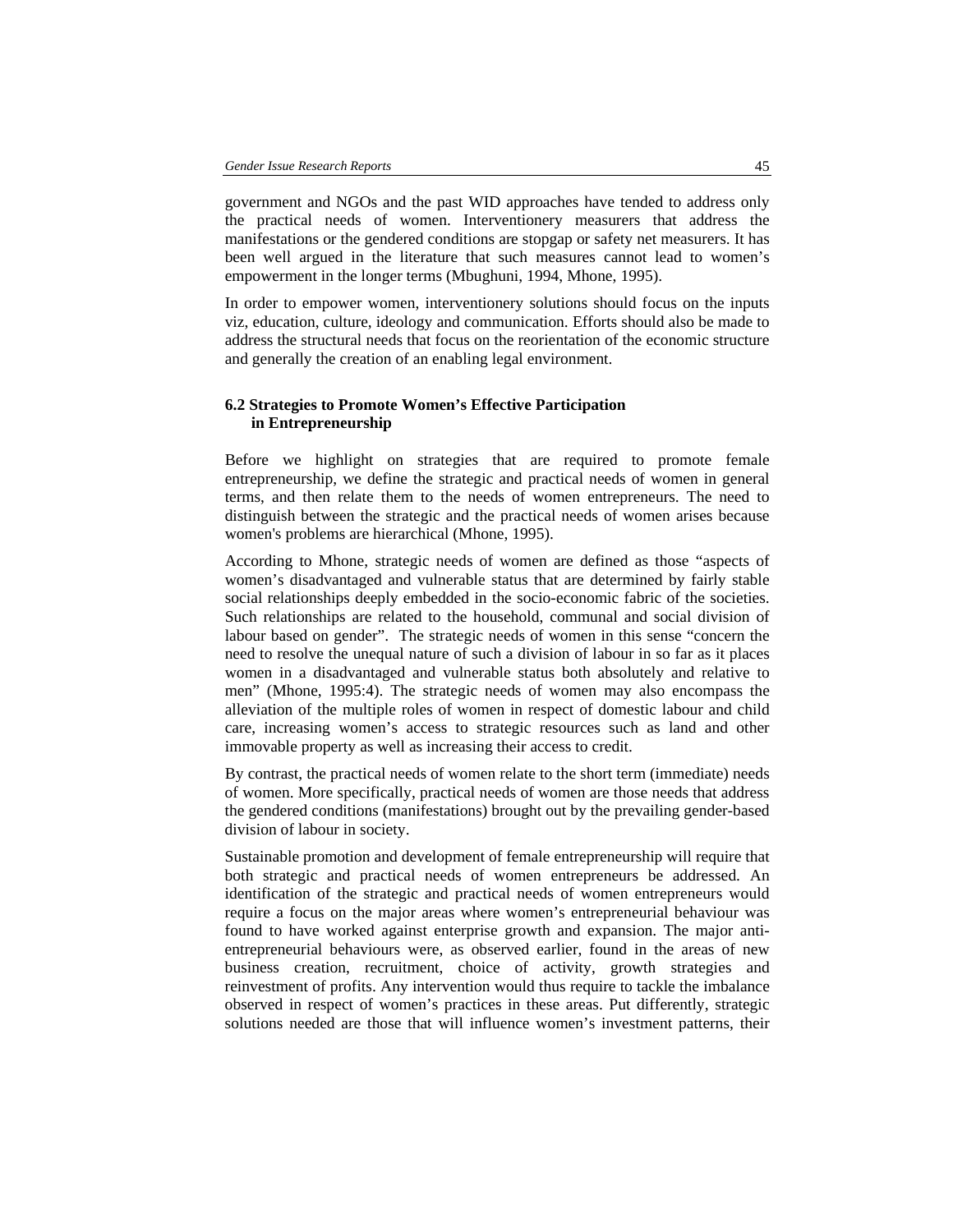government and NGOs and the past WID approaches have tended to address only the practical needs of women. Interventionery measurers that address the manifestations or the gendered conditions are stopgap or safety net measurers. It has been well argued in the literature that such measures cannot lead to women's empowerment in the longer terms (Mbughuni, 1994, Mhone, 1995).

In order to empower women, interventionery solutions should focus on the inputs viz, education, culture, ideology and communication. Efforts should also be made to address the structural needs that focus on the reorientation of the economic structure and generally the creation of an enabling legal environment.

## **6.2 Strategies to Promote Women's Effective Participation in Entrepreneurship**

Before we highlight on strategies that are required to promote female entrepreneurship, we define the strategic and practical needs of women in general terms, and then relate them to the needs of women entrepreneurs. The need to distinguish between the strategic and the practical needs of women arises because women's problems are hierarchical (Mhone, 1995).

According to Mhone, strategic needs of women are defined as those "aspects of women's disadvantaged and vulnerable status that are determined by fairly stable social relationships deeply embedded in the socio-economic fabric of the societies. Such relationships are related to the household, communal and social division of labour based on gender". The strategic needs of women in this sense "concern the need to resolve the unequal nature of such a division of labour in so far as it places women in a disadvantaged and vulnerable status both absolutely and relative to men" (Mhone, 1995:4). The strategic needs of women may also encompass the alleviation of the multiple roles of women in respect of domestic labour and child care, increasing women's access to strategic resources such as land and other immovable property as well as increasing their access to credit.

By contrast, the practical needs of women relate to the short term (immediate) needs of women. More specifically, practical needs of women are those needs that address the gendered conditions (manifestations) brought out by the prevailing gender-based division of labour in society.

Sustainable promotion and development of female entrepreneurship will require that both strategic and practical needs of women entrepreneurs be addressed. An identification of the strategic and practical needs of women entrepreneurs would require a focus on the major areas where women's entrepreneurial behaviour was found to have worked against enterprise growth and expansion. The major antientrepreneurial behaviours were, as observed earlier, found in the areas of new business creation, recruitment, choice of activity, growth strategies and reinvestment of profits. Any intervention would thus require to tackle the imbalance observed in respect of women's practices in these areas. Put differently, strategic solutions needed are those that will influence women's investment patterns, their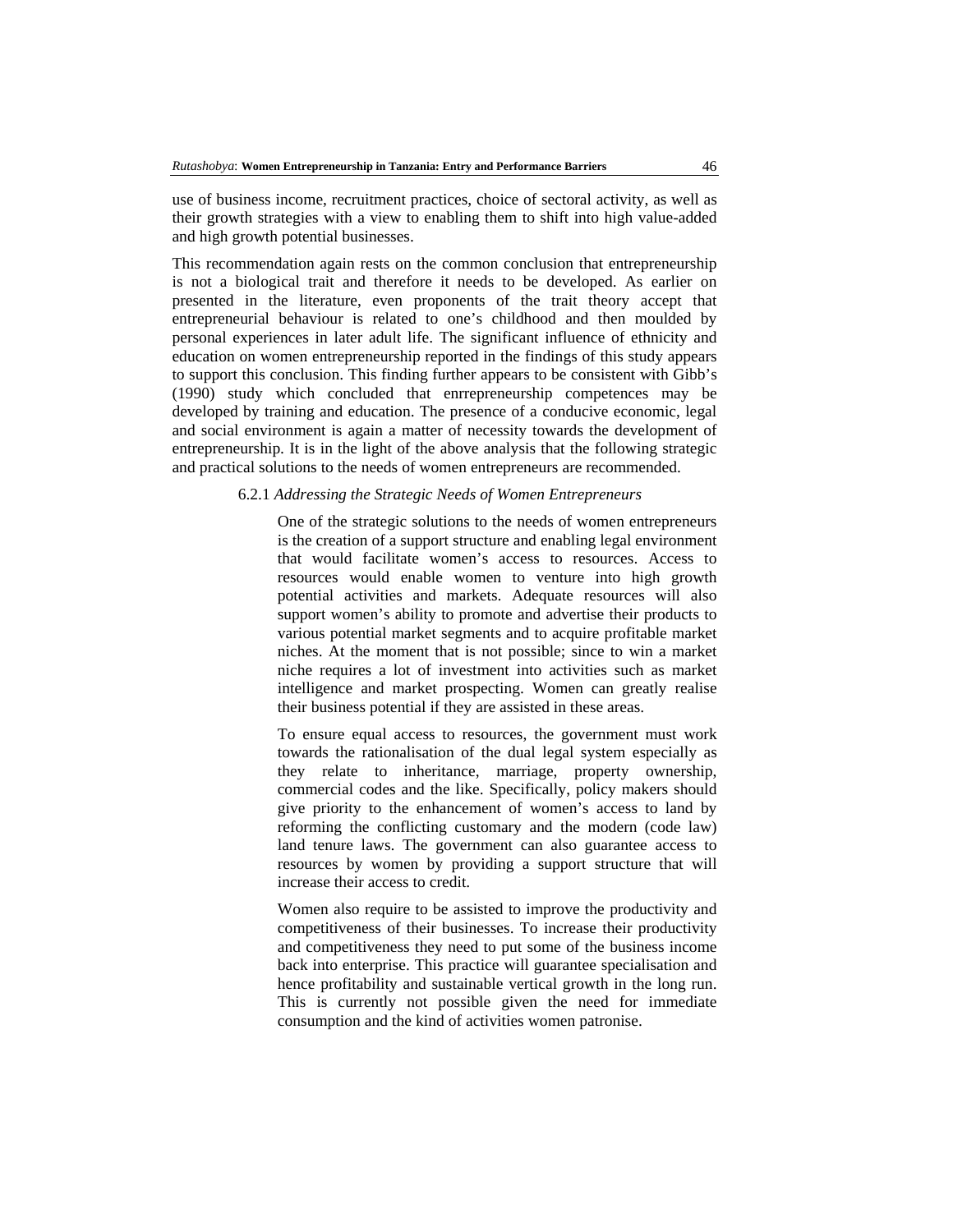use of business income, recruitment practices, choice of sectoral activity, as well as their growth strategies with a view to enabling them to shift into high value-added and high growth potential businesses.

This recommendation again rests on the common conclusion that entrepreneurship is not a biological trait and therefore it needs to be developed. As earlier on presented in the literature, even proponents of the trait theory accept that entrepreneurial behaviour is related to one's childhood and then moulded by personal experiences in later adult life. The significant influence of ethnicity and education on women entrepreneurship reported in the findings of this study appears to support this conclusion. This finding further appears to be consistent with Gibb's (1990) study which concluded that enrrepreneurship competences may be developed by training and education. The presence of a conducive economic, legal and social environment is again a matter of necessity towards the development of entrepreneurship. It is in the light of the above analysis that the following strategic and practical solutions to the needs of women entrepreneurs are recommended.

### 6.2.1 *Addressing the Strategic Needs of Women Entrepreneurs*

One of the strategic solutions to the needs of women entrepreneurs is the creation of a support structure and enabling legal environment that would facilitate women's access to resources. Access to resources would enable women to venture into high growth potential activities and markets. Adequate resources will also support women's ability to promote and advertise their products to various potential market segments and to acquire profitable market niches. At the moment that is not possible; since to win a market niche requires a lot of investment into activities such as market intelligence and market prospecting. Women can greatly realise their business potential if they are assisted in these areas.

To ensure equal access to resources, the government must work towards the rationalisation of the dual legal system especially as they relate to inheritance, marriage, property ownership, commercial codes and the like. Specifically, policy makers should give priority to the enhancement of women's access to land by reforming the conflicting customary and the modern (code law) land tenure laws. The government can also guarantee access to resources by women by providing a support structure that will increase their access to credit.

Women also require to be assisted to improve the productivity and competitiveness of their businesses. To increase their productivity and competitiveness they need to put some of the business income back into enterprise. This practice will guarantee specialisation and hence profitability and sustainable vertical growth in the long run. This is currently not possible given the need for immediate consumption and the kind of activities women patronise.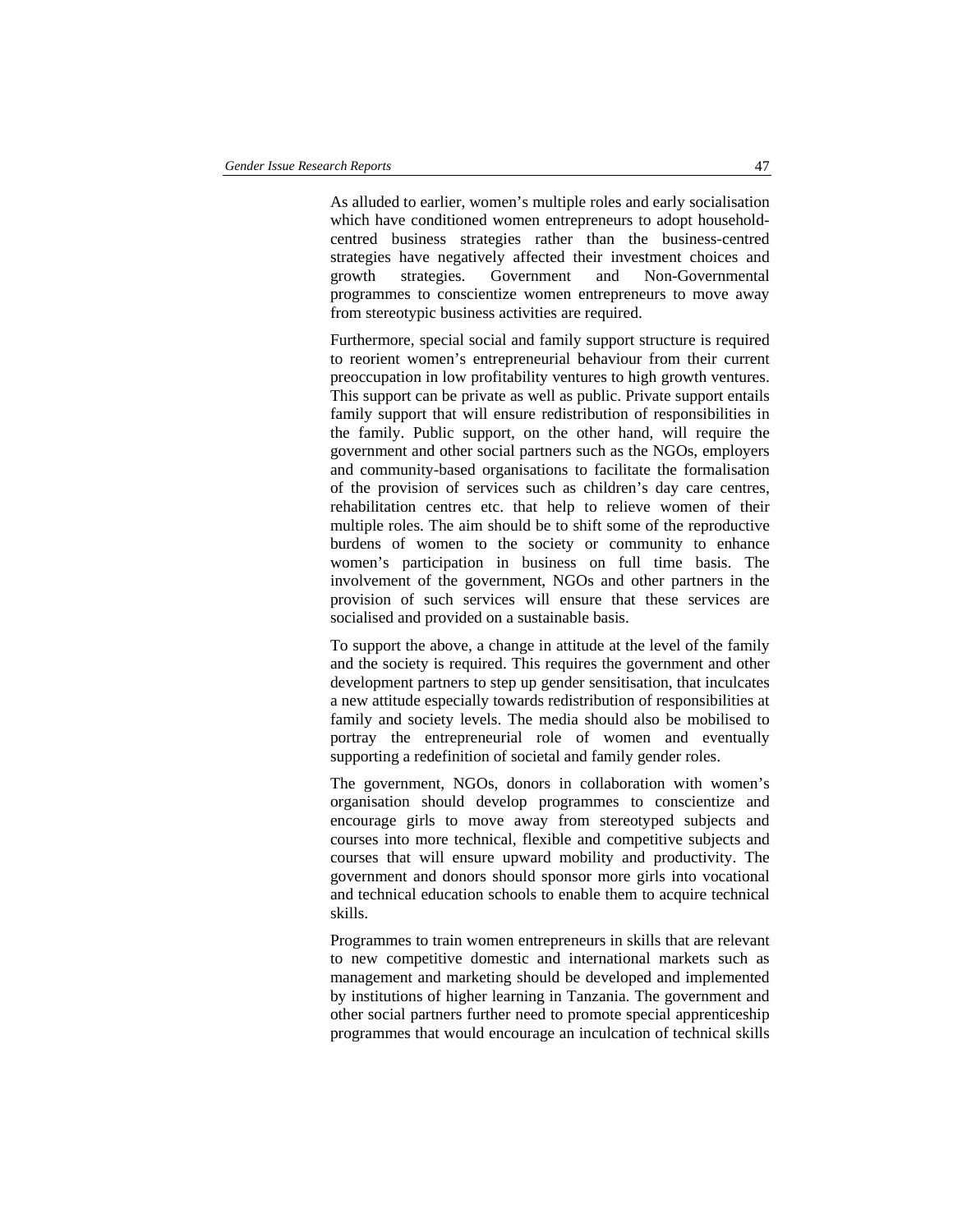As alluded to earlier, women's multiple roles and early socialisation which have conditioned women entrepreneurs to adopt householdcentred business strategies rather than the business-centred strategies have negatively affected their investment choices and growth strategies. Government and Non-Governmental programmes to conscientize women entrepreneurs to move away from stereotypic business activities are required.

Furthermore, special social and family support structure is required to reorient women's entrepreneurial behaviour from their current preoccupation in low profitability ventures to high growth ventures. This support can be private as well as public. Private support entails family support that will ensure redistribution of responsibilities in the family. Public support, on the other hand, will require the government and other social partners such as the NGOs, employers and community-based organisations to facilitate the formalisation of the provision of services such as children's day care centres, rehabilitation centres etc. that help to relieve women of their multiple roles. The aim should be to shift some of the reproductive burdens of women to the society or community to enhance women's participation in business on full time basis. The involvement of the government, NGOs and other partners in the provision of such services will ensure that these services are socialised and provided on a sustainable basis.

To support the above, a change in attitude at the level of the family and the society is required. This requires the government and other development partners to step up gender sensitisation, that inculcates a new attitude especially towards redistribution of responsibilities at family and society levels. The media should also be mobilised to portray the entrepreneurial role of women and eventually supporting a redefinition of societal and family gender roles.

The government, NGOs, donors in collaboration with women's organisation should develop programmes to conscientize and encourage girls to move away from stereotyped subjects and courses into more technical, flexible and competitive subjects and courses that will ensure upward mobility and productivity. The government and donors should sponsor more girls into vocational and technical education schools to enable them to acquire technical skills.

Programmes to train women entrepreneurs in skills that are relevant to new competitive domestic and international markets such as management and marketing should be developed and implemented by institutions of higher learning in Tanzania. The government and other social partners further need to promote special apprenticeship programmes that would encourage an inculcation of technical skills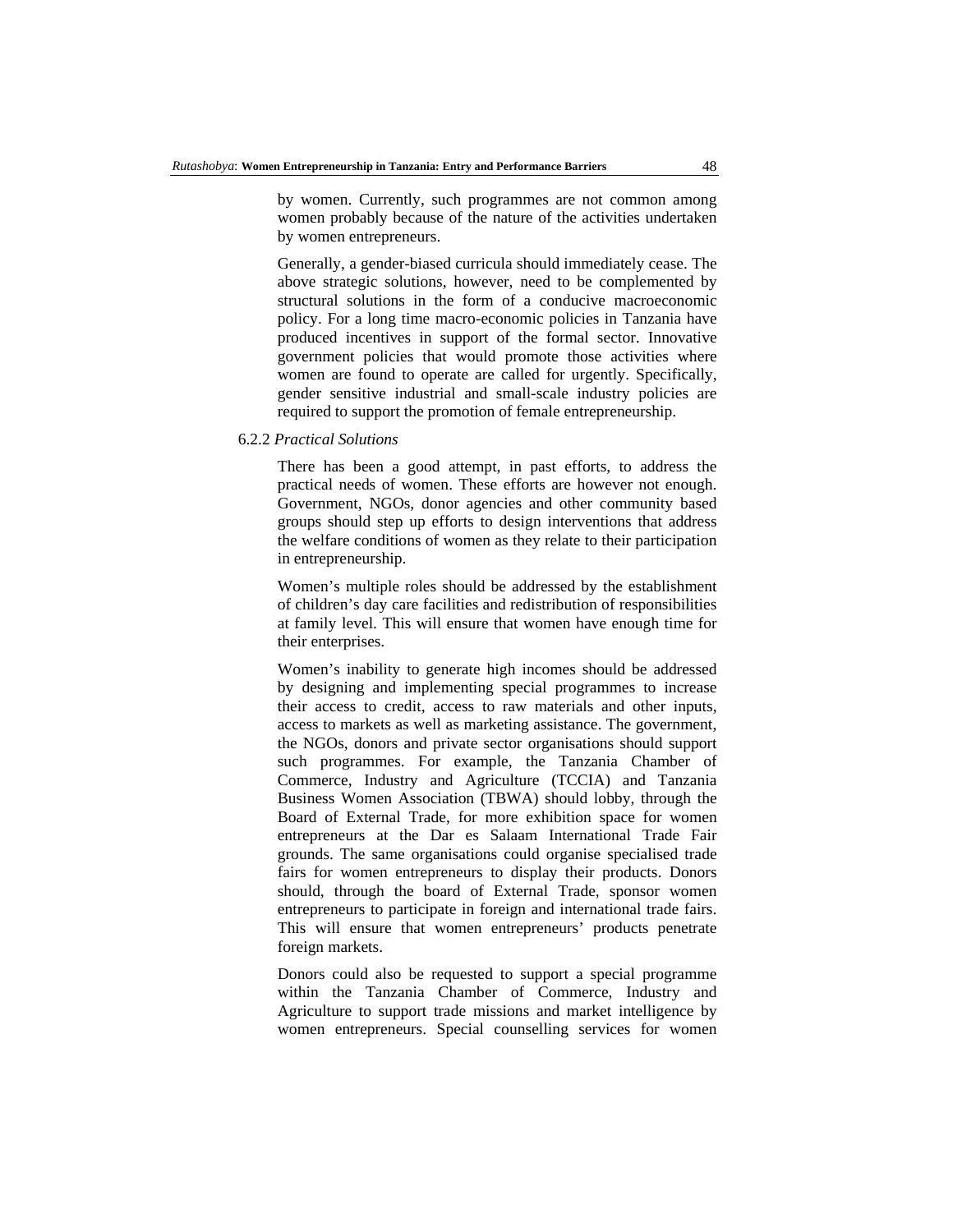by women. Currently, such programmes are not common among women probably because of the nature of the activities undertaken by women entrepreneurs.

Generally, a gender-biased curricula should immediately cease. The above strategic solutions, however, need to be complemented by structural solutions in the form of a conducive macroeconomic policy. For a long time macro-economic policies in Tanzania have produced incentives in support of the formal sector. Innovative government policies that would promote those activities where women are found to operate are called for urgently. Specifically, gender sensitive industrial and small-scale industry policies are required to support the promotion of female entrepreneurship.

#### 6.2.2 *Practical Solutions*

There has been a good attempt, in past efforts, to address the practical needs of women. These efforts are however not enough. Government, NGOs, donor agencies and other community based groups should step up efforts to design interventions that address the welfare conditions of women as they relate to their participation in entrepreneurship.

Women's multiple roles should be addressed by the establishment of children's day care facilities and redistribution of responsibilities at family level. This will ensure that women have enough time for their enterprises.

Women's inability to generate high incomes should be addressed by designing and implementing special programmes to increase their access to credit, access to raw materials and other inputs, access to markets as well as marketing assistance. The government, the NGOs, donors and private sector organisations should support such programmes. For example, the Tanzania Chamber of Commerce, Industry and Agriculture (TCCIA) and Tanzania Business Women Association (TBWA) should lobby, through the Board of External Trade, for more exhibition space for women entrepreneurs at the Dar es Salaam International Trade Fair grounds. The same organisations could organise specialised trade fairs for women entrepreneurs to display their products. Donors should, through the board of External Trade, sponsor women entrepreneurs to participate in foreign and international trade fairs. This will ensure that women entrepreneurs' products penetrate foreign markets.

Donors could also be requested to support a special programme within the Tanzania Chamber of Commerce, Industry and Agriculture to support trade missions and market intelligence by women entrepreneurs. Special counselling services for women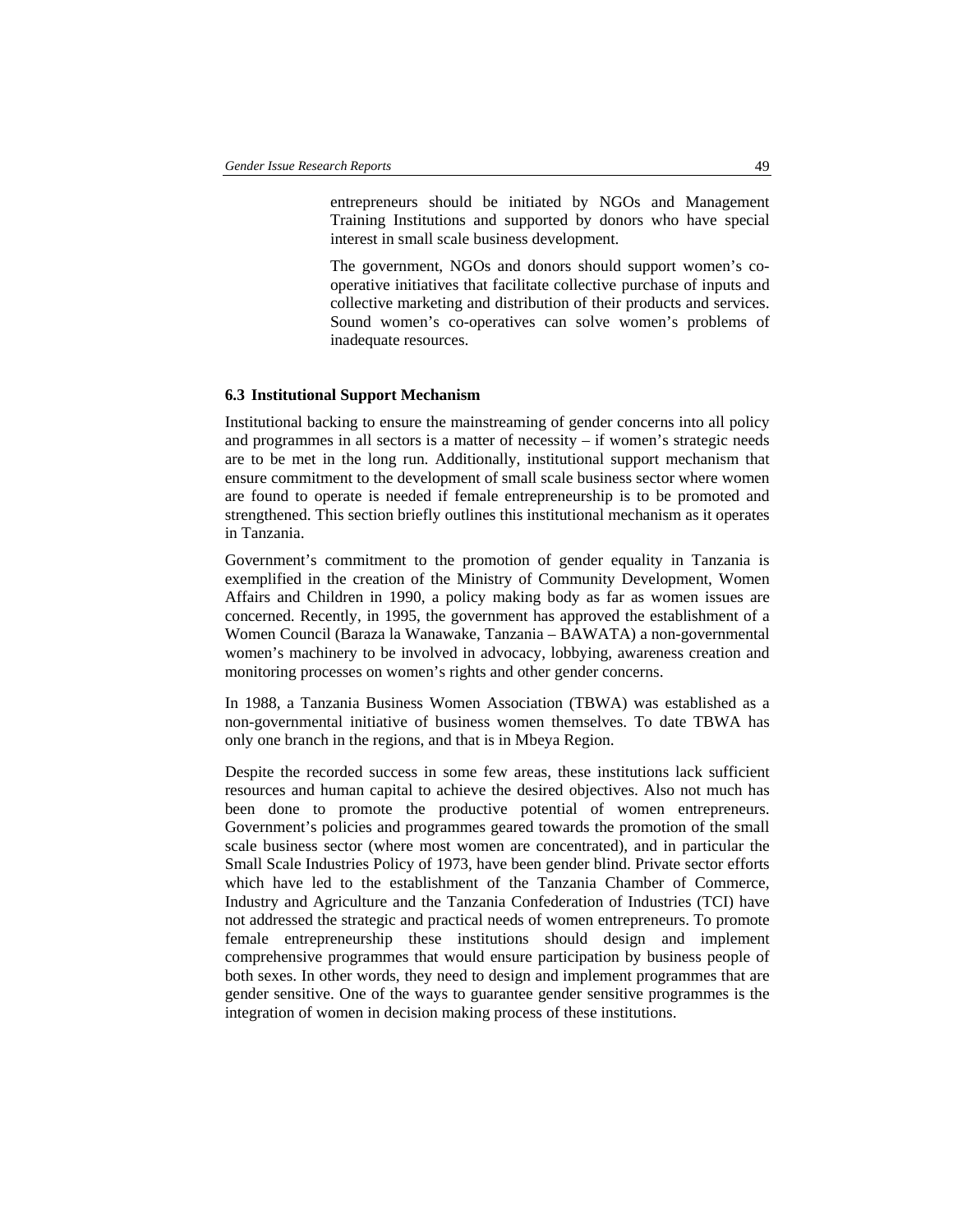entrepreneurs should be initiated by NGOs and Management Training Institutions and supported by donors who have special interest in small scale business development.

The government, NGOs and donors should support women's cooperative initiatives that facilitate collective purchase of inputs and collective marketing and distribution of their products and services. Sound women's co-operatives can solve women's problems of inadequate resources.

### **6.3 Institutional Support Mechanism**

Institutional backing to ensure the mainstreaming of gender concerns into all policy and programmes in all sectors is a matter of necessity – if women's strategic needs are to be met in the long run. Additionally, institutional support mechanism that ensure commitment to the development of small scale business sector where women are found to operate is needed if female entrepreneurship is to be promoted and strengthened. This section briefly outlines this institutional mechanism as it operates in Tanzania.

Government's commitment to the promotion of gender equality in Tanzania is exemplified in the creation of the Ministry of Community Development, Women Affairs and Children in 1990, a policy making body as far as women issues are concerned. Recently, in 1995, the government has approved the establishment of a Women Council (Baraza la Wanawake, Tanzania – BAWATA) a non-governmental women's machinery to be involved in advocacy, lobbying, awareness creation and monitoring processes on women's rights and other gender concerns.

In 1988, a Tanzania Business Women Association (TBWA) was established as a non-governmental initiative of business women themselves. To date TBWA has only one branch in the regions, and that is in Mbeya Region.

Despite the recorded success in some few areas, these institutions lack sufficient resources and human capital to achieve the desired objectives. Also not much has been done to promote the productive potential of women entrepreneurs. Government's policies and programmes geared towards the promotion of the small scale business sector (where most women are concentrated), and in particular the Small Scale Industries Policy of 1973, have been gender blind. Private sector efforts which have led to the establishment of the Tanzania Chamber of Commerce, Industry and Agriculture and the Tanzania Confederation of Industries (TCI) have not addressed the strategic and practical needs of women entrepreneurs. To promote female entrepreneurship these institutions should design and implement comprehensive programmes that would ensure participation by business people of both sexes. In other words, they need to design and implement programmes that are gender sensitive. One of the ways to guarantee gender sensitive programmes is the integration of women in decision making process of these institutions.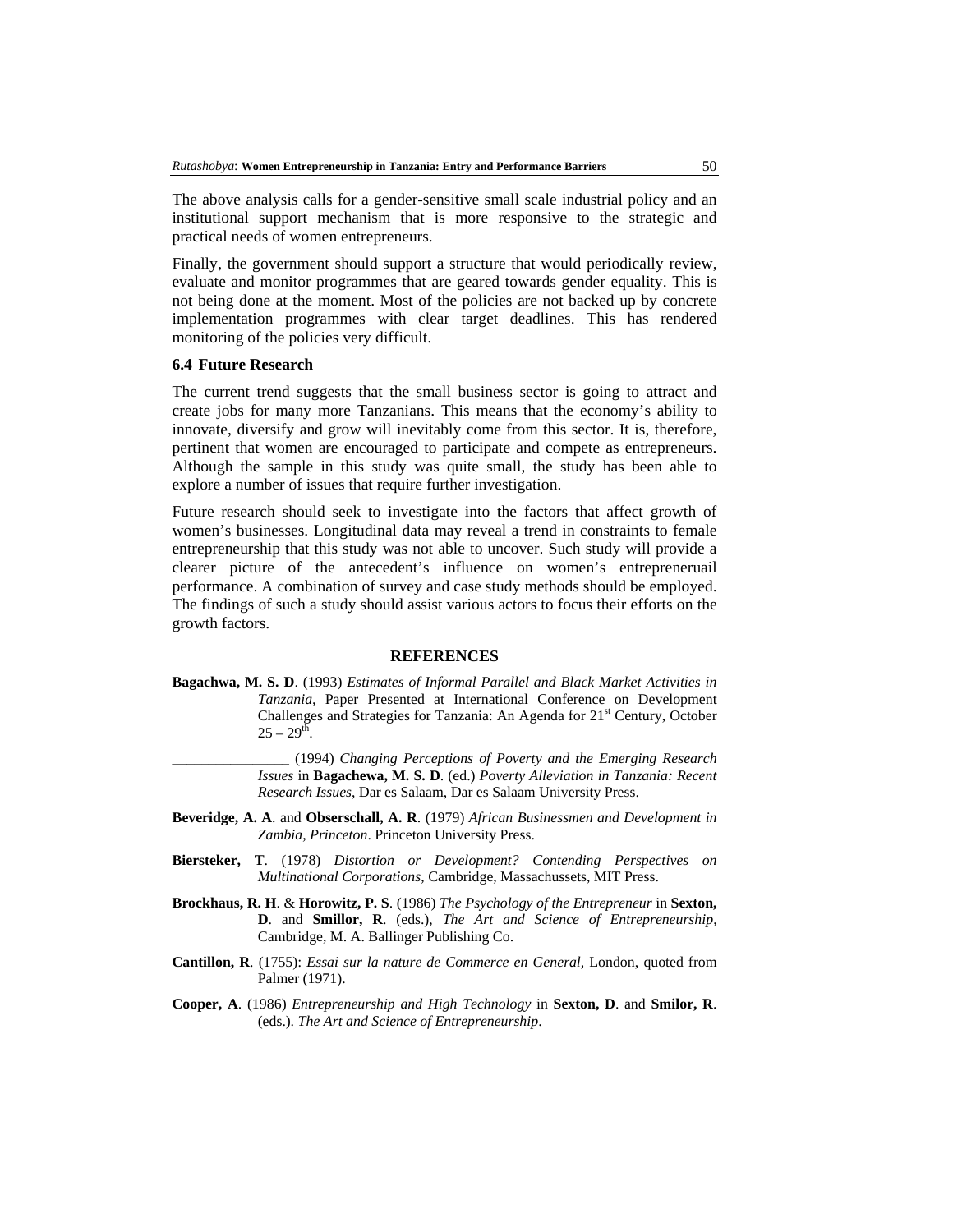The above analysis calls for a gender-sensitive small scale industrial policy and an institutional support mechanism that is more responsive to the strategic and practical needs of women entrepreneurs.

Finally, the government should support a structure that would periodically review, evaluate and monitor programmes that are geared towards gender equality. This is not being done at the moment. Most of the policies are not backed up by concrete implementation programmes with clear target deadlines. This has rendered monitoring of the policies very difficult.

### **6.4 Future Research**

The current trend suggests that the small business sector is going to attract and create jobs for many more Tanzanians. This means that the economy's ability to innovate, diversify and grow will inevitably come from this sector. It is, therefore, pertinent that women are encouraged to participate and compete as entrepreneurs. Although the sample in this study was quite small, the study has been able to explore a number of issues that require further investigation.

Future research should seek to investigate into the factors that affect growth of women's businesses. Longitudinal data may reveal a trend in constraints to female entrepreneurship that this study was not able to uncover. Such study will provide a clearer picture of the antecedent's influence on women's entrepreneruail performance. A combination of survey and case study methods should be employed. The findings of such a study should assist various actors to focus their efforts on the growth factors.

#### **REFERENCES**

- **Bagachwa, M. S. D**. (1993) *Estimates of Informal Parallel and Black Market Activities in Tanzania,* Paper Presented at International Conference on Development Challenges and Strategies for Tanzania: An Agenda for 21<sup>st</sup> Century, October  $25 - 29^{t\bar{h}}$ .
	- \_\_\_\_\_\_\_\_\_\_\_\_\_\_\_\_ (1994) *Changing Perceptions of Poverty and the Emerging Research Issues* in **Bagachewa, M. S. D**. (ed.) *Poverty Alleviation in Tanzania: Recent Research Issues*, Dar es Salaam, Dar es Salaam University Press.
- **Beveridge, A. A**. and **Obserschall, A. R**. (1979) *African Businessmen and Development in Zambia, Princeton*. Princeton University Press.
- **Biersteker, T**. (1978) *Distortion or Development? Contending Perspectives on Multinational Corporations*, Cambridge, Massachussets, MIT Press.
- **Brockhaus, R. H**. & **Horowitz, P. S**. (1986) *The Psychology of the Entrepreneur* in **Sexton, D**. and **Smillor, R**. (eds.), *The Art and Science of Entrepreneurship*, Cambridge, M. A. Ballinger Publishing Co.
- **Cantillon, R**. (1755): *Essai sur la nature de Commerce en General,* London, quoted from Palmer (1971).
- **Cooper, A**. (1986) *Entrepreneurship and High Technology* in **Sexton, D**. and **Smilor, R**. (eds.). *The Art and Science of Entrepreneurship*.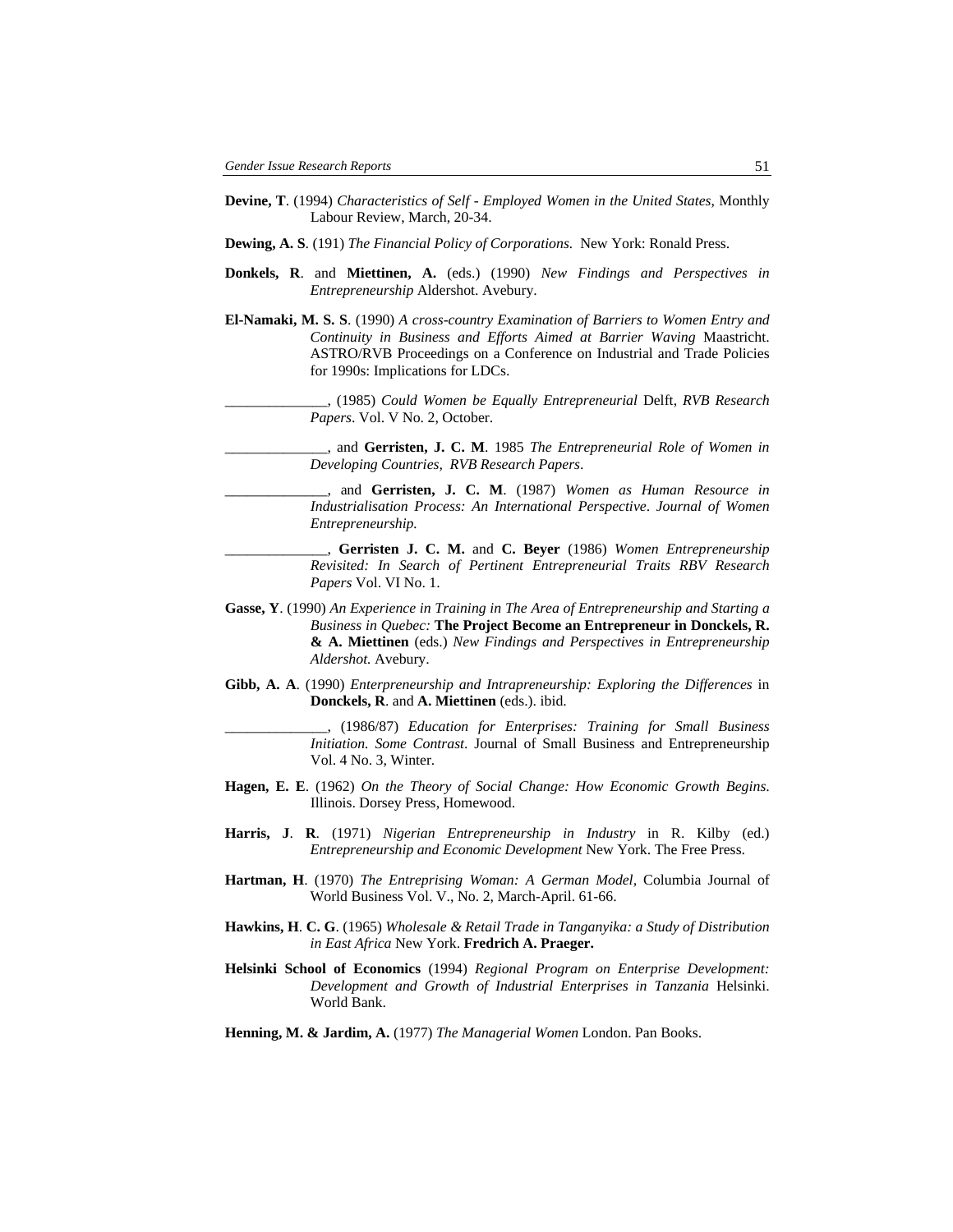- **Devine, T**. (1994) *Characteristics of Self Employed Women in the United States*, Monthly Labour Review, March, 20-34.
- **Dewing, A. S**. (191) *The Financial Policy of Corporations.* New York: Ronald Press.
- **Donkels, R**. and **Miettinen, A.** (eds.) (1990) *New Findings and Perspectives in Entrepreneurship* Aldershot. Avebury.
- **El-Namaki, M. S. S**. (1990) *A cross-country Examination of Barriers to Women Entry and Continuity in Business and Efforts Aimed at Barrier Waving* Maastricht. ASTRO/RVB Proceedings on a Conference on Industrial and Trade Policies for 1990s: Implications for LDCs.
	- \_\_\_\_\_\_\_\_\_\_\_\_\_\_, (1985) *Could Women be Equally Entrepreneurial* Delft, *RVB Research Papers*. Vol. V No. 2, October.
	- \_\_\_\_\_\_\_\_\_\_\_\_\_\_, and **Gerristen, J. C. M**. 1985 *The Entrepreneurial Role of Women in Developing Countries, RVB Research Papers*.
	- \_\_\_\_\_\_\_\_\_\_\_\_\_\_, and **Gerristen, J. C. M**. (1987) *Women as Human Resource in Industrialisation Process: An International Perspective*. *Journal of Women Entrepreneurship.*
	- \_\_\_\_\_\_\_\_\_\_\_\_\_\_, **Gerristen J. C. M.** and **C. Beyer** (1986) *Women Entrepreneurship Revisited: In Search of Pertinent Entrepreneurial Traits RBV Research Papers* Vol. VI No. 1.
- **Gasse, Y**. (1990) *An Experience in Training in The Area of Entrepreneurship and Starting a Business in Quebec:* **The Project Become an Entrepreneur in Donckels, R. & A. Miettinen** (eds.) *New Findings and Perspectives in Entrepreneurship Aldershot.* Avebury.
- **Gibb, A. A**. (1990) *Enterpreneurship and Intrapreneurship: Exploring the Differences* in **Donckels, R**. and **A. Miettinen** (eds.). ibid.

\_\_\_\_\_\_\_\_\_\_\_\_\_\_, (1986/87) *Education for Enterprises: Training for Small Business Initiation. Some Contrast*. Journal of Small Business and Entrepreneurship Vol. 4 No. 3, Winter.

- **Hagen, E. E**. (1962) *On the Theory of Social Change: How Economic Growth Begins*. Illinois. Dorsey Press, Homewood.
- **Harris, J**. **R**. (1971) *Nigerian Entrepreneurship in Industry* in R. Kilby (ed.) *Entrepreneurship and Economic Development* New York. The Free Press.
- **Hartman, H**. (1970) *The Entreprising Woman: A German Model,* Columbia Journal of World Business Vol. V., No. 2, March-April. 61-66.
- **Hawkins, H**. **C. G**. (1965) *Wholesale & Retail Trade in Tanganyika: a Study of Distribution in East Africa* New York. **Fredrich A. Praeger.**
- **Helsinki School of Economics** (1994) *Regional Program on Enterprise Development: Development and Growth of Industrial Enterprises in Tanzania* Helsinki. World Bank.
- **Henning, M. & Jardim, A.** (1977) *The Managerial Women* London. Pan Books.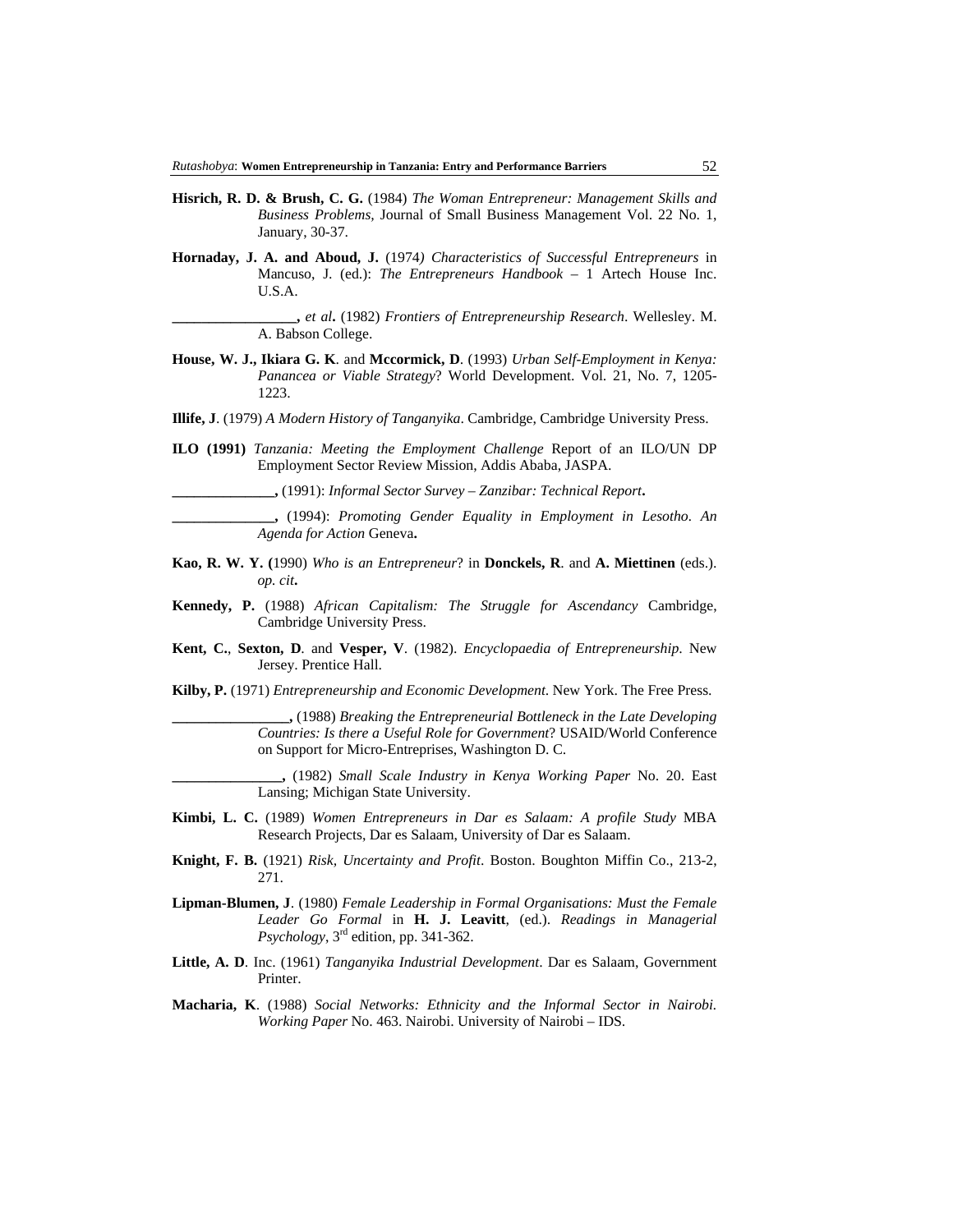- **Hisrich, R. D. & Brush, C. G.** (1984) *The Woman Entrepreneur: Management Skills and Business Problems,* Journal of Small Business Management Vol. 22 No. 1, January, 30-37.
- **Hornaday, J. A. and Aboud, J.** (1974*) Characteristics of Successful Entrepreneurs* in Mancuso, J. (ed.): *The Entrepreneurs Handbook* – 1 Artech House Inc. U.S.A.

**\_\_\_\_\_\_\_\_\_\_\_\_\_\_\_\_\_,** *et al***.** (1982) *Frontiers of Entrepreneurship Research*. Wellesley. M. A. Babson College.

- **House, W. J., Ikiara G. K**. and **Mccormick, D**. (1993) *Urban Self-Employment in Kenya: Panancea or Viable Strategy*? World Development. Vol. 21, No. 7, 1205- 1223.
- **Illife, J**. (1979) *A Modern History of Tanganyika*. Cambridge, Cambridge University Press.
- **ILO (1991)** *Tanzania: Meeting the Employment Challenge* Report of an ILO/UN DP Employment Sector Review Mission, Addis Ababa, JASPA.

**\_\_\_\_\_\_\_\_\_\_\_\_\_\_,** (1991): *Informal Sector Survey – Zanzibar: Technical Report***.** 

**\_\_\_\_\_\_\_\_\_\_\_\_\_\_,** (1994): *Promoting Gender Equality in Employment in Lesotho. An Agenda for Action* Geneva**.** 

- **Kao, R. W. Y. (**1990) *Who is an Entrepreneur*? in **Donckels, R**. and **A. Miettinen** (eds.). *op. cit***.**
- **Kennedy, P.** (1988) *African Capitalism: The Struggle for Ascendancy* Cambridge, Cambridge University Press.
- **Kent, C.**, **Sexton, D**. and **Vesper, V**. (1982). *Encyclopaedia of Entrepreneurship*. New Jersey. Prentice Hall.
- **Kilby, P.** (1971) *Entrepreneurship and Economic Development*. New York. The Free Press.

**\_\_\_\_\_\_\_\_\_\_\_\_\_\_\_\_,** (1988) *Breaking the Entrepreneurial Bottleneck in the Late Developing Countries: Is there a Useful Role for Government*? USAID/World Conference on Support for Micro-Entreprises, Washington D. C.

**\_\_\_\_\_\_\_\_\_\_\_\_\_\_\_,** (1982) *Small Scale Industry in Kenya Working Paper* No. 20. East Lansing; Michigan State University.

- **Kimbi, L. C.** (1989) *Women Entrepreneurs in Dar es Salaam: A profile Study* MBA Research Projects, Dar es Salaam, University of Dar es Salaam.
- **Knight, F. B.** (1921) *Risk, Uncertainty and Profit*. Boston. Boughton Miffin Co., 213-2, 271.
- **Lipman-Blumen, J**. (1980) *Female Leadership in Formal Organisations: Must the Female Leader Go Formal* in **H. J. Leavitt**, (ed.). *Readings in Managerial Psychology*, 3rd edition, pp. 341-362.
- **Little, A. D**. Inc. (1961) *Tanganyika Industrial Development*. Dar es Salaam, Government Printer.
- **Macharia, K**. (1988) *Social Networks: Ethnicity and the Informal Sector in Nairobi. Working Paper* No. 463. Nairobi. University of Nairobi – IDS.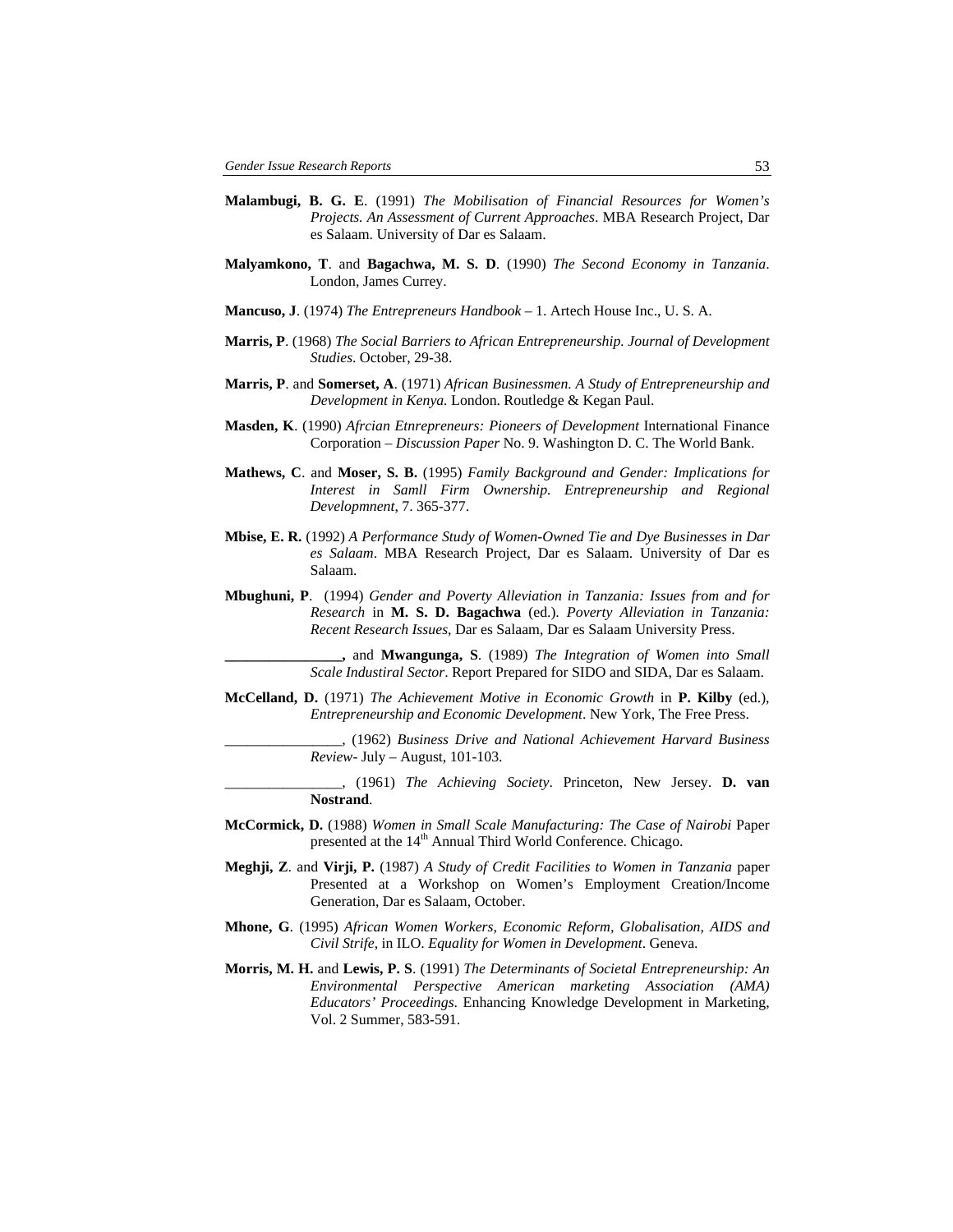- **Malambugi, B. G. E**. (1991) *The Mobilisation of Financial Resources for Women's Projects. An Assessment of Current Approaches*. MBA Research Project, Dar es Salaam. University of Dar es Salaam.
- **Malyamkono, T**. and **Bagachwa, M. S. D**. (1990) *The Second Economy in Tanzania*. London, James Currey.
- **Mancuso, J**. (1974) *The Entrepreneurs Handbook* 1. Artech House Inc., U. S. A.
- **Marris, P**. (1968) *The Social Barriers to African Entrepreneurship. Journal of Development Studies*. October, 29-38.
- **Marris, P**. and **Somerset, A**. (1971) *African Businessmen. A Study of Entrepreneurship and Development in Kenya.* London. Routledge & Kegan Paul.
- **Masden, K**. (1990) *Afrcian Etnrepreneurs: Pioneers of Development* International Finance Corporation – *Discussion Paper* No. 9. Washington D. C. The World Bank.
- **Mathews, C**. and **Moser, S. B.** (1995) *Family Background and Gender: Implications for Interest in Samll Firm Ownership. Entrepreneurship and Regional Developmnent*, 7. 365-377.
- **Mbise, E. R.** (1992) *A Performance Study of Women-Owned Tie and Dye Businesses in Dar es Salaam*. MBA Research Project, Dar es Salaam. University of Dar es Salaam.
- **Mbughuni, P**. (1994) *Gender and Poverty Alleviation in Tanzania: Issues from and for Research* in **M. S. D. Bagachwa** (ed.). *Poverty Alleviation in Tanzania: Recent Research Issues*, Dar es Salaam, Dar es Salaam University Press.

**\_\_\_\_\_\_\_\_\_\_\_\_\_\_\_\_,** and **Mwangunga, S**. (1989) *The Integration of Women into Small Scale Industiral Sector*. Report Prepared for SIDO and SIDA, Dar es Salaam.

**McCelland, D.** (1971) *The Achievement Motive in Economic Growth* in **P. Kilby** (ed.), *Entrepreneurship and Economic Development*. New York, The Free Press.

> \_\_\_\_\_\_\_\_\_\_\_\_\_\_\_\_, (1962) *Business Drive and National Achievement Harvard Business Review*- July – August, 101-103.

\_\_\_\_\_\_\_\_\_\_\_\_\_\_\_\_, (1961) *The Achieving Society*. Princeton, New Jersey. **D. van Nostrand**.

- **McCormick, D.** (1988) *Women in Small Scale Manufacturing: The Case of Nairobi* Paper presented at the 14<sup>th</sup> Annual Third World Conference. Chicago.
- **Meghji, Z**. and **Virji, P.** (1987) *A Study of Credit Facilities to Women in Tanzania* paper Presented at a Workshop on Women's Employment Creation/Income Generation, Dar es Salaam, October.
- **Mhone, G**. (1995) *African Women Workers, Economic Reform, Globalisation, AIDS and Civil Strife*, in ILO. *Equality for Women in Development*. Geneva.
- **Morris, M. H.** and **Lewis, P. S**. (1991) *The Determinants of Societal Entrepreneurship: An Environmental Perspective American marketing Association (AMA) Educators' Proceedings*. Enhancing Knowledge Development in Marketing, Vol. 2 Summer, 583-591.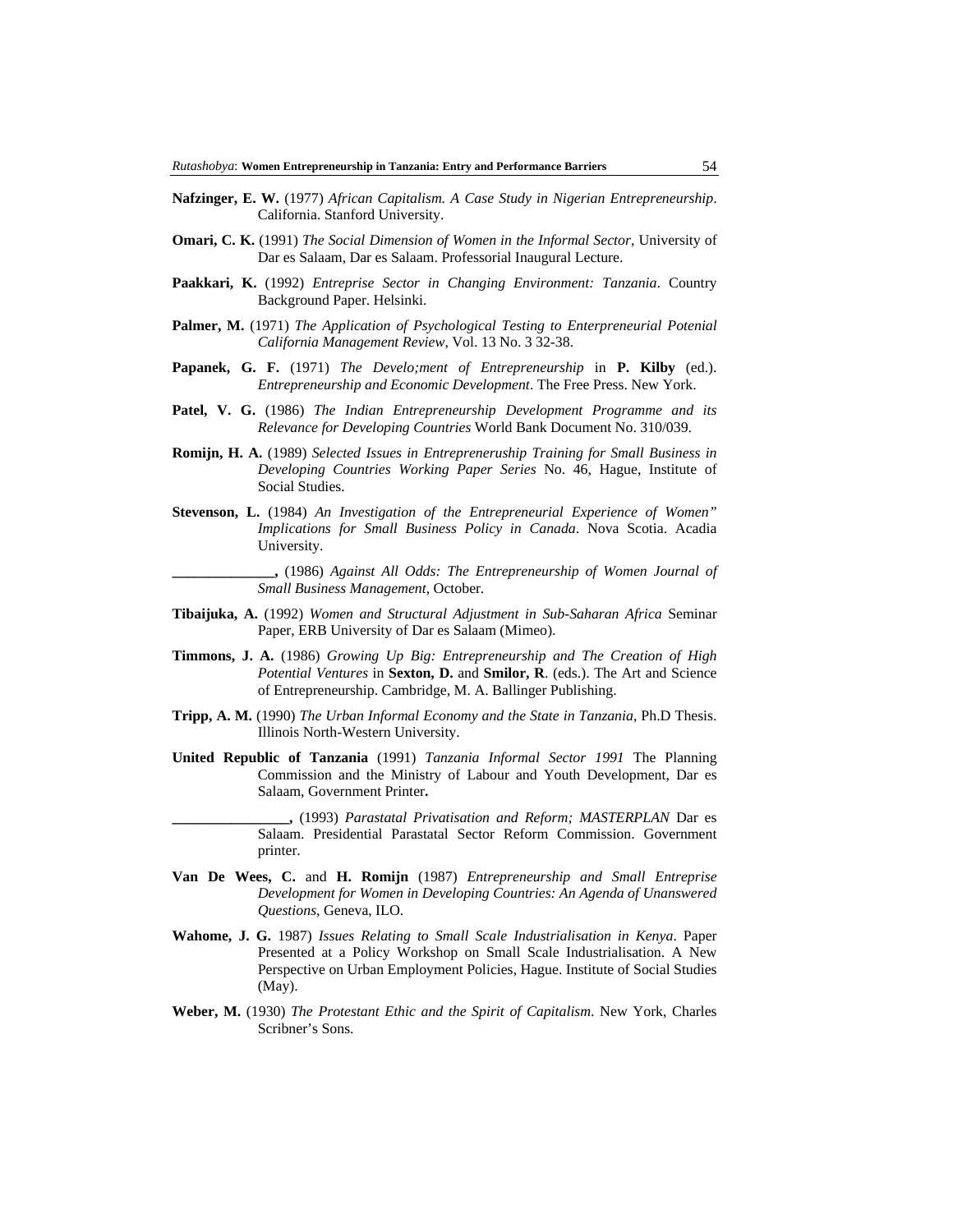- **Nafzinger, E. W.** (1977) *African Capitalism. A Case Study in Nigerian Entrepreneurship*. California. Stanford University.
- **Omari, C. K.** (1991) *The Social Dimension of Women in the Informal Sector*, University of Dar es Salaam, Dar es Salaam. Professorial Inaugural Lecture.
- **Paakkari, K.** (1992) *Entreprise Sector in Changing Environment: Tanzania*. Country Background Paper. Helsinki.
- **Palmer, M.** (1971) *The Application of Psychological Testing to Enterpreneurial Potenial California Management Review*, Vol. 13 No. 3 32-38.
- **Papanek, G. F.** (1971) *The Develo;ment of Entrepreneurship* in **P. Kilby** (ed.). *Entrepreneurship and Economic Development*. The Free Press. New York.
- **Patel, V. G.** (1986) *The Indian Entrepreneurship Development Programme and its Relevance for Developing Countries* World Bank Document No. 310/039.
- **Romijn, H. A.** (1989) *Selected Issues in Entrepreneruship Training for Small Business in Developing Countries Working Paper Series* No. 46, Hague, Institute of Social Studies.
- **Stevenson, L.** (1984) *An Investigation of the Entrepreneurial Experience of Women" Implications for Small Business Policy in Canada*. Nova Scotia. Acadia University.

**\_\_\_\_\_\_\_\_\_\_\_\_\_\_,** (1986) *Against All Odds: The Entrepreneurship of Women Journal of Small Business Management*, October.

- **Tibaijuka, A.** (1992) *Women and Structural Adjustment in Sub-Saharan Africa* Seminar Paper, ERB University of Dar es Salaam (Mimeo).
- **Timmons, J. A.** (1986) *Growing Up Big: Entrepreneurship and The Creation of High Potential Ventures* in **Sexton, D.** and **Smilor, R**. (eds.). The Art and Science of Entrepreneurship. Cambridge, M. A. Ballinger Publishing.
- **Tripp, A. M.** (1990) *The Urban Informal Economy and the State in Tanzania*, Ph.D Thesis. Illinois North-Western University.
- **United Republic of Tanzania** (1991) *Tanzania Informal Sector 1991* The Planning Commission and the Ministry of Labour and Youth Development, Dar es Salaam, Government Printer**.**
- **\_\_\_\_\_\_\_\_\_\_\_\_\_\_\_\_,** (1993) *Parastatal Privatisation and Reform; MASTERPLAN* Dar es Salaam. Presidential Parastatal Sector Reform Commission. Government printer.
- **Van De Wees, C.** and **H. Romijn** (1987) *Entrepreneurship and Small Entreprise Development for Women in Developing Countries: An Agenda of Unanswered Questions*, Geneva, ILO.
- **Wahome, J. G.** 1987) *Issues Relating to Small Scale Industrialisation in Kenya*. Paper Presented at a Policy Workshop on Small Scale Industrialisation. A New Perspective on Urban Employment Policies, Hague. Institute of Social Studies (May).
- **Weber, M.** (1930) *The Protestant Ethic and the Spirit of Capitalism*. New York, Charles Scribner's Sons.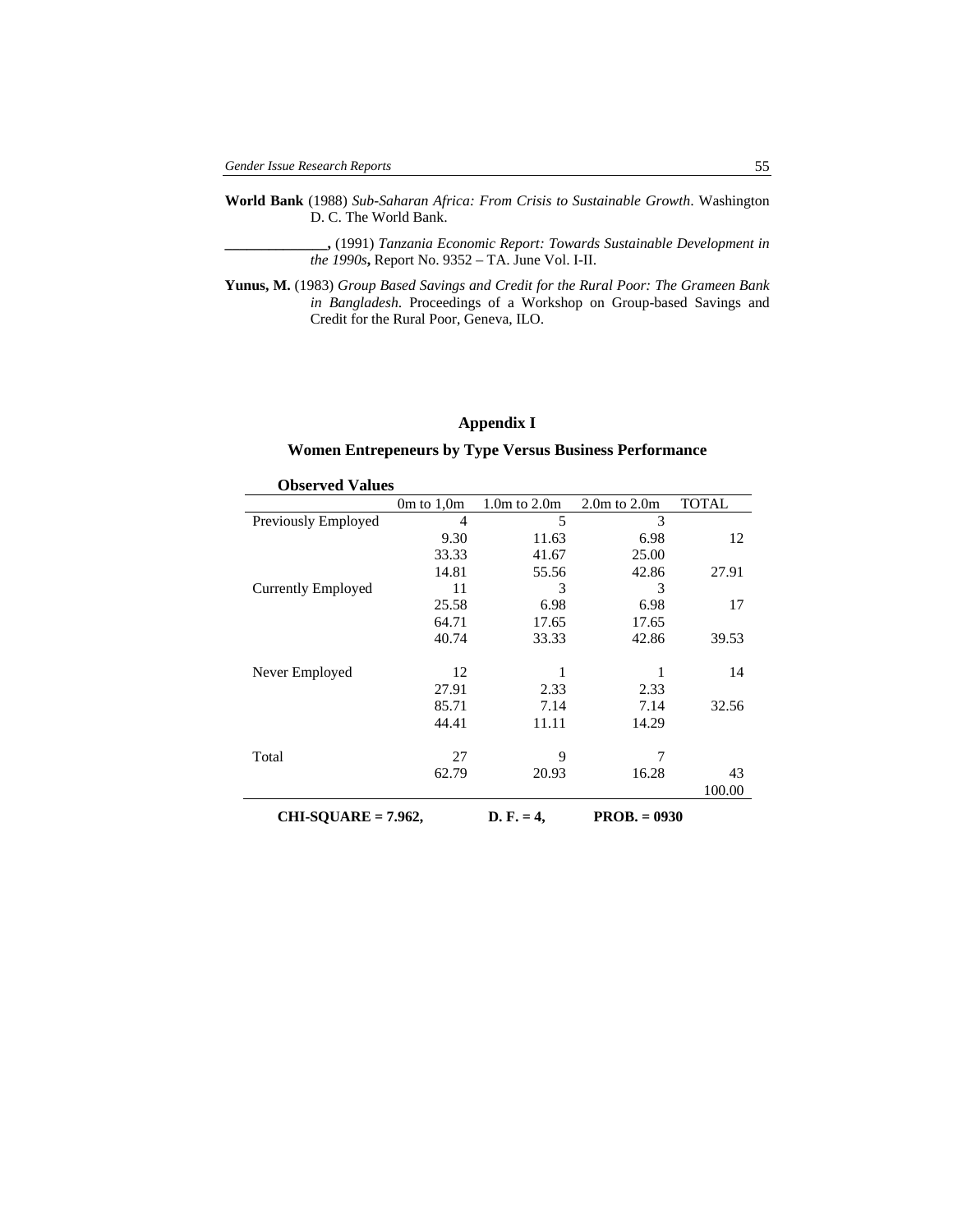- **World Bank** (1988) *Sub-Saharan Africa: From Crisis to Sustainable Growth*. Washington D. C. The World Bank.
	- **\_\_\_\_\_\_\_\_\_\_\_\_\_\_,** (1991) *Tanzania Economic Report: Towards Sustainable Development in the 1990s***,** Report No. 9352 – TA. June Vol. I-II.
- **Yunus, M.** (1983) *Group Based Savings and Credit for the Rural Poor: The Grameen Bank in Bangladesh*. Proceedings of a Workshop on Group-based Savings and Credit for the Rural Poor, Geneva, ILO.

## **Appendix I**

## **Women Entrepeneurs by Type Versus Business Performance**

| <b>Observed Values</b>    |                |                  |                  |              |  |  |  |  |
|---------------------------|----------------|------------------|------------------|--------------|--|--|--|--|
|                           | $0m$ to $1,0m$ | $1.0m$ to $2.0m$ | $2.0m$ to $2.0m$ | <b>TOTAL</b> |  |  |  |  |
| Previously Employed       | $\overline{4}$ | 5                | 3                |              |  |  |  |  |
|                           | 9.30           | 11.63            | 6.98             | 12           |  |  |  |  |
|                           | 33.33          | 41.67            | 25.00            |              |  |  |  |  |
|                           | 14.81          | 55.56            | 42.86            | 27.91        |  |  |  |  |
| <b>Currently Employed</b> | 11             | 3                | 3                |              |  |  |  |  |
|                           | 25.58          | 6.98             | 6.98             | 17           |  |  |  |  |
|                           | 64.71          | 17.65            | 17.65            |              |  |  |  |  |
|                           | 40.74          | 33.33            | 42.86            | 39.53        |  |  |  |  |
|                           |                |                  |                  |              |  |  |  |  |
| Never Employed            | 12             |                  |                  | 14           |  |  |  |  |
|                           | 27.91          | 2.33             | 2.33             |              |  |  |  |  |
|                           | 85.71          | 7.14             | 7.14             | 32.56        |  |  |  |  |
|                           | 44.41          | 11.11            | 14.29            |              |  |  |  |  |
|                           |                |                  |                  |              |  |  |  |  |
| Total                     | 27             | 9                | 7                |              |  |  |  |  |
|                           | 62.79          | 20.93            | 16.28            | 43           |  |  |  |  |
|                           |                |                  |                  | 100.00       |  |  |  |  |
| $CHI-SQUARE = 7.962,$     |                | $D. F. = 4.$     | $PROB. = 0930$   |              |  |  |  |  |